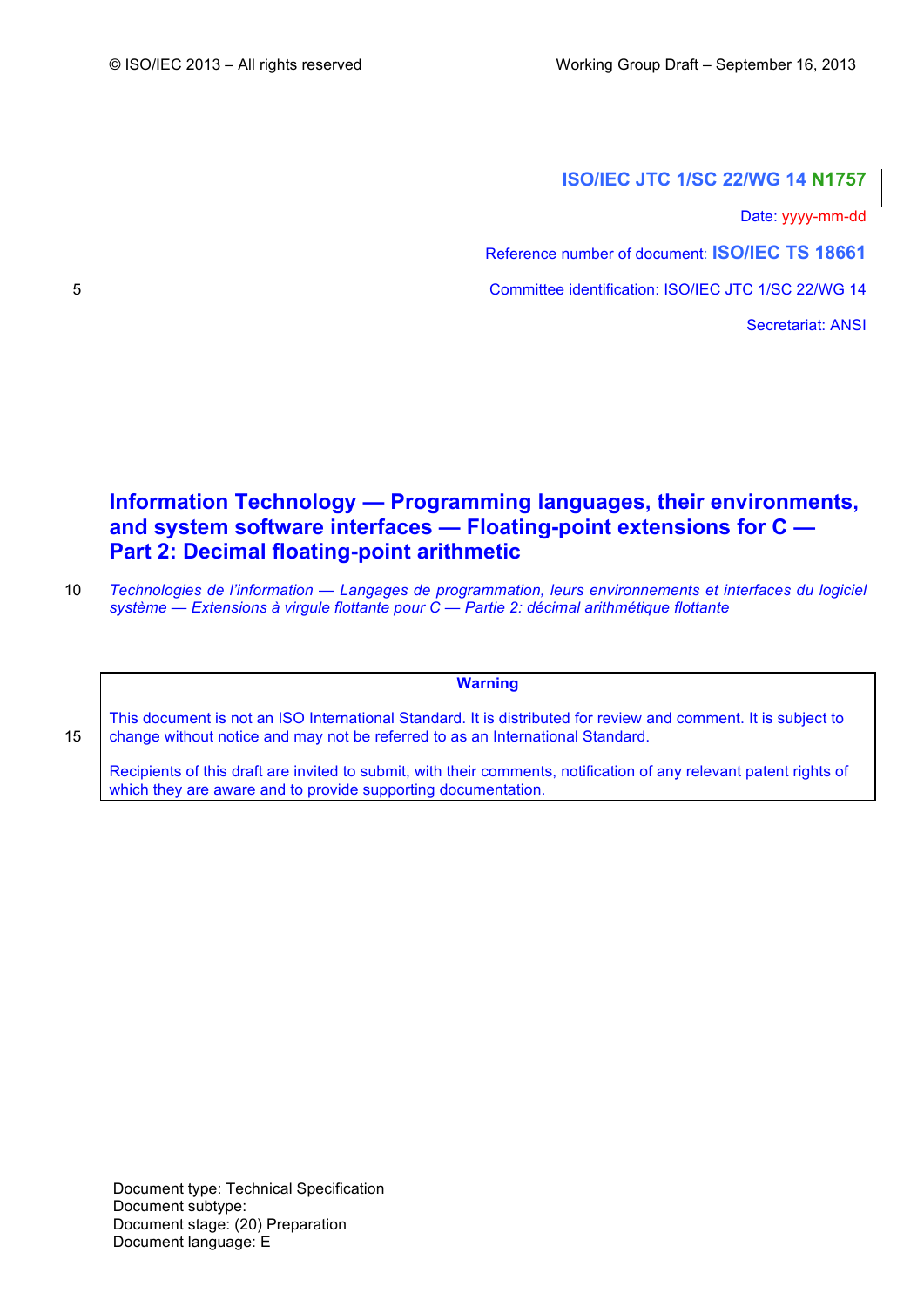# **ISO/IEC JTC 1/SC 22/WG 14 N1757**

Date: yyyy-mm-dd

Reference number of document: **ISO/IEC TS 18661**

5 Committee identification: ISO/IEC JTC 1/SC 22/WG 14

Secretariat: ANSI

# **Information Technology — Programming languages, their environments, and system software interfaces — Floating-point extensions for C — Part 2: Decimal floating-point arithmetic**

10 *Technologies de l'information — Langages de programmation, leurs environnements et interfaces du logiciel système — Extensions à virgule flottante pour C — Partie 2: décimal arithmétique flottante*

**Warning**

This document is not an ISO International Standard. It is distributed for review and comment. It is subject to 15 change without notice and may not be referred to as an International Standard.

Recipients of this draft are invited to submit, with their comments, notification of any relevant patent rights of which they are aware and to provide supporting documentation.

Document type: Technical Specification Document subtype: Document stage: (20) Preparation Document language: E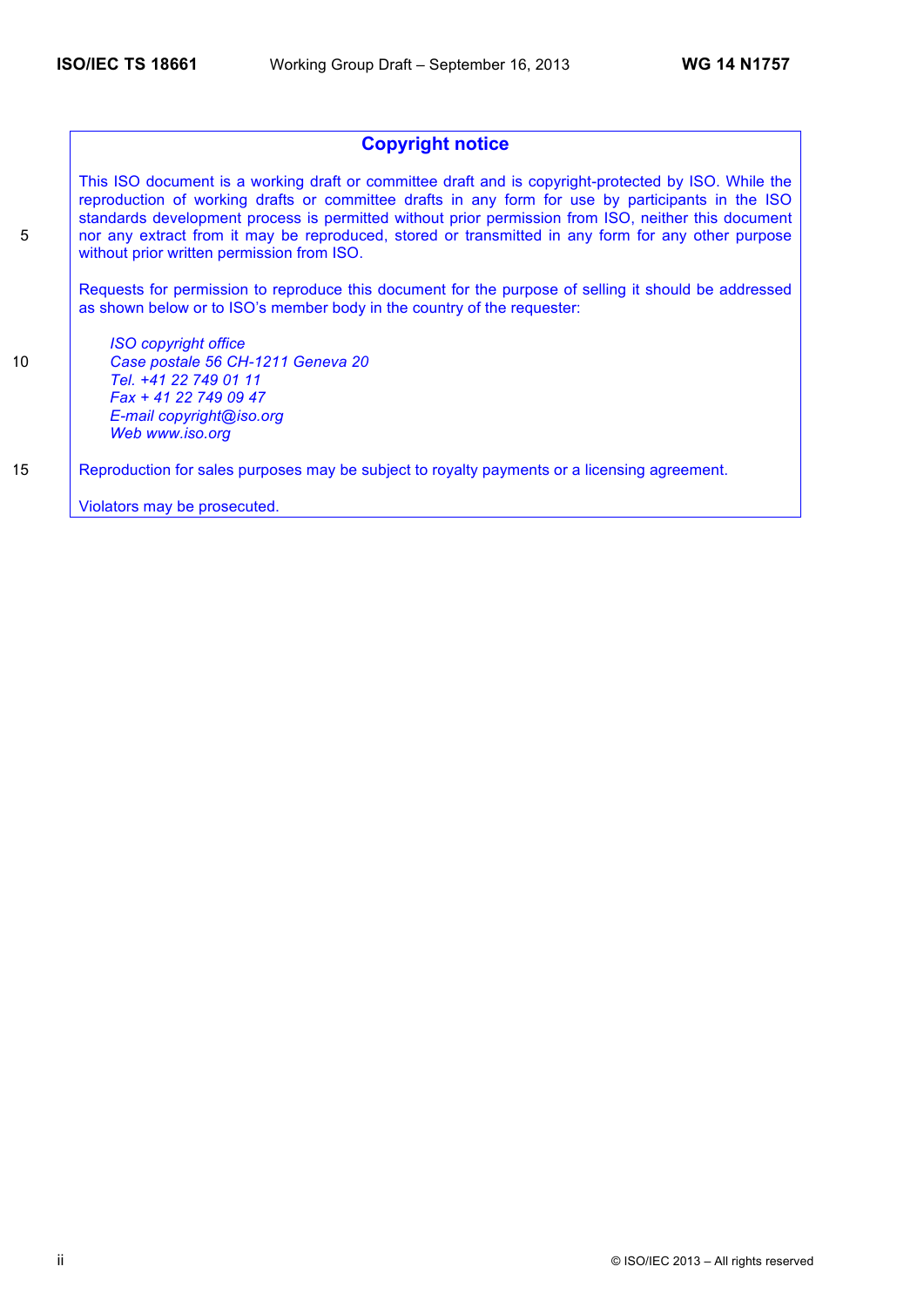## **Copyright notice**

This ISO document is a working draft or committee draft and is copyright-protected by ISO. While the reproduction of working drafts or committee drafts in any form for use by participants in the ISO standards development process is permitted without prior permission from ISO, neither this document 5 nor any extract from it may be reproduced, stored or transmitted in any form for any other purpose without prior written permission from ISO.

Requests for permission to reproduce this document for the purpose of selling it should be addressed as shown below or to ISO's member body in the country of the requester:

*ISO copyright office* 10 *Case postale 56 CH-1211 Geneva 20 Tel. +41 22 749 01 11 Fax + 41 22 749 09 47 E-mail copyright@iso.org Web www.iso.org*

15 Reproduction for sales purposes may be subject to royalty payments or a licensing agreement.

Violators may be prosecuted.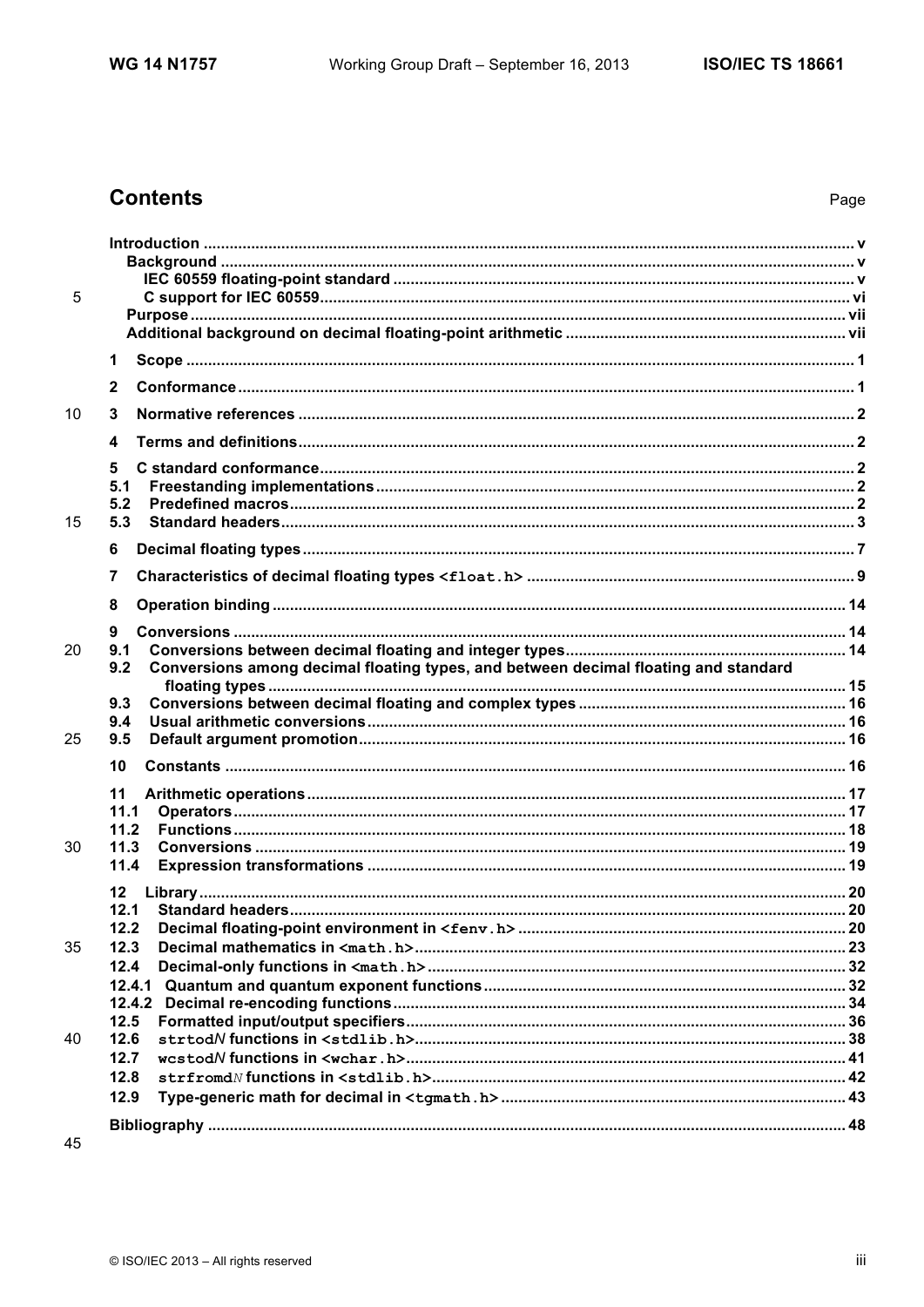# **Contents**

| 5  |                                                                                            |  |
|----|--------------------------------------------------------------------------------------------|--|
|    |                                                                                            |  |
|    |                                                                                            |  |
|    | 1                                                                                          |  |
|    | $\mathbf{2}$                                                                               |  |
| 10 | 3                                                                                          |  |
|    | 4                                                                                          |  |
|    | 5                                                                                          |  |
|    | 5.1                                                                                        |  |
| 15 | 5.2<br>5.3                                                                                 |  |
|    | 6                                                                                          |  |
|    | 7                                                                                          |  |
|    | 8                                                                                          |  |
|    | 9                                                                                          |  |
| 20 | 9.1                                                                                        |  |
|    | Conversions among decimal floating types, and between decimal floating and standard<br>9.2 |  |
|    |                                                                                            |  |
|    | 9.3                                                                                        |  |
| 25 | 9.4<br>9.5                                                                                 |  |
|    | 10                                                                                         |  |
|    | 11                                                                                         |  |
|    | 11.1                                                                                       |  |
|    | 11.2                                                                                       |  |
| 30 | 11.3                                                                                       |  |
|    | 11.4                                                                                       |  |
|    | $12 \,$                                                                                    |  |
|    | 12.1                                                                                       |  |
|    | 12.2                                                                                       |  |
| 35 | 12.3                                                                                       |  |
|    | 12.4                                                                                       |  |
|    |                                                                                            |  |
|    | 12.5                                                                                       |  |
| 40 | 12.6                                                                                       |  |
|    | 12.7                                                                                       |  |
|    | 12.8                                                                                       |  |
|    | 12.9                                                                                       |  |
|    |                                                                                            |  |
| 45 |                                                                                            |  |

45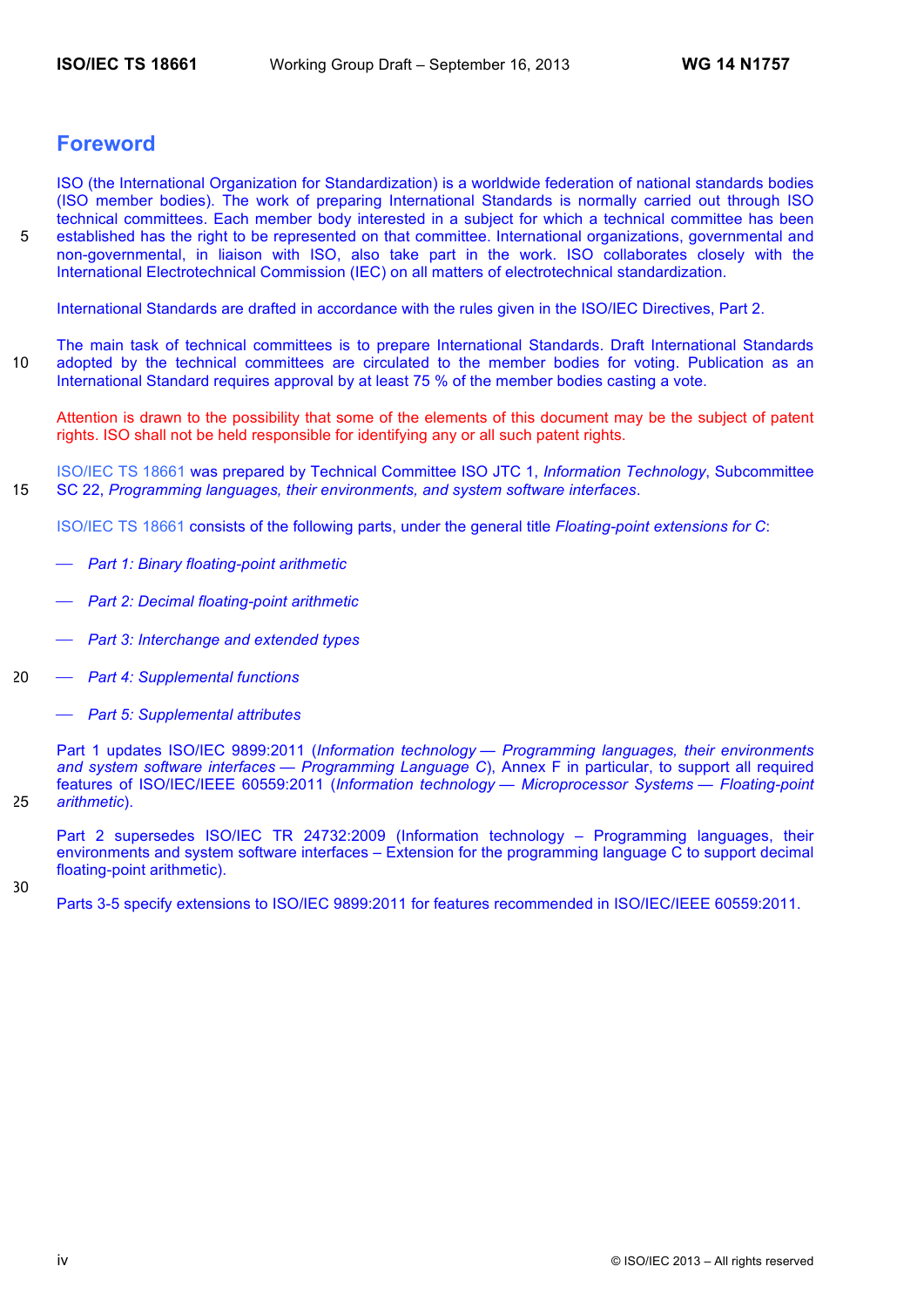# **Foreword**

ISO (the International Organization for Standardization) is a worldwide federation of national standards bodies (ISO member bodies). The work of preparing International Standards is normally carried out through ISO technical committees. Each member body interested in a subject for which a technical committee has been 5 established has the right to be represented on that committee. International organizations, governmental and non-governmental, in liaison with ISO, also take part in the work. ISO collaborates closely with the International Electrotechnical Commission (IEC) on all matters of electrotechnical standardization.

International Standards are drafted in accordance with the rules given in the ISO/IEC Directives, Part 2.

The main task of technical committees is to prepare International Standards. Draft International Standards 10 adopted by the technical committees are circulated to the member bodies for voting. Publication as an International Standard requires approval by at least 75 % of the member bodies casting a vote.

Attention is drawn to the possibility that some of the elements of this document may be the subject of patent rights. ISO shall not be held responsible for identifying any or all such patent rights.

ISO/IEC TS 18661 was prepared by Technical Committee ISO JTC 1, *Information Technology*, Subcommittee 15 SC 22, *Programming languages, their environments, and system software interfaces*.

ISO/IEC TS 18661 consists of the following parts, under the general title *Floating-point extensions for C*:

- ⎯ *Part 1: Binary floating-point arithmetic*
- ⎯ *Part 2: Decimal floating-point arithmetic*
- ⎯ *Part 3: Interchange and extended types*
- 20 ⎯ *Part 4: Supplemental functions*
	- ⎯ *Part 5: Supplemental attributes*

Part 1 updates ISO/IEC 9899:2011 (*Information technology — Programming languages, their environments and system software interfaces — Programming Language C*), Annex F in particular, to support all required features of ISO/IEC/IEEE 60559:2011 (*Information technology — Microprocessor Systems — Floating-point*  25 *arithmetic*).

Part 2 supersedes ISO/IEC TR 24732:2009 (Information technology – Programming languages, their environments and system software interfaces – Extension for the programming language C to support decimal floating-point arithmetic).

30

Parts 3-5 specify extensions to ISO/IEC 9899:2011 for features recommended in ISO/IEC/IEEE 60559:2011.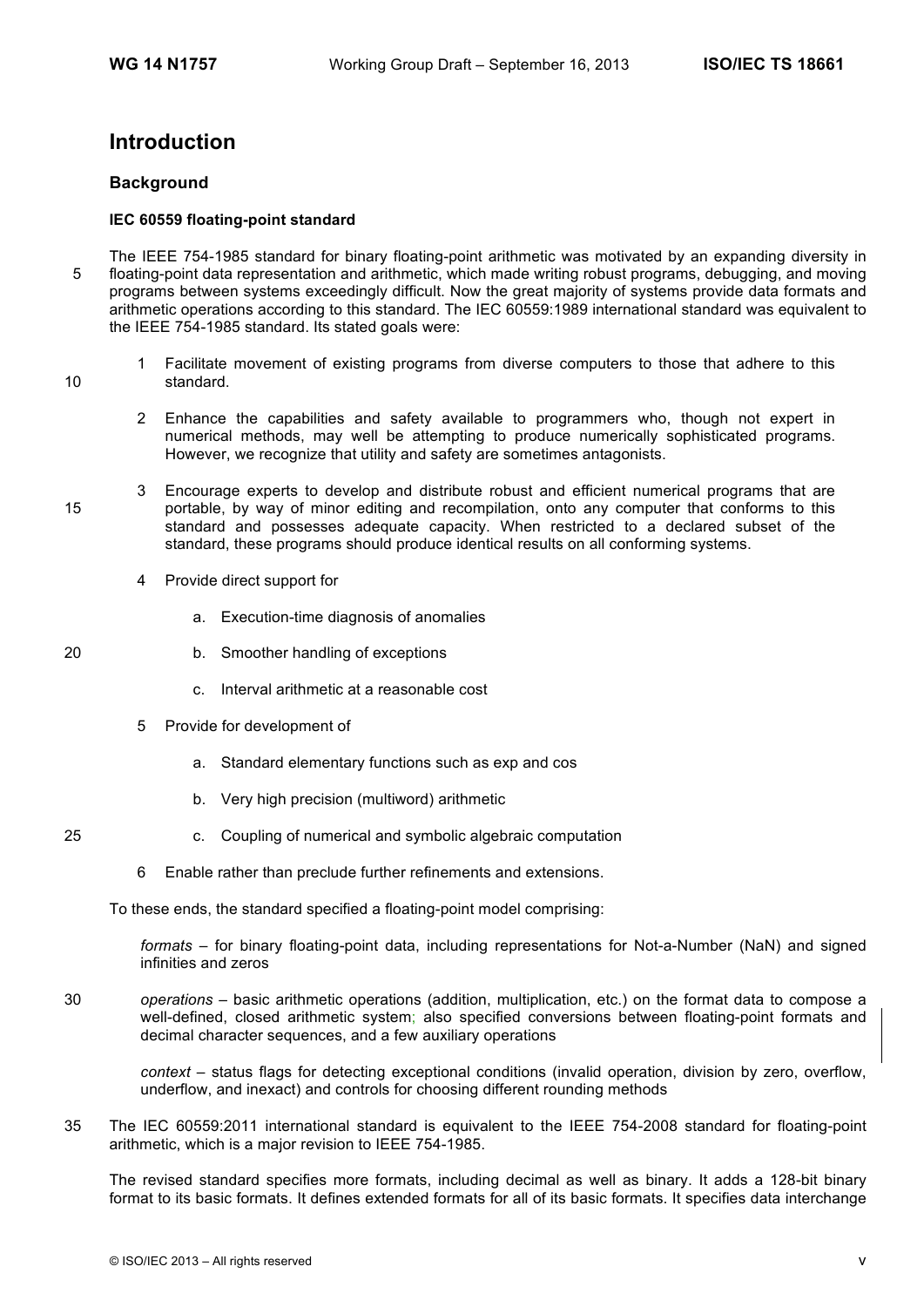# **Introduction**

### **Background**

### **IEC 60559 floating-point standard**

- The IEEE 754-1985 standard for binary floating-point arithmetic was motivated by an expanding diversity in 5 floating-point data representation and arithmetic, which made writing robust programs, debugging, and moving programs between systems exceedingly difficult. Now the great majority of systems provide data formats and arithmetic operations according to this standard. The IEC 60559:1989 international standard was equivalent to the IEEE 754-1985 standard. Its stated goals were:
- 1 Facilitate movement of existing programs from diverse computers to those that adhere to this 10 standard.
	- 2 Enhance the capabilities and safety available to programmers who, though not expert in numerical methods, may well be attempting to produce numerically sophisticated programs. However, we recognize that utility and safety are sometimes antagonists.
- 3 Encourage experts to develop and distribute robust and efficient numerical programs that are 15 portable, by way of minor editing and recompilation, onto any computer that conforms to this standard and possesses adequate capacity. When restricted to a declared subset of the standard, these programs should produce identical results on all conforming systems.
	- 4 Provide direct support for
		- a. Execution-time diagnosis of anomalies
- 20 b. Smoother handling of exceptions
	- c. Interval arithmetic at a reasonable cost
	- 5 Provide for development of
		- a. Standard elementary functions such as exp and cos
		- b. Very high precision (multiword) arithmetic
- 25 c. Coupling of numerical and symbolic algebraic computation
	- 6 Enable rather than preclude further refinements and extensions.

To these ends, the standard specified a floating-point model comprising:

*formats* – for binary floating-point data, including representations for Not-a-Number (NaN) and signed infinities and zeros

30 *operations* – basic arithmetic operations (addition, multiplication, etc.) on the format data to compose a well-defined, closed arithmetic system; also specified conversions between floating-point formats and decimal character sequences, and a few auxiliary operations

*context* – status flags for detecting exceptional conditions (invalid operation, division by zero, overflow, underflow, and inexact) and controls for choosing different rounding methods

35 The IEC 60559:2011 international standard is equivalent to the IEEE 754-2008 standard for floating-point arithmetic, which is a major revision to IEEE 754-1985.

The revised standard specifies more formats, including decimal as well as binary. It adds a 128-bit binary format to its basic formats. It defines extended formats for all of its basic formats. It specifies data interchange

- 
-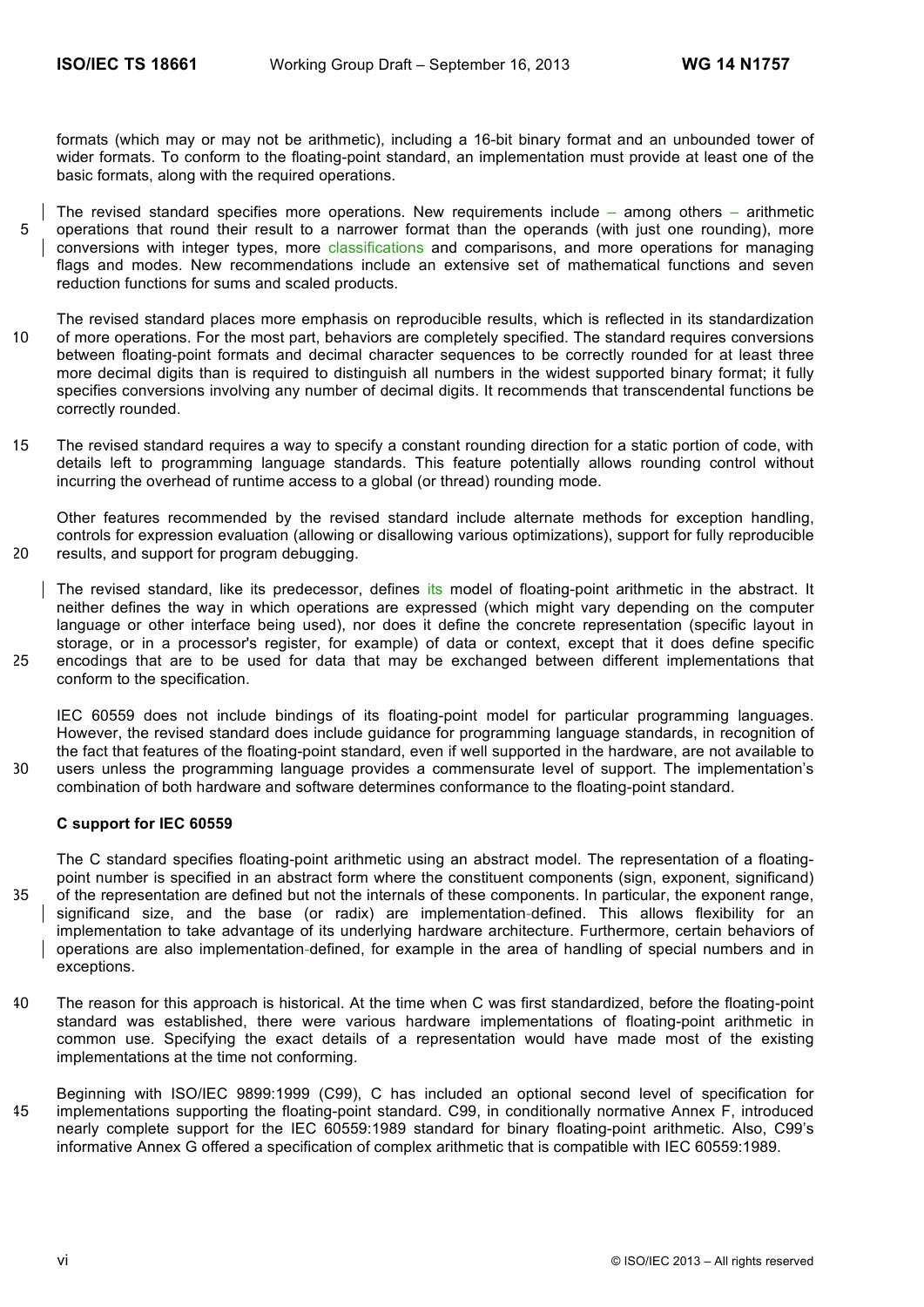formats (which may or may not be arithmetic), including a 16-bit binary format and an unbounded tower of wider formats. To conform to the floating-point standard, an implementation must provide at least one of the basic formats, along with the required operations.

- The revised standard specifies more operations. New requirements include among others arithmetic 5 operations that round their result to a narrower format than the operands (with just one rounding), more conversions with integer types, more classifications and comparisons, and more operations for managing flags and modes. New recommendations include an extensive set of mathematical functions and seven reduction functions for sums and scaled products.
- The revised standard places more emphasis on reproducible results, which is reflected in its standardization 10 of more operations. For the most part, behaviors are completely specified. The standard requires conversions between floating-point formats and decimal character sequences to be correctly rounded for at least three more decimal digits than is required to distinguish all numbers in the widest supported binary format; it fully specifies conversions involving any number of decimal digits. It recommends that transcendental functions be correctly rounded.
- 15 The revised standard requires a way to specify a constant rounding direction for a static portion of code, with details left to programming language standards. This feature potentially allows rounding control without incurring the overhead of runtime access to a global (or thread) rounding mode.

Other features recommended by the revised standard include alternate methods for exception handling, controls for expression evaluation (allowing or disallowing various optimizations), support for fully reproducible 20 results, and support for program debugging.

The revised standard, like its predecessor, defines its model of floating-point arithmetic in the abstract. It neither defines the way in which operations are expressed (which might vary depending on the computer language or other interface being used), nor does it define the concrete representation (specific layout in storage, or in a processor's register, for example) of data or context, except that it does define specific 25 encodings that are to be used for data that may be exchanged between different implementations that conform to the specification.

IEC 60559 does not include bindings of its floating-point model for particular programming languages. However, the revised standard does include guidance for programming language standards, in recognition of the fact that features of the floating-point standard, even if well supported in the hardware, are not available to 30 users unless the programming language provides a commensurate level of support. The implementation's combination of both hardware and software determines conformance to the floating-point standard.

#### **C support for IEC 60559**

The C standard specifies floating-point arithmetic using an abstract model. The representation of a floatingpoint number is specified in an abstract form where the constituent components (sign, exponent, significand) 35 of the representation are defined but not the internals of these components. In particular, the exponent range, significand size, and the base (or radix) are implementation-defined. This allows flexibility for an implementation to take advantage of its underlying hardware architecture. Furthermore, certain behaviors of operations are also implementation-defined, for example in the area of handling of special numbers and in exceptions.

- 40 The reason for this approach is historical. At the time when C was first standardized, before the floating-point standard was established, there were various hardware implementations of floating-point arithmetic in common use. Specifying the exact details of a representation would have made most of the existing implementations at the time not conforming.
- Beginning with ISO/IEC 9899:1999 (C99), C has included an optional second level of specification for 45 implementations supporting the floating-point standard. C99, in conditionally normative Annex F, introduced nearly complete support for the IEC 60559:1989 standard for binary floating-point arithmetic. Also, C99's informative Annex G offered a specification of complex arithmetic that is compatible with IEC 60559:1989.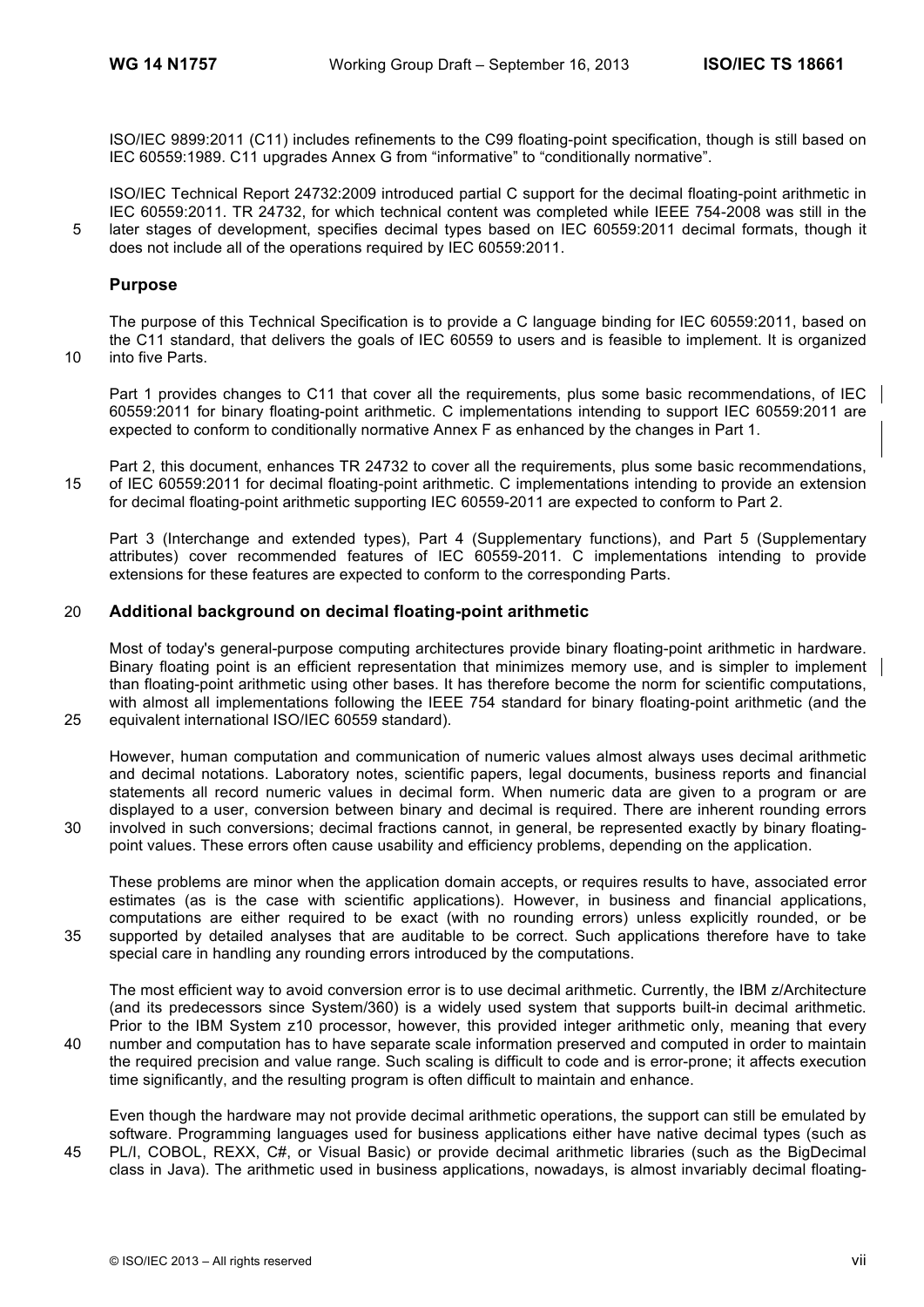ISO/IEC 9899:2011 (C11) includes refinements to the C99 floating-point specification, though is still based on IEC 60559:1989. C11 upgrades Annex G from "informative" to "conditionally normative".

ISO/IEC Technical Report 24732:2009 introduced partial C support for the decimal floating-point arithmetic in IEC 60559:2011. TR 24732, for which technical content was completed while IEEE 754-2008 was still in the 5 later stages of development, specifies decimal types based on IEC 60559:2011 decimal formats, though it does not include all of the operations required by IEC 60559:2011.

### **Purpose**

The purpose of this Technical Specification is to provide a C language binding for IEC 60559:2011, based on the C11 standard, that delivers the goals of IEC 60559 to users and is feasible to implement. It is organized 10 into five Parts.

Part 1 provides changes to C11 that cover all the requirements, plus some basic recommendations, of IEC 60559:2011 for binary floating-point arithmetic. C implementations intending to support IEC 60559:2011 are expected to conform to conditionally normative Annex F as enhanced by the changes in Part 1.

Part 2, this document, enhances TR 24732 to cover all the requirements, plus some basic recommendations, 15 of IEC 60559:2011 for decimal floating-point arithmetic. C implementations intending to provide an extension for decimal floating-point arithmetic supporting IEC 60559-2011 are expected to conform to Part 2.

Part 3 (Interchange and extended types), Part 4 (Supplementary functions), and Part 5 (Supplementary attributes) cover recommended features of IEC 60559-2011. C implementations intending to provide extensions for these features are expected to conform to the corresponding Parts.

### 20 **Additional background on decimal floating-point arithmetic**

Most of today's general-purpose computing architectures provide binary floating-point arithmetic in hardware. Binary floating point is an efficient representation that minimizes memory use, and is simpler to implement than floating-point arithmetic using other bases. It has therefore become the norm for scientific computations, with almost all implementations following the IEEE 754 standard for binary floating-point arithmetic (and the 25 equivalent international ISO/IEC 60559 standard).

However, human computation and communication of numeric values almost always uses decimal arithmetic and decimal notations. Laboratory notes, scientific papers, legal documents, business reports and financial statements all record numeric values in decimal form. When numeric data are given to a program or are displayed to a user, conversion between binary and decimal is required. There are inherent rounding errors 30 involved in such conversions; decimal fractions cannot, in general, be represented exactly by binary floating-

point values. These errors often cause usability and efficiency problems, depending on the application.

These problems are minor when the application domain accepts, or requires results to have, associated error estimates (as is the case with scientific applications). However, in business and financial applications, computations are either required to be exact (with no rounding errors) unless explicitly rounded, or be 35 supported by detailed analyses that are auditable to be correct. Such applications therefore have to take special care in handling any rounding errors introduced by the computations.

The most efficient way to avoid conversion error is to use decimal arithmetic. Currently, the IBM z/Architecture (and its predecessors since System/360) is a widely used system that supports built-in decimal arithmetic. Prior to the IBM System z10 processor, however, this provided integer arithmetic only, meaning that every 40 number and computation has to have separate scale information preserved and computed in order to maintain the required precision and value range. Such scaling is difficult to code and is error-prone; it affects execution time significantly, and the resulting program is often difficult to maintain and enhance.

Even though the hardware may not provide decimal arithmetic operations, the support can still be emulated by software. Programming languages used for business applications either have native decimal types (such as 45 PL/I, COBOL, REXX, C#, or Visual Basic) or provide decimal arithmetic libraries (such as the BigDecimal class in Java). The arithmetic used in business applications, nowadays, is almost invariably decimal floating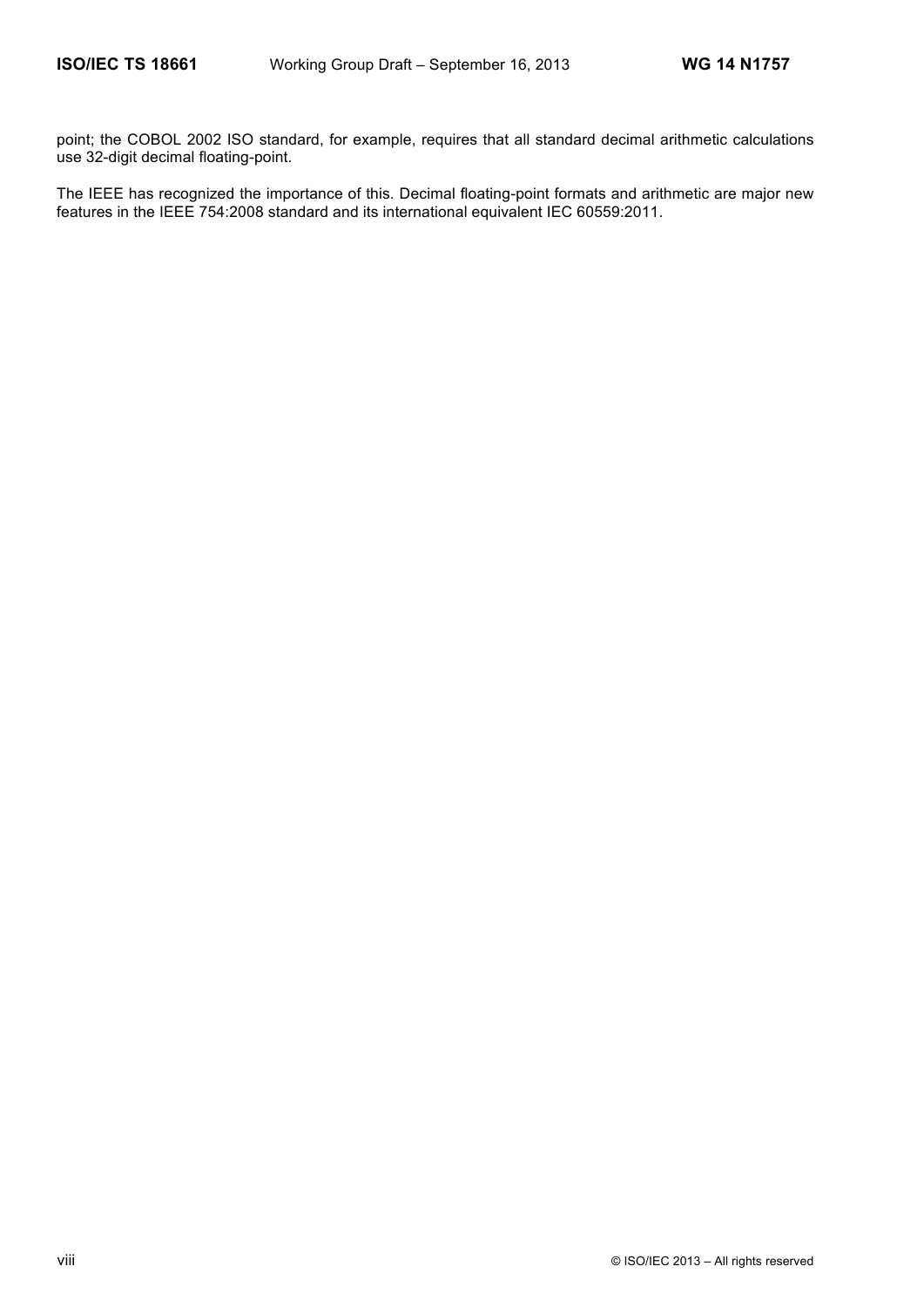point; the COBOL 2002 ISO standard, for example, requires that all standard decimal arithmetic calculations use 32-digit decimal floating-point.

The IEEE has recognized the importance of this. Decimal floating-point formats and arithmetic are major new features in the IEEE 754:2008 standard and its international equivalent IEC 60559:2011.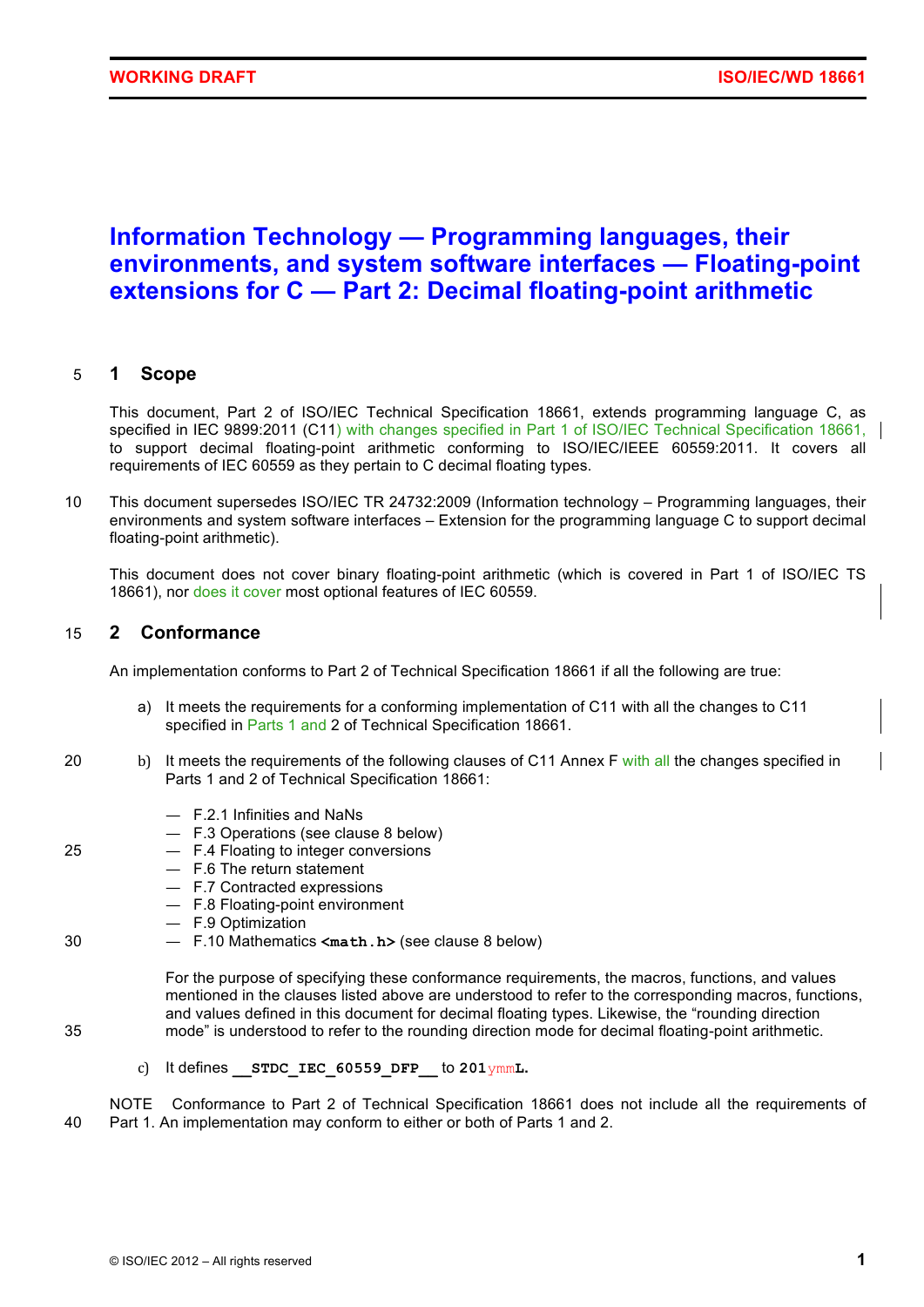# **Information Technology — Programming languages, their environments, and system software interfaces — Floating-point extensions for C — Part 2: Decimal floating-point arithmetic**

### 5 **1 Scope**

This document, Part 2 of ISO/IEC Technical Specification 18661, extends programming language C, as specified in IEC 9899:2011 (C11) with changes specified in Part 1 of ISO/IEC Technical Specification 18661, to support decimal floating-point arithmetic conforming to ISO/IEC/IEEE 60559:2011. It covers all requirements of IEC 60559 as they pertain to C decimal floating types.

10 This document supersedes ISO/IEC TR 24732:2009 (Information technology – Programming languages, their environments and system software interfaces – Extension for the programming language C to support decimal floating-point arithmetic).

This document does not cover binary floating-point arithmetic (which is covered in Part 1 of ISO/IEC TS 18661), nor does it cover most optional features of IEC 60559.

### 15 **2 Conformance**

An implementation conforms to Part 2 of Technical Specification 18661 if all the following are true:

- a) It meets the requirements for a conforming implementation of C11 with all the changes to C11 specified in Parts 1 and 2 of Technical Specification 18661.
- 20 b) It meets the requirements of the following clauses of C11 Annex F with all the changes specified in Parts 1 and 2 of Technical Specification 18661:
	- F.2.1 Infinities and NaNs
	- F.3 Operations (see clause 8 below)
- 25 F.4 Floating to integer conversions
	- F.6 The return statement
	- F.7 Contracted expressions
	- F.8 Floating-point environment
	- F.9 Optimization
- 30 F.10 Mathematics **<math.h>** (see clause 8 below)

For the purpose of specifying these conformance requirements, the macros, functions, and values mentioned in the clauses listed above are understood to refer to the corresponding macros, functions, and values defined in this document for decimal floating types. Likewise, the "rounding direction 35 mode" is understood to refer to the rounding direction mode for decimal floating-point arithmetic.

- 
- c) It defines **\_\_STDC\_IEC\_60559\_DFP\_\_** to **201**ymm**L.**

NOTE Conformance to Part 2 of Technical Specification 18661 does not include all the requirements of 40 Part 1. An implementation may conform to either or both of Parts 1 and 2.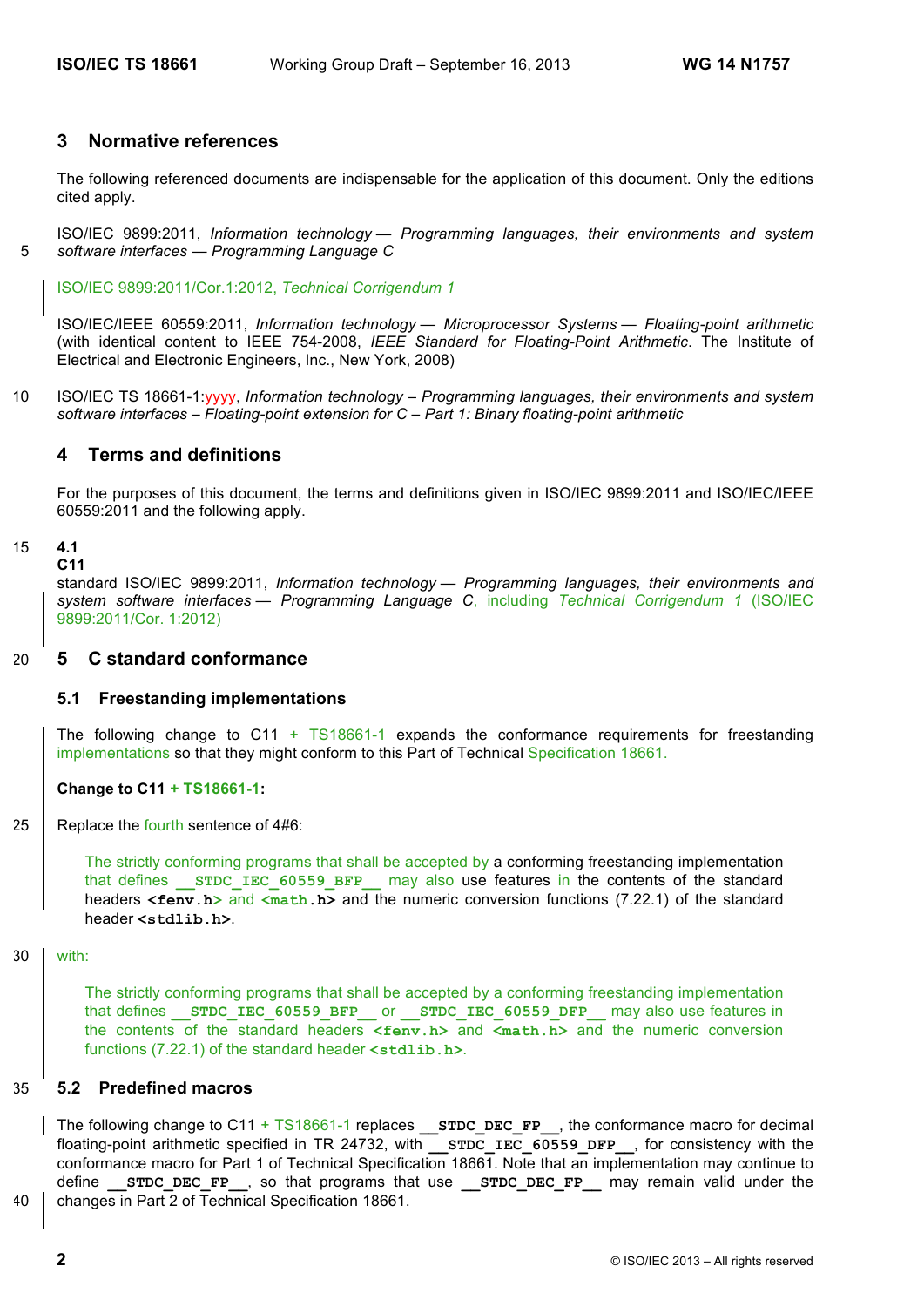### **3 Normative references**

The following referenced documents are indispensable for the application of this document. Only the editions cited apply.

ISO/IEC 9899:2011, *Information technology — Programming languages, their environments and system*  5 *software interfaces — Programming Language C*

ISO/IEC 9899:2011/Cor.1:2012, *Technical Corrigendum 1*

ISO/IEC/IEEE 60559:2011, *Information technology — Microprocessor Systems — Floating-point arithmetic* (with identical content to IEEE 754-2008, *IEEE Standard for Floating-Point Arithmetic*. The Institute of Electrical and Electronic Engineers, Inc., New York, 2008)

10 ISO/IEC TS 18661-1:yyyy, *Information technology – Programming languages, their environments and system software interfaces – Floating-point extension for C – Part 1: Binary floating-point arithmetic*

### **4 Terms and definitions**

For the purposes of this document, the terms and definitions given in ISO/IEC 9899:2011 and ISO/IEC/IEEE 60559:2011 and the following apply.

#### 15 **4.1 C11**

standard ISO/IEC 9899:2011, *Information technology — Programming languages, their environments and system software interfaces — Programming Language C*, including *Technical Corrigendum 1* (ISO/IEC 9899:2011/Cor. 1:2012)

### 20 **5 C standard conformance**

### **5.1 Freestanding implementations**

The following change to C11  $+$  TS18661-1 expands the conformance requirements for freestanding implementations so that they might conform to this Part of Technical Specification 18661.

### **Change to C11 + TS18661-1:**

25 | Replace the fourth sentence of 4#6:

The strictly conforming programs that shall be accepted by a conforming freestanding implementation that defines **STDC IEC 60559 BFP** may also use features in the contents of the standard headers <fenv.h> and <math.h> and the numeric conversion functions (7.22.1) of the standard header **<stdlib.h>**.

30 with:

The strictly conforming programs that shall be accepted by a conforming freestanding implementation that defines **STDC\_IEC\_60559\_BFP\_\_\_Or** STDC\_IEC\_60559\_DFP\_\_\_ may also use features in the contents of the standard headers **<fenv.h>** and **<math.h>** and the numeric conversion functions (7.22.1) of the standard header **<stdlib.h>**.

### 35 **5.2 Predefined macros**

The following change to C11 + TS18661-1 replaces **\_\_STDC\_DEC\_FP\_\_**, the conformance macro for decimal floating-point arithmetic specified in TR 24732, with **STDC IEC 60559 DFP**, for consistency with the conformance macro for Part 1 of Technical Specification 18661. Note that an implementation may continue to define **STDC DEC FP**, so that programs that use **STDC DEC FP** may remain valid under the 40 changes in Part 2 of Technical Specification 18661.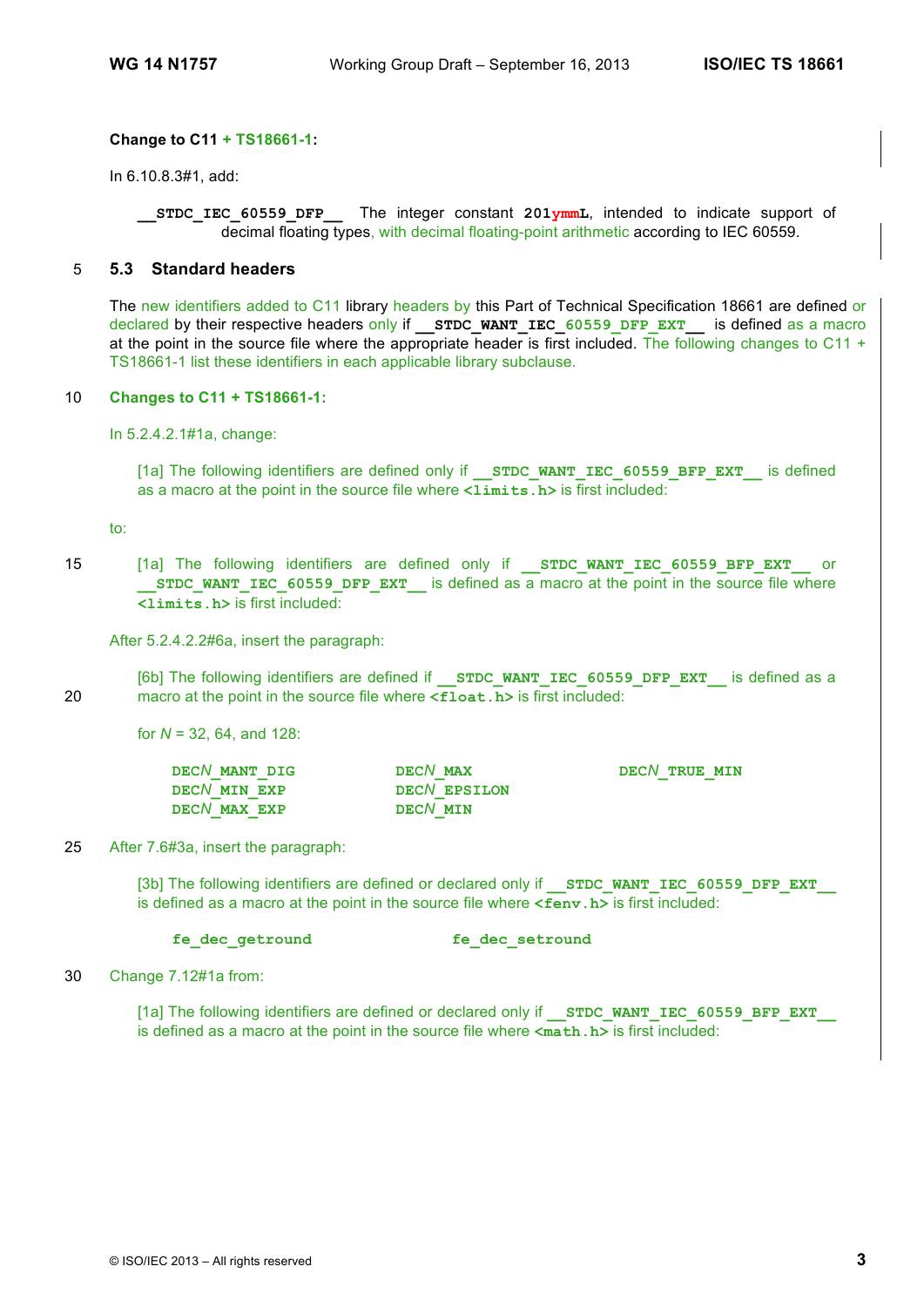### **Change to C11 + TS18661-1:**

In 6.10.8.3#1, add:

**STDC** IEC 60559 DFP The integer constant 201ymmL, intended to indicate support of decimal floating types, with decimal floating-point arithmetic according to IEC 60559.

### 5 **5.3 Standard headers**

The new identifiers added to C11 library headers by this Part of Technical Specification 18661 are defined or declared by their respective headers only if **STDC\_WANT\_IEC\_60559\_DFP\_EXT\_** is defined as a macro at the point in the source file where the appropriate header is first included. The following changes to C11 + TS18661-1 list these identifiers in each applicable library subclause.

#### 10 **Changes to C11 + TS18661-1:**

In 5.2.4.2.1#1a, change:

[1a] The following identifiers are defined only if **STDC WANT IEC 60559 BFP EXT** is defined as a macro at the point in the source file where  $\langle$ **1imits.h**> is first included:

to:

15 [1a] The following identifiers are defined only if **STDC WANT IEC 60559 BFP EXT** or **STDC\_WANT\_IEC\_60559\_DFP\_EXT\_\_\_\_** is defined as a macro at the point in the source file where **<limits.h>** is first included:

After 5.2.4.2.2#6a, insert the paragraph:

[6b] The following identifiers are defined if **STDC WANT IEC 60559 DFP EXT** is defined as a 20 macro at the point in the source file where **<float.h>** is first included:

for *N* = 32, 64, and 128:

| DECN MANT DIG | DECN MAX     | DECN TRUE MIN |
|---------------|--------------|---------------|
| DECN MIN EXP  | DECN EPSILON |               |
| DECN MAX EXP  | DECN MIN     |               |

#### 25 After 7.6#3a, insert the paragraph:

[3b] The following identifiers are defined or declared only if **STDC WANT IEC 60559 DFP EXT** is defined as a macro at the point in the source file where **<fenv.h>** is first included:

**fe\_dec\_getround fe\_dec\_setround**

30 Change 7.12#1a from:

[1a] The following identifiers are defined or declared only if **STDC WANT IEC 60559 BFP EXT** is defined as a macro at the point in the source file where **<math.h>** is first included: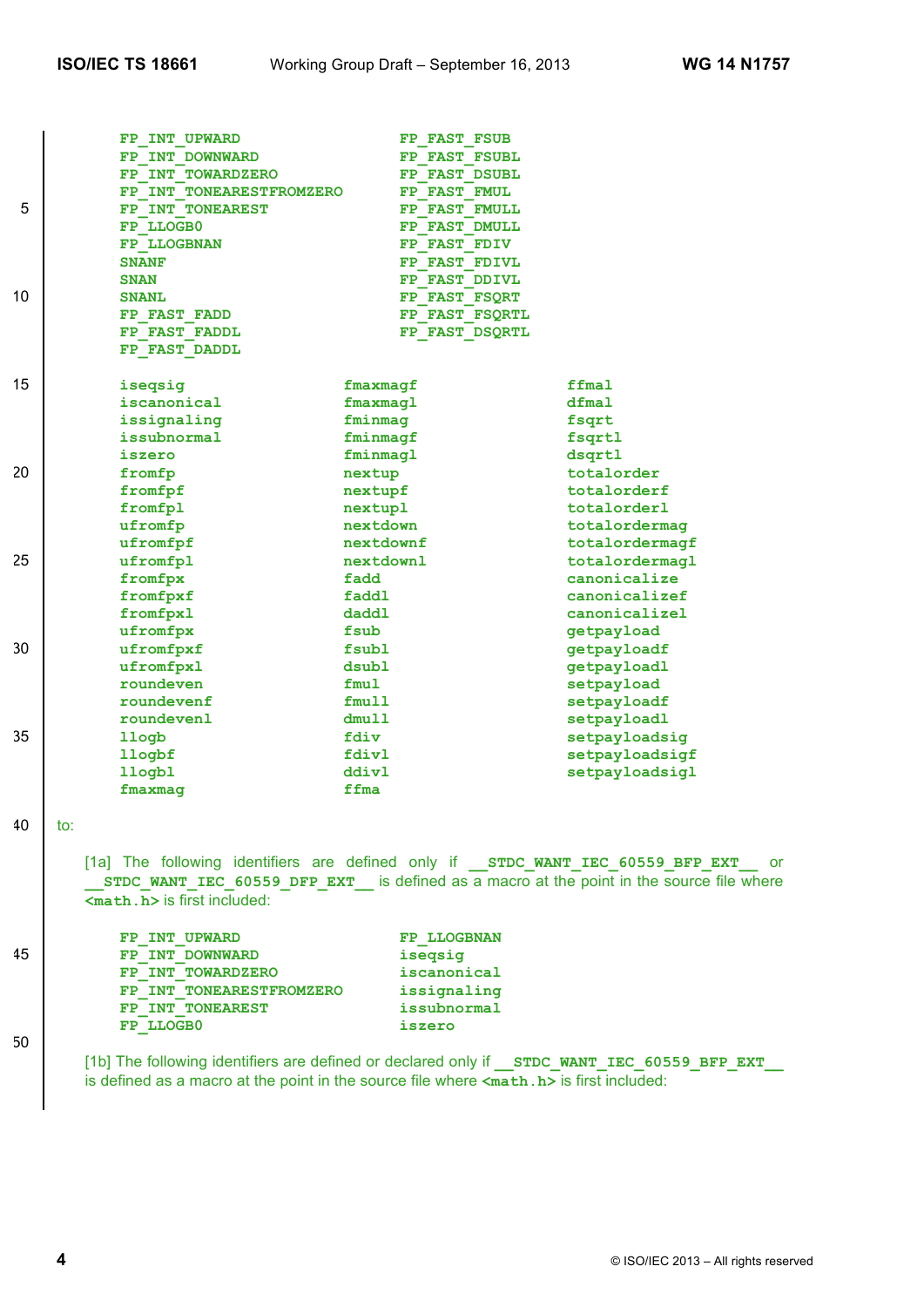|    | FP INT UPWARD            | FP FAST FSUB   |                |
|----|--------------------------|----------------|----------------|
|    | FP INT DOWNWARD          | FP FAST FSUBL  |                |
|    | FP INT TOWARDZERO        | FP FAST DSUBL  |                |
|    | FP INT TONEARESTFROMZERO | FP FAST FMUL   |                |
| 5  | FP INT TONEAREST         | FP FAST FMULL  |                |
|    | FP LLOGB0                | FP FAST DMULL  |                |
|    | FP LLOGBNAN              | FP FAST FDIV   |                |
|    | <b>SNANF</b>             | FP FAST FDIVL  |                |
|    | <b>SNAN</b>              | FP FAST DDIVL  |                |
| 10 | <b>SNANL</b>             | FP FAST FSQRT  |                |
|    | FP FAST FADD             | FP FAST FSQRTL |                |
|    | FP FAST FADDL            | FP FAST DSQRTL |                |
|    | FP FAST DADDL            |                |                |
|    |                          |                |                |
| 15 | iseqsig                  | fmaxmaqf       | ffmal          |
|    | iscanonical              | fmaxmaql       | dfmal          |
|    | issignaling              | fminmag        | fsqrt          |
|    | issubnormal              | fminmagf       | fsqrtl         |
|    | iszero                   | fminmagl       | dsqrtl         |
| 20 | fromfp                   | nextup         | totalorder     |
|    | fromfpf                  | nextupf        | totalorderf    |
|    | fromfpl                  | nextupl        | totalorderl    |
|    | ufromfp                  | nextdown       | totalordermag  |
|    | ufromfpf                 | nextdownf      | totalordermagf |
| 25 | ufromfpl                 | nextdownl      | totalordermagl |
|    | fromfpx                  | fadd           | canonicalize   |
|    | fromfpxf                 | faddl          | canonicalizef  |
|    | fromfpxl                 | daddl          | canonicalizel  |
|    | ufromfpx                 | fsub           | qetpayload     |
| 30 | ufromfpxf                | fsubl          | getpayloadf    |
|    | ufromfpxl                | dsubl          | getpayloadl    |
|    | roundeven                | fmu1           | setpayload     |
|    | roundevenf               | fmu11          | setpayloadf    |
|    | roundevenl               | dmull          | setpayloadl    |
| 35 | llogb                    | fdiv           | setpayloadsig  |
|    | llogbf                   | fdivl          | setpayloadsigf |
|    | 11ogb1                   | ddivl          | setpayloadsigl |
|    | fmaxmag                  | ffma           |                |
|    |                          |                |                |

40 to:

[1a] The following identifiers are defined only if **\_\_STDC\_WANT\_IEC\_60559\_BFP\_EXT\_\_** or **\_\_STDC\_WANT\_IEC\_60559\_DFP\_EXT\_\_** is defined as a macro at the point in the source file where **<math.h>** is first included:

|    | FP INT UPWARD            | <b>FP LLOGBNAN</b> |
|----|--------------------------|--------------------|
| 45 | FP INT DOWNWARD          | isegsig            |
|    | FP INT TOWARDZERO        | iscanonical        |
|    | FP INT TONEARESTFROMZERO | issignaling        |
|    | FP INT TONEAREST         | issubnormal        |
|    | FP LLOGB0                | iszero             |
|    |                          |                    |

50

[1b] The following identifiers are defined or declared only if **STDC WANT IEC 60559 BFP EXT** is defined as a macro at the point in the source file where **<math.h>** is first included: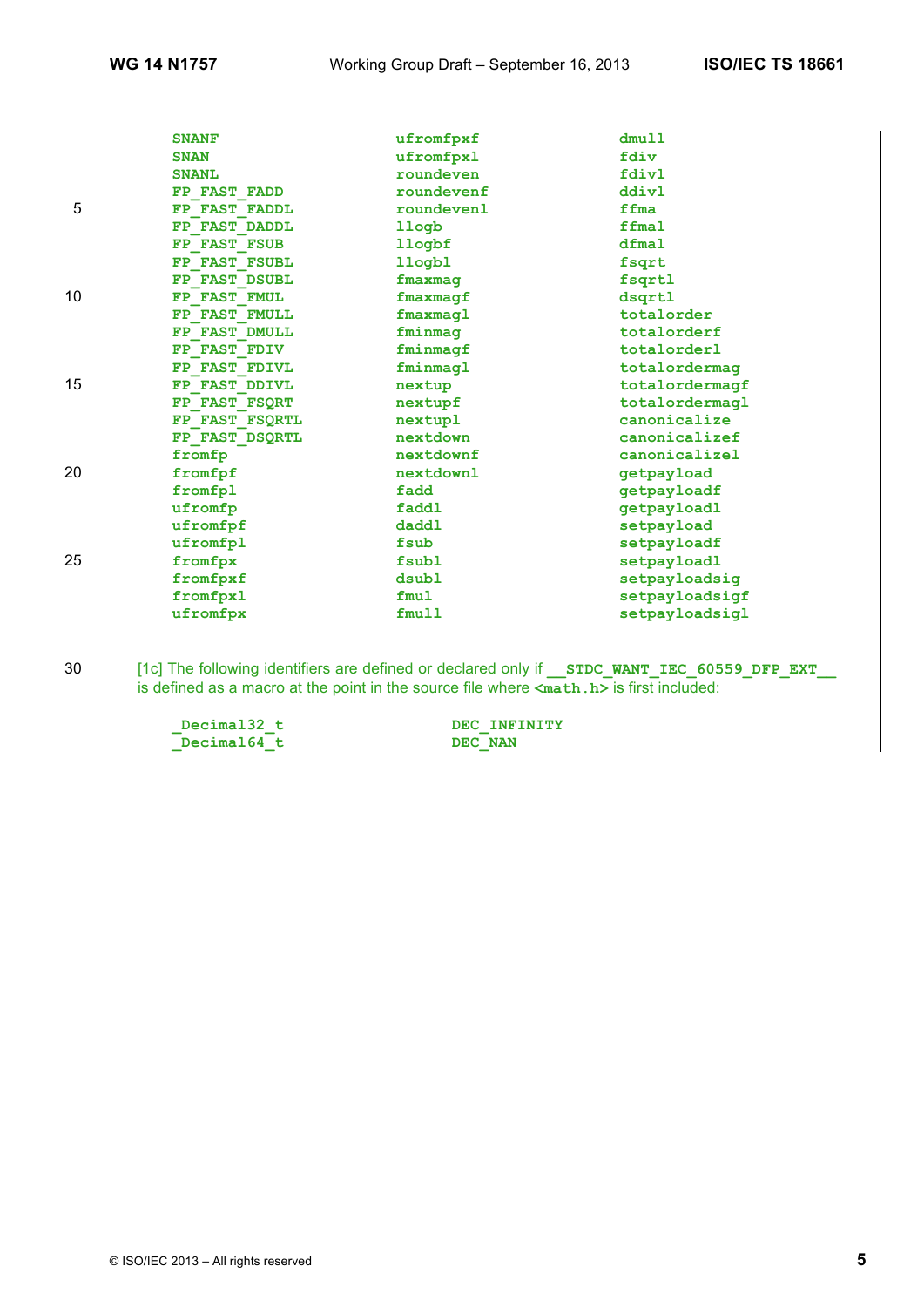|    | <b>SNANF</b>   |            | dmull          |
|----|----------------|------------|----------------|
|    |                | ufromfpxf  |                |
|    | <b>SNAN</b>    | ufromfpxl  | fdiv           |
|    | <b>SNANL</b>   | roundeven  | fdivl          |
|    | FP FAST FADD   | roundevenf | ddivl          |
| 5  | FP FAST FADDL  | roundevenl | ffma           |
|    | FP FAST DADDL  | llogb      | ffmal          |
|    | FP FAST FSUB   | llogbf     | dfmal          |
|    | FP FAST FSUBL  | llogbl     | fsqrt          |
|    | FP FAST DSUBL  | fmaxmaq    | fsqrtl         |
| 10 | FP FAST FMUL   | fmaxmaqf   | dsgrtl         |
|    | FP FAST FMULL  | fmaxmaql   | totalorder     |
|    | FP FAST DMULL  | fminmag    | totalorderf    |
|    | FP FAST FDIV   | fminmagf   | totalorderl    |
|    | FP FAST FDIVL  | fminmagl   | totalordermag  |
| 15 | FP FAST DDIVL  | nextup     | totalordermagf |
|    | FP FAST FSQRT  | nextupf    | totalordermagl |
|    | FP FAST FSQRTL | nextupl    | canonicalize   |
|    | FP FAST DSQRTL | nextdown   | canonicalizef  |
|    | fromfp         | nextdownf  | canonicalizel  |
| 20 | fromfpf        | nextdownl  | getpayload     |
|    | fromfpl        | fadd       | getpayloadf    |
|    | ufromfp        | faddl      | getpayloadl    |
|    | ufromfpf       | daddl      | setpayload     |
|    | ufromfpl       | fsub       | setpayloadf    |
| 25 | fromfpx        | fsubl      | setpayloadl    |
|    | fromfpxf       | dsubl      | setpayloadsig  |
|    | fromfpxl       | fmul       | setpayloadsigf |
|    | ufromfpx       | fmull      | setpayloadsigl |

30 [1c] The following identifiers are defined or declared only if **\_\_STDC\_WANT\_IEC\_60559\_DFP\_EXT\_\_** is defined as a macro at the point in the source file where **<math.h>** is first included:

> **\_Decimal32\_t DEC\_INFINITY**  $\sqrt{\frac{Decima164}{t}}$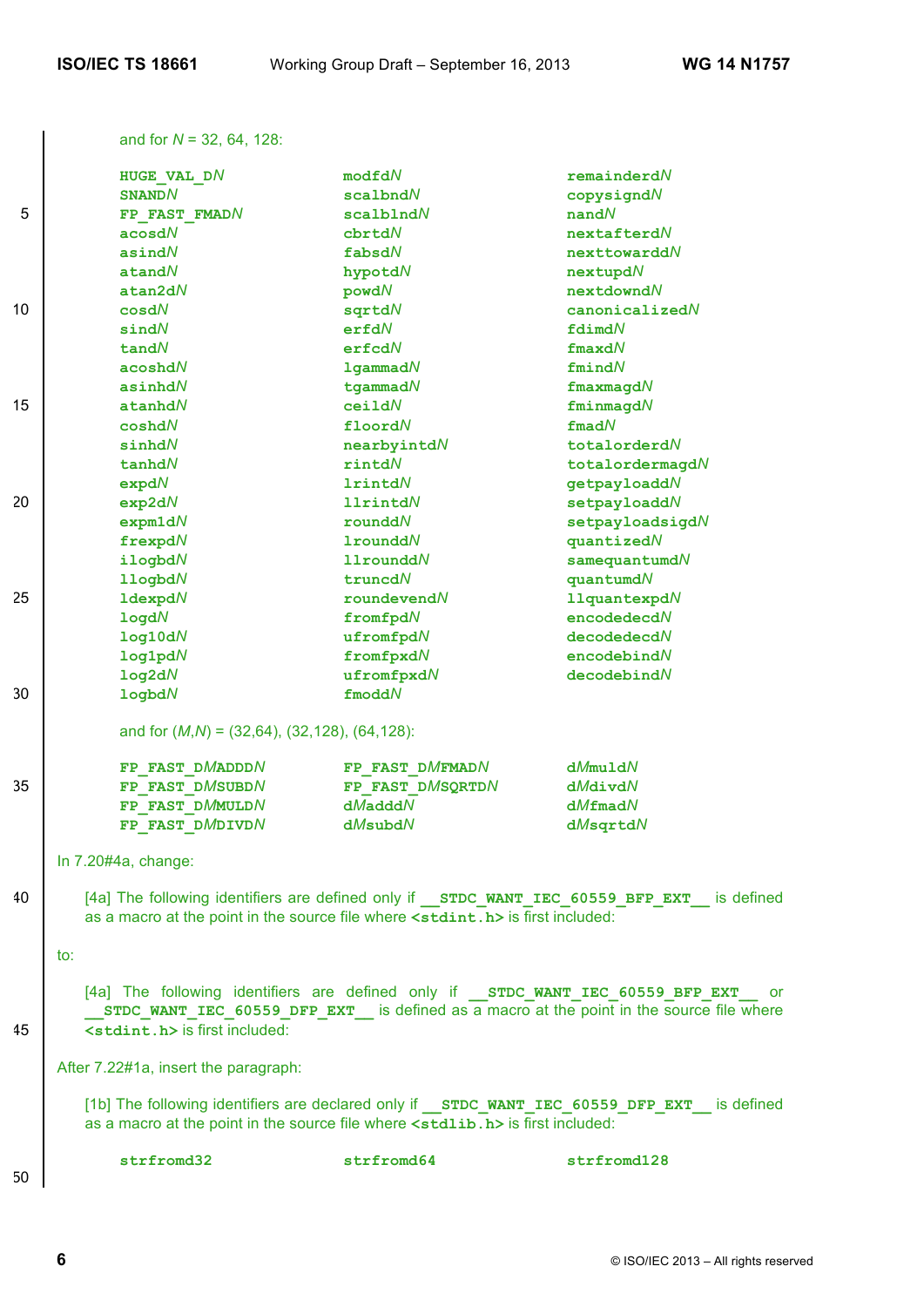and for *N* = 32, 64, 128:

|    | HUGE VAL DN                                           | modfdN                                                                                    | remainderdN                                                                                     |
|----|-------------------------------------------------------|-------------------------------------------------------------------------------------------|-------------------------------------------------------------------------------------------------|
|    | <b>SNANDN</b>                                         | scalbndN                                                                                  | copysigndN                                                                                      |
| 5  | FP FAST FMADN                                         | $scal$ blnd $N$                                                                           | $n$ and $N$                                                                                     |
|    | acosdN                                                | cbrtdN                                                                                    | nextafterdN                                                                                     |
|    | asind $N$                                             | fabsdN                                                                                    | nexttowarddN                                                                                    |
|    | $\texttt{atand}N$                                     | hypotdN                                                                                   | nextupdN                                                                                        |
|    | atan2dN                                               | powdN                                                                                     | nextdowndN                                                                                      |
| 10 | cos dN                                                | sqrtdN                                                                                    | canonicalizedN                                                                                  |
|    | sindN                                                 | erfdN                                                                                     | fdimdN                                                                                          |
|    | tan dN                                                | erfcdN                                                                                    | $fracd$                                                                                         |
|    | acoshdN                                               | $1$ gammad $N$                                                                            | fmindN                                                                                          |
|    | asinhd $N$                                            | $t$ gammad $N$                                                                            | $f$ maxmagd $N$                                                                                 |
| 15 | $\tt a nhdN$                                          | ceilIdN                                                                                   | fminmagdN                                                                                       |
|    | $\mathtt{coshd}N$                                     | floordN                                                                                   | fmadN                                                                                           |
|    | sinhd $N$                                             | nearbyintdN                                                                               | totalorderdN                                                                                    |
|    | tanhdN                                                | rintdN                                                                                    | totalordermagdN                                                                                 |
|    | expdN                                                 | <b>1rintdN</b>                                                                            | getpayloaddN                                                                                    |
| 20 | exp2dN                                                | <b>11rintdN</b>                                                                           | setpayloaddN                                                                                    |
|    | expm1dN                                               | rounddN                                                                                   | setpayloadsigdN                                                                                 |
|    | frexpdN                                               | $1$ roundd $N$                                                                            | quantizedN                                                                                      |
|    | ilogbdN                                               | $11$ roundd $N$                                                                           | $s$ amequantumd $N$                                                                             |
|    | 11ogbdN                                               | truncdN                                                                                   | quantum dN                                                                                      |
| 25 | $1$ dexpd $N$                                         | roundevent                                                                                | <b>11quantexpdN</b>                                                                             |
|    | logdN                                                 | fromfpdN                                                                                  | encodedecdN                                                                                     |
|    | log10dN                                               | ufromfpdN                                                                                 | decodedecdN                                                                                     |
|    | log1 <sub>p</sub> dN                                  | fromfpxdN                                                                                 | encodebindN                                                                                     |
|    | log2dN                                                | ufromfpxdN                                                                                | decodebindN                                                                                     |
| 30 | logbdN                                                | $f$ modd $N$                                                                              |                                                                                                 |
|    | and for $(M,N) = (32,64)$ , $(32,128)$ , $(64,128)$ : |                                                                                           |                                                                                                 |
|    | FP FAST DMADDDN                                       | FP FAST DMFMADN                                                                           | dMmu1dN                                                                                         |
| 35 | FP FAST DMSUBDN                                       | FP FAST DMSQRTDN                                                                          | dMdivdN                                                                                         |
|    | FP FAST DMMULDN                                       | $dM$ add $dN$                                                                             | $dM$ fmad $N$                                                                                   |
|    | FP FAST DMDIVDN                                       | dMsubdN                                                                                   | dMsqrtdN                                                                                        |
|    | In 7.20#4a, change:                                   |                                                                                           |                                                                                                 |
| 40 |                                                       | as a macro at the point in the source file where <stdint.h> is first included:</stdint.h> | [4a] The following identifiers are defined only if STDC WANT IEC 60559 BFP EXT is defined       |
|    | to:                                                   |                                                                                           |                                                                                                 |
| 45 | <stdint.h> is first included:</stdint.h>              | [4a] The following identifiers are defined only if STDC WANT IEC 60559 BFP EXT            | or o<br>STDC WANT IEC 60559 DFP EXT is defined as a macro at the point in the source file where |
|    | After 7.22#1a, insert the paragraph:                  |                                                                                           |                                                                                                 |
|    |                                                       | as a macro at the point in the source file where <stdlib.h> is first included:</stdlib.h> | [1b] The following identifiers are declared only if STDC WANT IEC 60559 DFP EXT is defined      |
| 50 | strfromd32                                            | strfromd64                                                                                | strfromd128                                                                                     |
|    |                                                       |                                                                                           |                                                                                                 |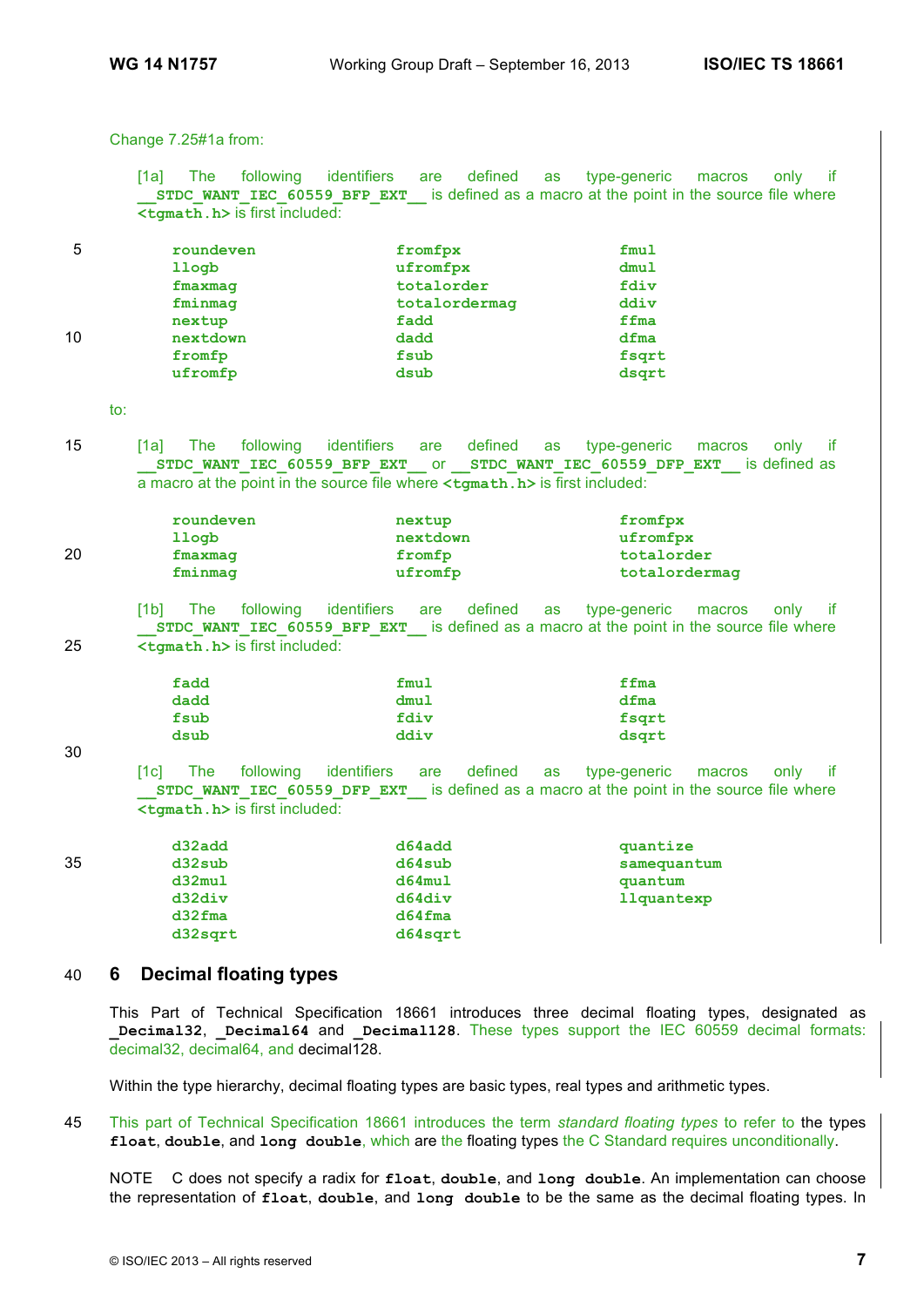Change 7.25#1a from:

[1a] The following identifiers are defined as type-generic macros only if **STDC\_WANT\_IEC\_60559\_BFP\_EXT\_\_\_\_** is defined as a macro at the point in the source file where **<tgmath.h>** is first included:

| 5  | roundeven | fromfpx       | fmul  |
|----|-----------|---------------|-------|
|    | llogb     | ufromfpx      | dmul  |
|    | fmaxmag   | totalorder    | fdiv  |
|    | fminmag   | totalordermag | ddiv  |
|    | nextup    | fadd          | ffma  |
| 10 | nextdown  | dadd          | dfma  |
|    | fromfp    | fsub          | fsqrt |
|    | ufromfp   | dsub          | dsqrt |

to:

15 [1a] The following identifiers are defined as type-generic macros only if **\_\_STDC\_WANT\_IEC\_60559\_BFP\_EXT\_\_** or **\_\_STDC\_WANT\_IEC\_60559\_DFP\_EXT\_\_** is defined as a macro at the point in the source file where **<tgmath.h>** is first included:

| roundeven | nextup   | fromfpx       |
|-----------|----------|---------------|
| llogb     | nextdown | ufromfpx      |
| fmaxmaq   | fromfp   | totalorder    |
| fminmag   | ufromfp  | totalordermag |
|           |          |               |

[1b] The following identifiers are defined as type-generic macros only if **STDC\_WANT\_IEC\_60559\_BFP\_EXT\_\_\_\_** is defined as a macro at the point in the source file where 25 **<tgmath.h>** is first included:

| fadd | fmul | ffma  |
|------|------|-------|
| dadd | dmul | dfma  |
| fsub | fdiv | fsqrt |
| dsub | ddiv | dsgrt |

30

[1c] The following identifiers are defined as type-generic macros only if **STDC\_WANT\_IEC\_60559\_DFP\_EXT\_\_\_\_\_\_ is defined as a macro at the point in the source file where <tgmath.h>** is first included:

| 35 | d32sub<br>d32mul | d64sub<br>d64mul | samequantum<br>quantum |
|----|------------------|------------------|------------------------|
|    | d32div           | d64div           | llquantexp             |
|    | $d32$ <i>fma</i> | $d64$ fma        |                        |
|    | d32sqrt          | d64sqrt          |                        |

### 40 **6 Decimal floating types**

This Part of Technical Specification 18661 introduces three decimal floating types, designated as **Decimal32, Decimal64 and Decimal128. These types support the IEC 60559 decimal formats:** decimal32, decimal64, and decimal128.

Within the type hierarchy, decimal floating types are basic types, real types and arithmetic types.

45 This part of Technical Specification 18661 introduces the term *standard floating types* to refer to the types **float**, **double**, and **long double**, which are the floating types the C Standard requires unconditionally.

NOTE C does not specify a radix for **float**, **double**, and **long double**. An implementation can choose the representation of **float**, **double**, and **long double** to be the same as the decimal floating types. In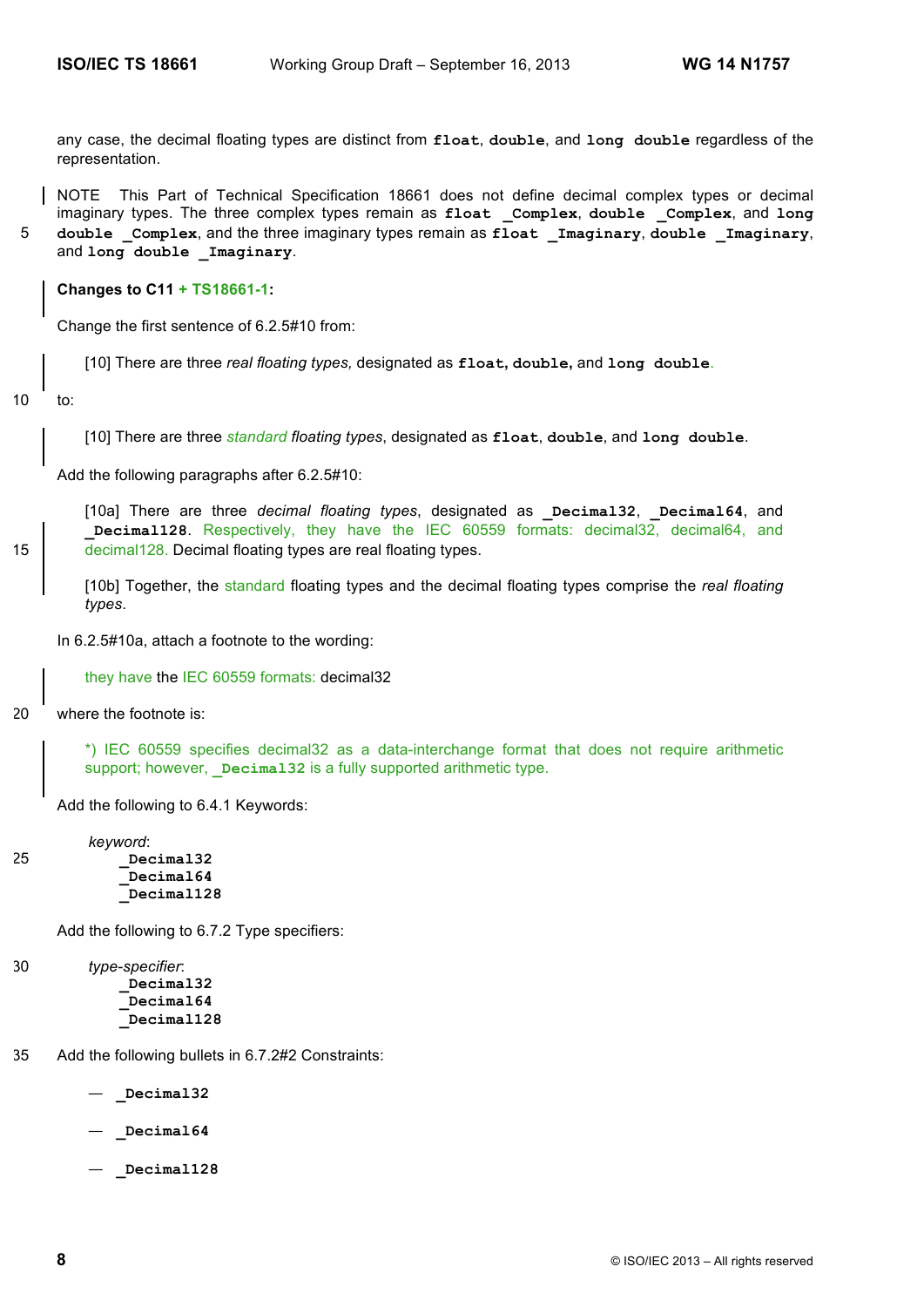any case, the decimal floating types are distinct from **float**, **double**, and **long double** regardless of the representation.

NOTE This Part of Technical Specification 18661 does not define decimal complex types or decimal imaginary types. The three complex types remain as **float \_Complex**, **double \_Complex**, and **long**  5 **double \_Complex**, and the three imaginary types remain as **float \_Imaginary**, **double \_Imaginary**,

and **long double \_Imaginary**.

**Changes to C11 + TS18661-1:**

Change the first sentence of 6.2.5#10 from:

[10] There are three *real floating types,* designated as **float, double,** and **long double**.

10 to:

[10] There are three *standard floating types*, designated as **float**, **double**, and **long double**.

Add the following paragraphs after 6.2.5#10:

[10a] There are three *decimal floating types*, designated as **\_Decimal32**, **\_Decimal64**, and **\_Decimal128**. Respectively, they have the IEC 60559 formats: decimal32, decimal64, and 15 **decimal 128.** Decimal floating types are real floating types.

[10b] Together, the standard floating types and the decimal floating types comprise the *real floating types*.

In 6.2.5#10a, attach a footnote to the wording:

they have the IEC 60559 formats: decimal32

20 where the footnote is:

\*) IEC 60559 specifies decimal32 as a data-interchange format that does not require arithmetic support; however, **Decimal32** is a fully supported arithmetic type.

Add the following to 6.4.1 Keywords:

*keyword*: 25 **\_Decimal32 \_Decimal64 \_Decimal128**

Add the following to 6.7.2 Type specifiers:

30 *type-specifier*: **\_Decimal32 \_Decimal64 \_Decimal128**

- 35 Add the following bullets in 6.7.2#2 Constraints:
	- **\_Decimal32**
	- **\_Decimal64**
	- **\_Decimal128**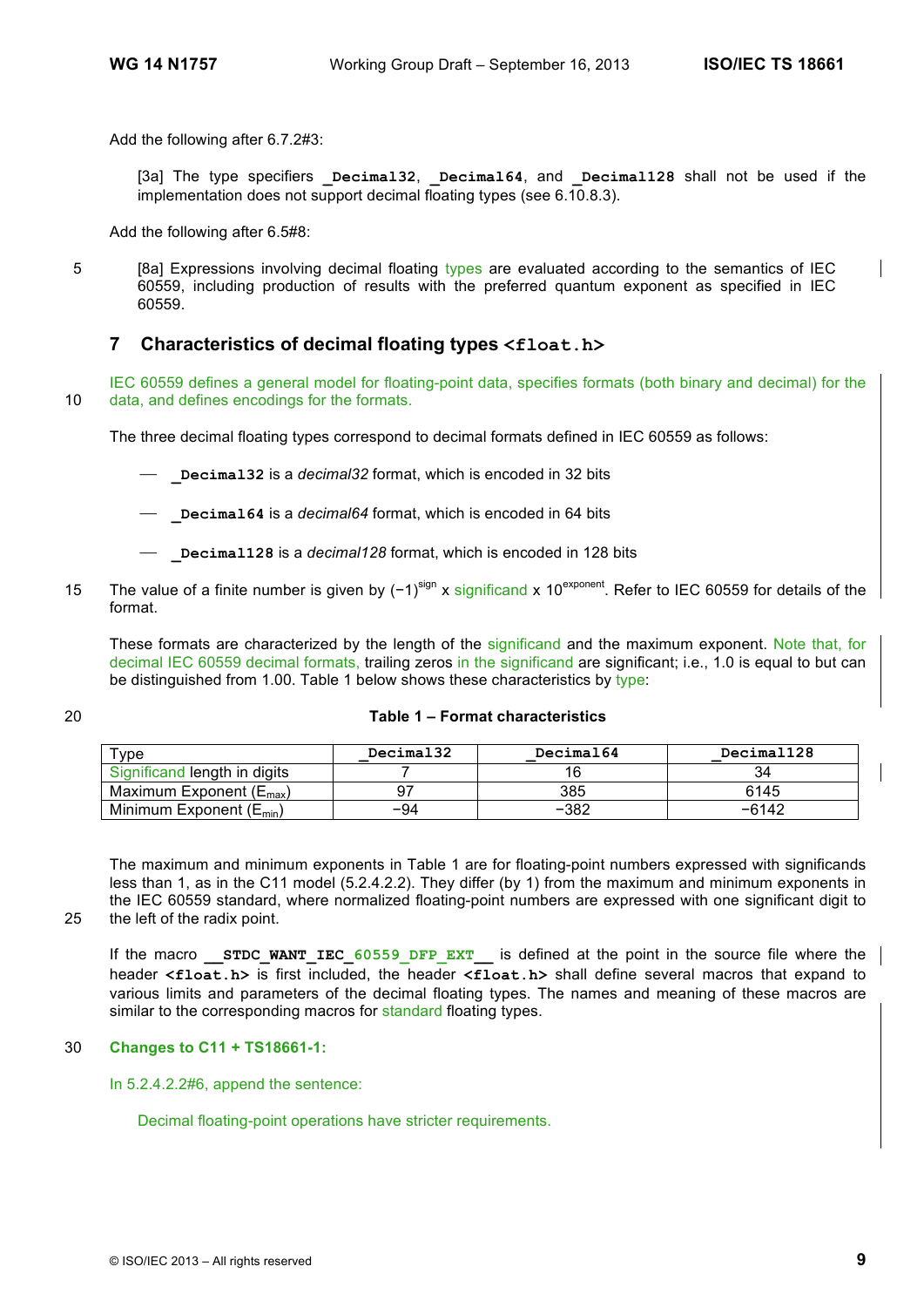Add the following after 6.7.2#3:

[3a] The type specifiers **Decimal32**, **Decimal64**, and **Decimal128** shall not be used if the implementation does not support decimal floating types (see 6.10.8.3).

Add the following after 6.5#8:

5 [8a] Expressions involving decimal floating types are evaluated according to the semantics of IEC 60559, including production of results with the preferred quantum exponent as specified in IEC 60559.

### **7 Characteristics of decimal floating types <float.h>**

IEC 60559 defines a general model for floating-point data, specifies formats (both binary and decimal) for the 10 data, and defines encodings for the formats.

The three decimal floating types correspond to decimal formats defined in IEC 60559 as follows:

⎯ **\_Decimal32** is a *decimal32* format, which is encoded in 32 bits

- ⎯ **\_Decimal64** is a *decimal64* format, which is encoded in 64 bits
- ⎯ **\_Decimal128** is a *decimal128* format, which is encoded in 128 bits
- The value of a finite number is given by (−1)<sup>sign</sup> x significand x 10<sup>exponent</sup>. Refer to IEC 60559 for details of the format.

These formats are characterized by the length of the significand and the maximum exponent. Note that, for decimal IEC 60559 decimal formats, trailing zeros in the significand are significant; i.e., 1.0 is equal to but can be distinguished from 1.00. Table 1 below shows these characteristics by type:

### 20 **Table 1 – Format characteristics**

| туре                                | Decimal32 | Decimal64 | Decimal128 |
|-------------------------------------|-----------|-----------|------------|
| Significand length in digits        |           |           |            |
| Maximum Exponent $(E_{\text{max}})$ |           | 385       | 6145       |
| Minimum Exponent $(E_{min})$        | $-94$     | $-382$    | $-6142$    |

The maximum and minimum exponents in Table 1 are for floating-point numbers expressed with significands less than 1, as in the C11 model (5.2.4.2.2). They differ (by 1) from the maximum and minimum exponents in the IEC 60559 standard, where normalized floating-point numbers are expressed with one significant digit to

25 the left of the radix point.

If the macro **STDC WANT IEC** 60559 DFP EXT is defined at the point in the source file where the header **<float.h>** is first included, the header **<float.h>** shall define several macros that expand to various limits and parameters of the decimal floating types. The names and meaning of these macros are similar to the corresponding macros for standard floating types.

### 30 **Changes to C11 + TS18661-1:**

In 5.2.4.2.2#6, append the sentence:

Decimal floating-point operations have stricter requirements.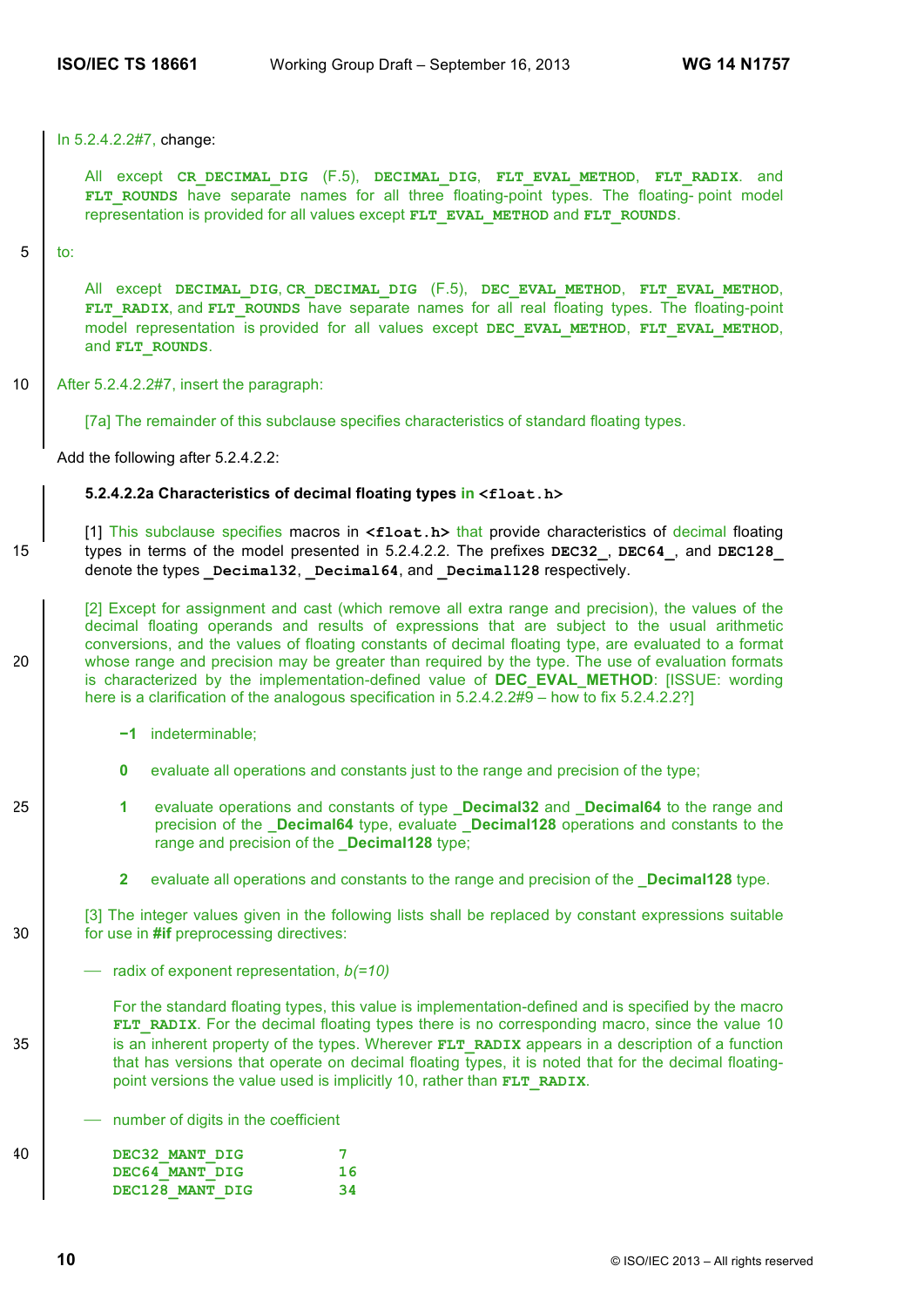In 5.2.4.2.2#7, change:

All except **CR\_DECIMAL\_DIG** (F.5), **DECIMAL\_DIG**, **FLT\_EVAL\_METHOD**, **FLT\_RADIX**. and FLT ROUNDS have separate names for all three floating-point types. The floating- point model representation is provided for all values except **FLT\_EVAL\_METHOD** and **FLT\_ROUNDS**.

#### 5 to:

All except **DECIMAL\_DIG**, **CR\_DECIMAL\_DIG** (F.5), **DEC\_EVAL\_METHOD**, **FLT\_EVAL\_METHOD**, **FLT\_RADIX**, and **FLT\_ROUNDS** have separate names for all real floating types. The floating-point model representation is provided for all values except **DEC\_EVAL\_METHOD**, **FLT\_EVAL\_METHOD**, and **FLT\_ROUNDS**.

10 | After 5.2.4.2.2#7, insert the paragraph:

[7a] The remainder of this subclause specifies characteristics of standard floating types.

Add the following after 5.2.4.2.2:

#### **5.2.4.2.2a Characteristics of decimal floating types in <float.h>**

[1] This subclause specifies macros in **<float.h>** that provide characteristics of decimal floating 15 types in terms of the model presented in 5.2.4.2.2. The prefixes **DEC32\_**, **DEC64\_**, and **DEC128\_** denote the types **Decimal32**, **Decimal64**, and **Decimal128** respectively.

[2] Except for assignment and cast (which remove all extra range and precision), the values of the decimal floating operands and results of expressions that are subject to the usual arithmetic conversions, and the values of floating constants of decimal floating type, are evaluated to a format 20 whose range and precision may be greater than required by the type. The use of evaluation formats is characterized by the implementation-defined value of **DEC\_EVAL\_METHOD**: [ISSUE: wording here is a clarification of the analogous specification in 5.2.4.2.2#9 – how to fix 5.2.4.2.2?]

- **−1** indeterminable;
- **0** evaluate all operations and constants just to the range and precision of the type;
- 25 **1** evaluate operations and constants of type **Decimal32** and **Decimal64** to the range and precision of the **\_Decimal64** type, evaluate **\_Decimal128** operations and constants to the range and precision of the **\_Decimal128** type;
	- **2** evaluate all operations and constants to the range and precision of the **\_Decimal128** type.

[3] The integer values given in the following lists shall be replaced by constant expressions suitable 30 for use in **#if** preprocessing directives:

⎯ radix of exponent representation, *b(=10)*

For the standard floating types, this value is implementation-defined and is specified by the macro **FLT\_RADIX**. For the decimal floating types there is no corresponding macro, since the value 10 35 is an inherent property of the types. Wherever **FLT** RADIX appears in a description of a function that has versions that operate on decimal floating types, it is noted that for the decimal floatingpoint versions the value used is implicitly 10, rather than **FLT\_RADIX**.

⎯ number of digits in the coefficient

| 40 | DEC32 MANT DIG  |     |
|----|-----------------|-----|
|    | DEC64 MANT DIG  |     |
|    | DEC128 MANT DIG | -34 |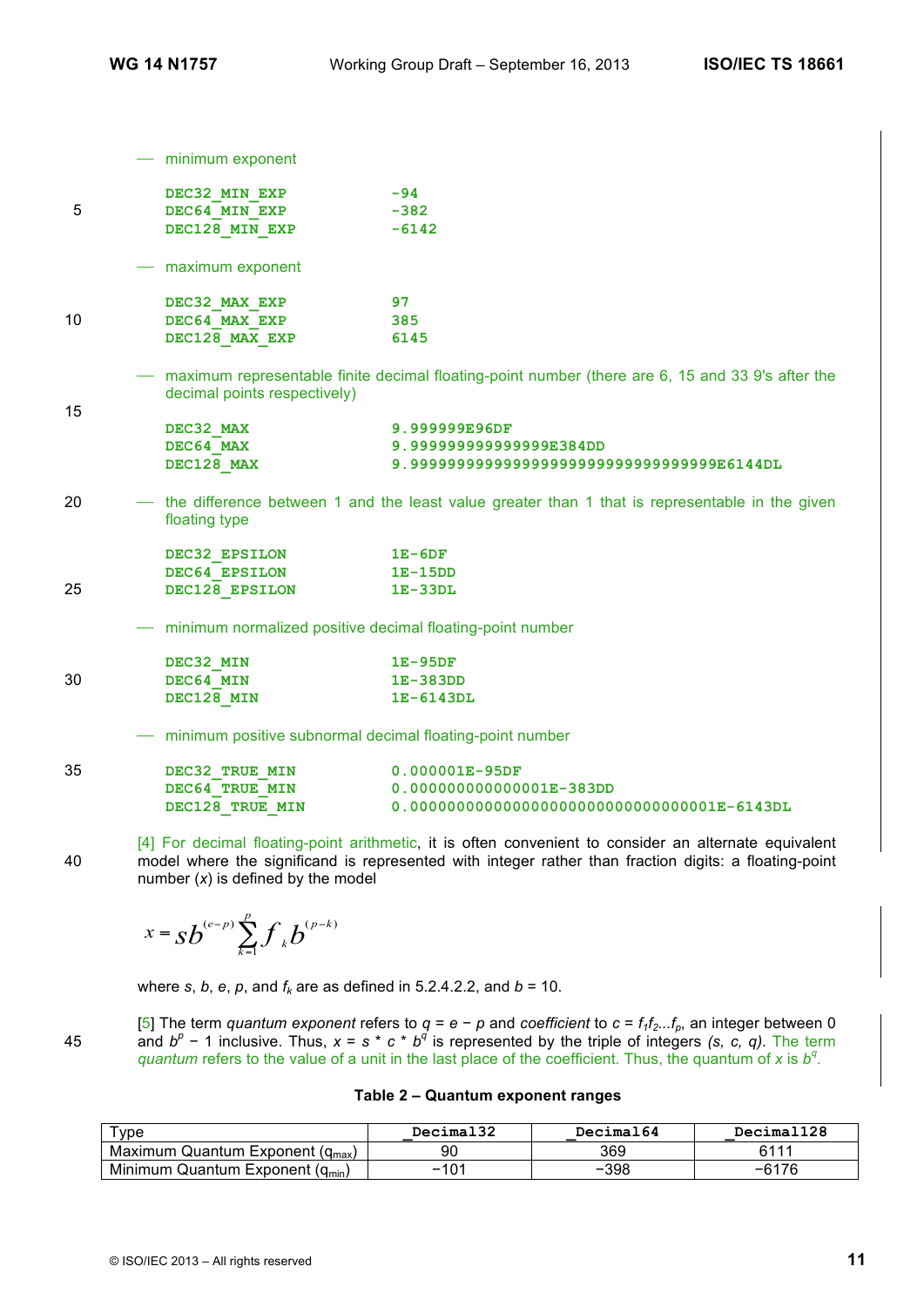|    | $-$ minimum exponent                                        |                                                                                                      |
|----|-------------------------------------------------------------|------------------------------------------------------------------------------------------------------|
|    | DEC32 MIN EXP                                               | $-94$                                                                                                |
| 5  | DEC64 MIN EXP                                               | $-382$                                                                                               |
|    | DEC128 MIN EXP                                              | $-6142$                                                                                              |
|    | - maximum exponent                                          |                                                                                                      |
|    | DEC32 MAX EXP                                               | 97                                                                                                   |
| 10 | DEC64 MAX EXP                                               | 385                                                                                                  |
|    | DEC128 MAX EXP                                              | 6145                                                                                                 |
| 15 | decimal points respectively)                                | - maximum representable finite decimal floating-point number (there are 6, 15 and 33 9's after the   |
|    | DEC32 MAX                                                   | 9.999999E96DF                                                                                        |
|    | DEC64 MAX                                                   | 9.999999999999999E384DD                                                                              |
|    | DEC128 MAX                                                  | 9.9999999999999999999999999999999999986144DL                                                         |
| 20 | floating type                                               | - the difference between 1 and the least value greater than 1 that is representable in the given     |
|    | DEC32 EPSILON 1E-6DF                                        |                                                                                                      |
|    | DEC64 EPSILON 1E-15DD                                       |                                                                                                      |
| 25 | DEC128 EPSILON                                              | $1E-33DL$                                                                                            |
|    | - minimum normalized positive decimal floating-point number |                                                                                                      |
|    | DEC32 MIN                                                   | $1E-95DF$                                                                                            |
| 30 | DEC64 MIN                                                   | 1E-383DD                                                                                             |
|    | DEC128 MIN                                                  | 1E-6143DL                                                                                            |
|    | - minimum positive subnormal decimal floating-point number  |                                                                                                      |
| 35 | DEC32 TRUE MIN                                              | $0.000001E-95DF$                                                                                     |
|    | DEC64_TRUE_MIN                                              | $0.000000000000001E-383DD$                                                                           |
|    | DEC128 TRUE MIN                                             | $0.0000000000000000000000000000000001E-6143DL$                                                       |
|    |                                                             | [4] Ear decimel flosting point erithmetic it is often convenient to consider an elternate equivalent |

[4] For decimal floating-point arithmetic, it is often convenient to consider an alternate equivalent 40 model where the significand is represented with integer rather than fraction digits: a floating-point number (*x*) is defined by the model

$$
x = s b^{(e-p)} \sum_{k=1}^{p} f_k b^{(p-k)}
$$

where  $s$ ,  $b$ ,  $e$ ,  $p$ , and  $f_k$  are as defined in 5.2.4.2.2, and  $b = 10$ .

|    | [5] The term quantum exponent refers to $q = e - p$ and coefficient to $c = f_1 f_2 f_p$ , an integer between 0 |
|----|-----------------------------------------------------------------------------------------------------------------|
| 45 | and $b^p$ – 1 inclusive. Thus, $x = s * c * b^q$ is represented by the triple of integers (s, c, q). The term   |
|    | quantum refers to the value of a unit in the last place of the coefficient. Thus, the quantum of x is $b^q$ .   |

| Table 2 - Quantum exponent ranges |  |  |
|-----------------------------------|--|--|
|-----------------------------------|--|--|

| $\tau_\mathsf{VDE}$                     | Decimal32 | Decimal64 | Decimal128  |
|-----------------------------------------|-----------|-----------|-------------|
| Quantum Exponent $(q_{max})$<br>Maximum | 90        | 369       | <b>C111</b> |
| Minimum Quantum Exponent<br>$(q_{min}$  | ·101<br>- | $-398$    | -6176       |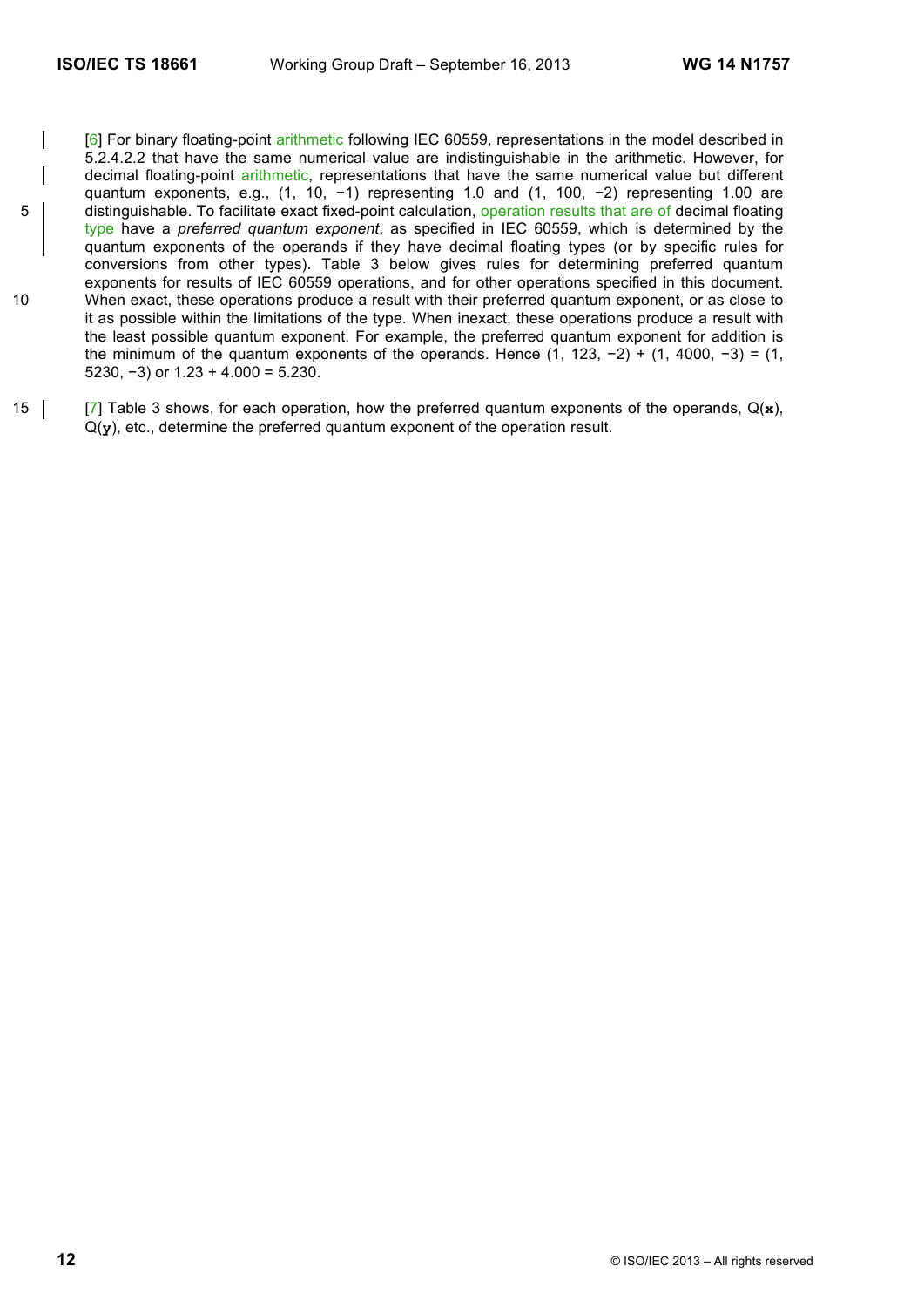- [6] For binary floating-point arithmetic following IEC 60559, representations in the model described in 5.2.4.2.2 that have the same numerical value are indistinguishable in the arithmetic. However, for decimal floating-point arithmetic, representations that have the same numerical value but different quantum exponents, e.g., (1, 10, -1) representing 1.0 and (1, 100, -2) representing 1.00 are 5 distinguishable. To facilitate exact fixed-point calculation, operation results that are of decimal floating type have a *preferred quantum exponent*, as specified in IEC 60559, which is determined by the quantum exponents of the operands if they have decimal floating types (or by specific rules for conversions from other types). Table 3 below gives rules for determining preferred quantum exponents for results of IEC 60559 operations, and for other operations specified in this document. 10 When exact, these operations produce a result with their preferred quantum exponent, or as close to it as possible within the limitations of the type. When inexact, these operations produce a result with the least possible quantum exponent. For example, the preferred quantum exponent for addition is the minimum of the quantum exponents of the operands. Hence  $(1, 123, -2) + (1, 4000, -3) = (1,$ 5230,  $-3$ ) or 1.23 + 4.000 = 5.230.
- 15 [7] Table 3 shows, for each operation, how the preferred quantum exponents of the operands, Q(**x**), Q(**y**), etc., determine the preferred quantum exponent of the operation result.

**12** © ISO/IEC 2013 – All rights reserved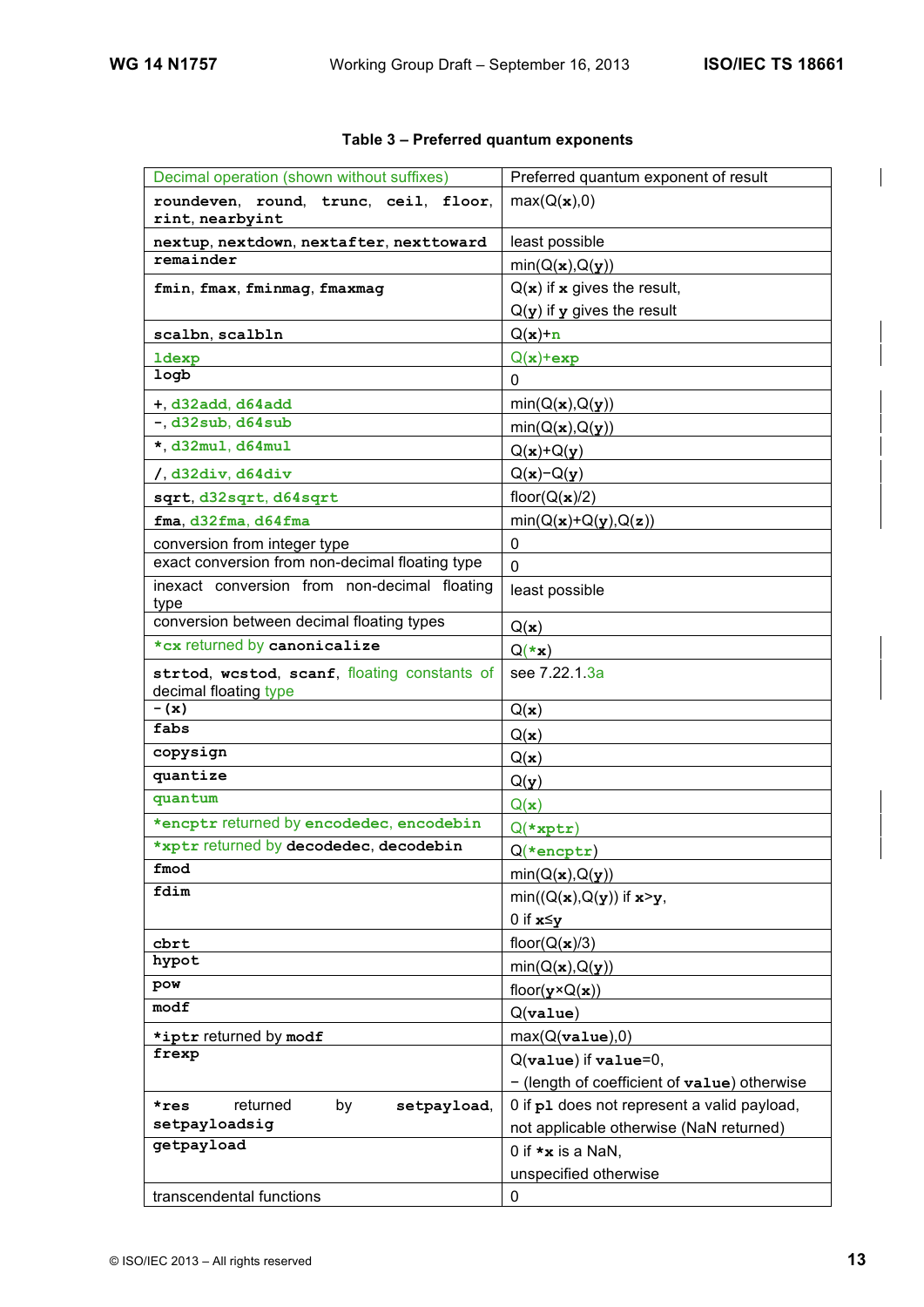$\overline{\phantom{a}}$ 

| Decimal operation (shown without suffixes)                            | Preferred quantum exponent of result         |
|-----------------------------------------------------------------------|----------------------------------------------|
| roundeven, round, trunc, ceil, floor,<br>rint, nearbyint              | max(Q(x),0)                                  |
| nextup, nextdown, nextafter, nexttoward                               | least possible                               |
| remainder                                                             | min(Q(x), Q(y))                              |
| fmin, fmax, fminmag, fmaxmag                                          | $Q(x)$ if x gives the result,                |
|                                                                       | $Q(y)$ if y gives the result                 |
| scalbn, scalbln                                                       | $Q(x)+n$                                     |
| <b>ldexp</b>                                                          | $Q(x)$ +exp                                  |
| logb                                                                  | $\mathbf{0}$                                 |
| $+$ , d32add, d64add                                                  | min(Q(x), Q(y))                              |
| $-$ , d32sub, d64sub                                                  | min(Q(x), Q(y))                              |
| $\star$ , d32mul, d64mul                                              | $Q(x)+Q(y)$                                  |
| $/$ , d32div, d64div                                                  | $Q(x)$ - $Q(y)$                              |
| sqrt, d32sqrt, d64sqrt                                                | floor( $Q(\mathbf{x})/2$ )                   |
| fma, d32fma, d64fma                                                   | $min(Q(x)+Q(y),Q(z))$                        |
| conversion from integer type                                          | 0                                            |
| exact conversion from non-decimal floating type                       | 0                                            |
| inexact conversion from non-decimal floating<br>type                  | least possible                               |
| conversion between decimal floating types                             | Q(x)                                         |
| *cx returned by canonicalize                                          | $Q(\star x)$                                 |
| strtod, westod, scanf, floating constants of<br>decimal floating type | see 7.22.1.3a                                |
| $-$ (x)                                                               | Q(x)                                         |
| fabs                                                                  | Q(x)                                         |
| copysign                                                              | Q(x)                                         |
| quantize                                                              | Q(y)                                         |
| quantum                                                               | Q(x)                                         |
| *encptr returned by encodedec, encodebin                              | $Q$ (*xptr)                                  |
| *xptr returned by decodedec, decodebin                                | $Q$ (*encptr)                                |
| fmod                                                                  | min(Q(x), Q(y))                              |
| fdim                                                                  | $min((Q(x), Q(y))$ if $x > y$ ,              |
|                                                                       | 0 if $x \leq y$                              |
| cbrt                                                                  | floor( $Q(x)/3$ )                            |
| hypot                                                                 | min(Q(x), Q(y))                              |
| pow                                                                   | floor( $\mathbf{y} \times Q(\mathbf{x})$ )   |
| modf                                                                  | $Q($ value $)$                               |
| *iptr returned by modf                                                | max(Q( <b>value</b> ),0)                     |
| frexp                                                                 | $Q(\text{value})$ if $\text{value}=0$ ,      |
|                                                                       | - (length of coefficient of value) otherwise |
| returned<br>by<br>setpayload,<br>*res                                 | 0 if p1 does not represent a valid payload,  |
| setpayloadsig                                                         | not applicable otherwise (NaN returned)      |
| getpayload                                                            | 0 if $\star$ <b>x</b> is a NaN,              |
|                                                                       | unspecified otherwise                        |
| transcendental functions                                              | 0                                            |

### **Table 3 – Preferred quantum exponents**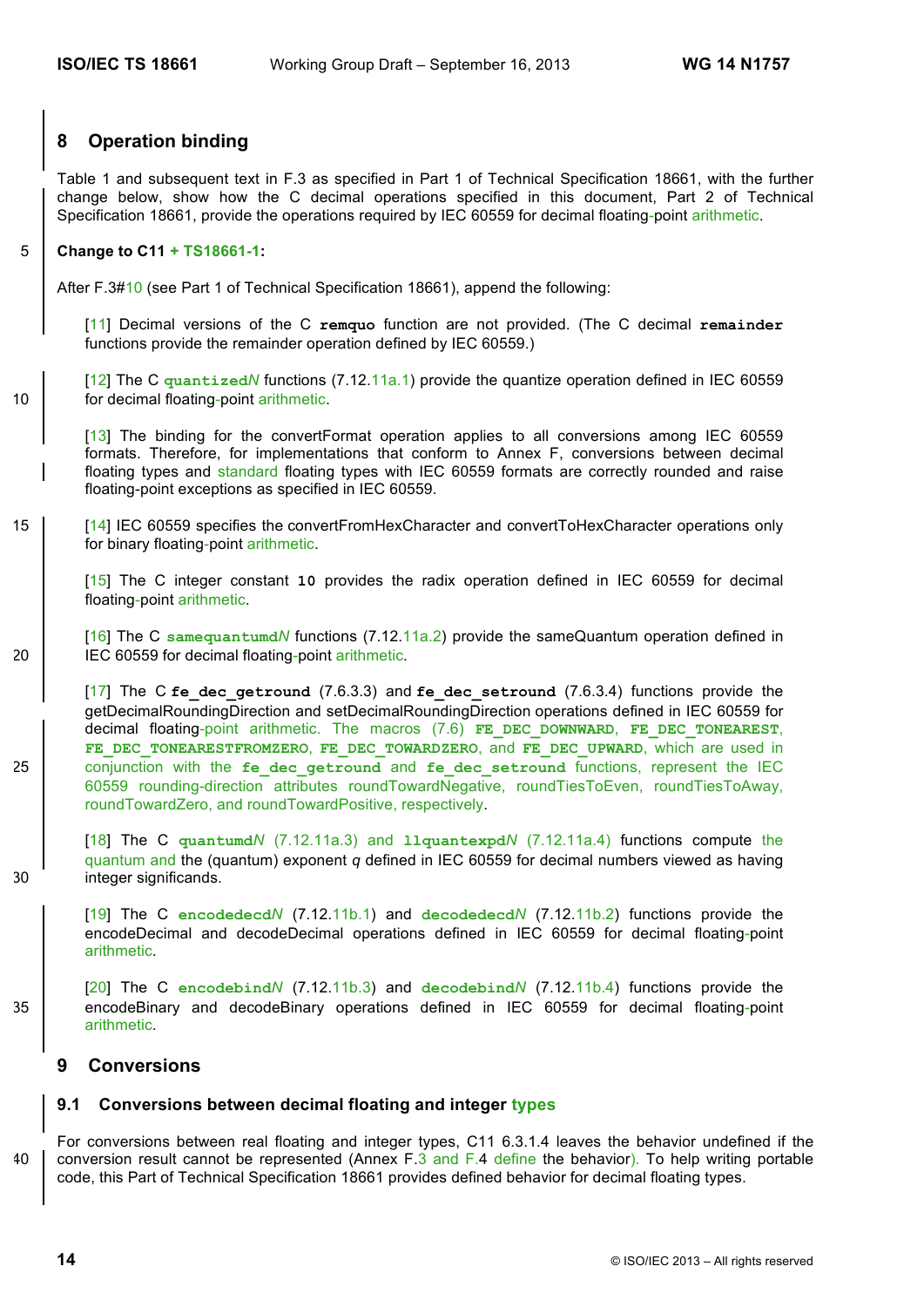### **8 Operation binding**

Table 1 and subsequent text in F.3 as specified in Part 1 of Technical Specification 18661, with the further change below, show how the C decimal operations specified in this document, Part 2 of Technical Specification 18661, provide the operations required by IEC 60559 for decimal floating-point arithmetic.

### 5 **Change to C11 + TS18661-1:**

After F.3#10 (see Part 1 of Technical Specification 18661), append the following:

[11] Decimal versions of the C **remquo** function are not provided. (The C decimal **remainder** functions provide the remainder operation defined by IEC 60559.)

[12] The C **quantized***N* functions (7.12.11a.1) provide the quantize operation defined in IEC 60559 10 | for decimal floating-point arithmetic.

[13] The binding for the convertFormat operation applies to all conversions among IEC 60559 formats. Therefore, for implementations that conform to Annex F, conversions between decimal floating types and standard floating types with IEC 60559 formats are correctly rounded and raise floating-point exceptions as specified in IEC 60559.

### 15 [14] IEC 60559 specifies the convertFromHexCharacter and convertToHexCharacter operations only for binary floating-point arithmetic.

[15] The C integer constant **10** provides the radix operation defined in IEC 60559 for decimal floating-point arithmetic.

[16] The C **samequantumd***N* functions (7.12.11a.2) provide the sameQuantum operation defined in 20 | IEC 60559 for decimal floating-point arithmetic.

[17] The C **fe\_dec\_getround** (7.6.3.3) and **fe\_dec\_setround** (7.6.3.4) functions provide the getDecimalRoundingDirection and setDecimalRoundingDirection operations defined in IEC 60559 for decimal floating-point arithmetic. The macros (7.6) **FE\_DEC\_DOWNWARD**, **FE\_DEC\_TONEAREST**, FE\_DEC\_TONEARESTFROMZERO, FE\_DEC\_TOWARDZERO, and FE\_DEC\_UPWARD, which are used in 25 conjunction with the fe dec getround and fe dec setround functions, represent the IEC 60559 rounding-direction attributes roundTowardNegative, roundTiesToEven, roundTiesToAway, roundTowardZero, and roundTowardPositive, respectively.

[18] The C **quantumd***N* (7.12.11a.3) and **llquantexpd***N* (7.12.11a.4) functions compute the quantum and the (quantum) exponent *q* defined in IEC 60559 for decimal numbers viewed as having 30 integer significands.

[19] The C **encodedecd***N* (7.12.11b.1) and **decodedecd***N* (7.12.11b.2) functions provide the encodeDecimal and decodeDecimal operations defined in IEC 60559 for decimal floating-point arithmetic.

[20] The C **encodebind***N* (7.12.11b.3) and **decodebind***N* (7.12.11b.4) functions provide the 35 encodeBinary and decodeBinary operations defined in IEC 60559 for decimal floating-point arithmetic.

### **9 Conversions**

### **9.1 Conversions between decimal floating and integer types**

For conversions between real floating and integer types, C11 6.3.1.4 leaves the behavior undefined if the 40 conversion result cannot be represented (Annex F.3 and F.4 define the behavior). To help writing portable code, this Part of Technical Specification 18661 provides defined behavior for decimal floating types.

**14** © ISO/IEC 2013 – All rights reserved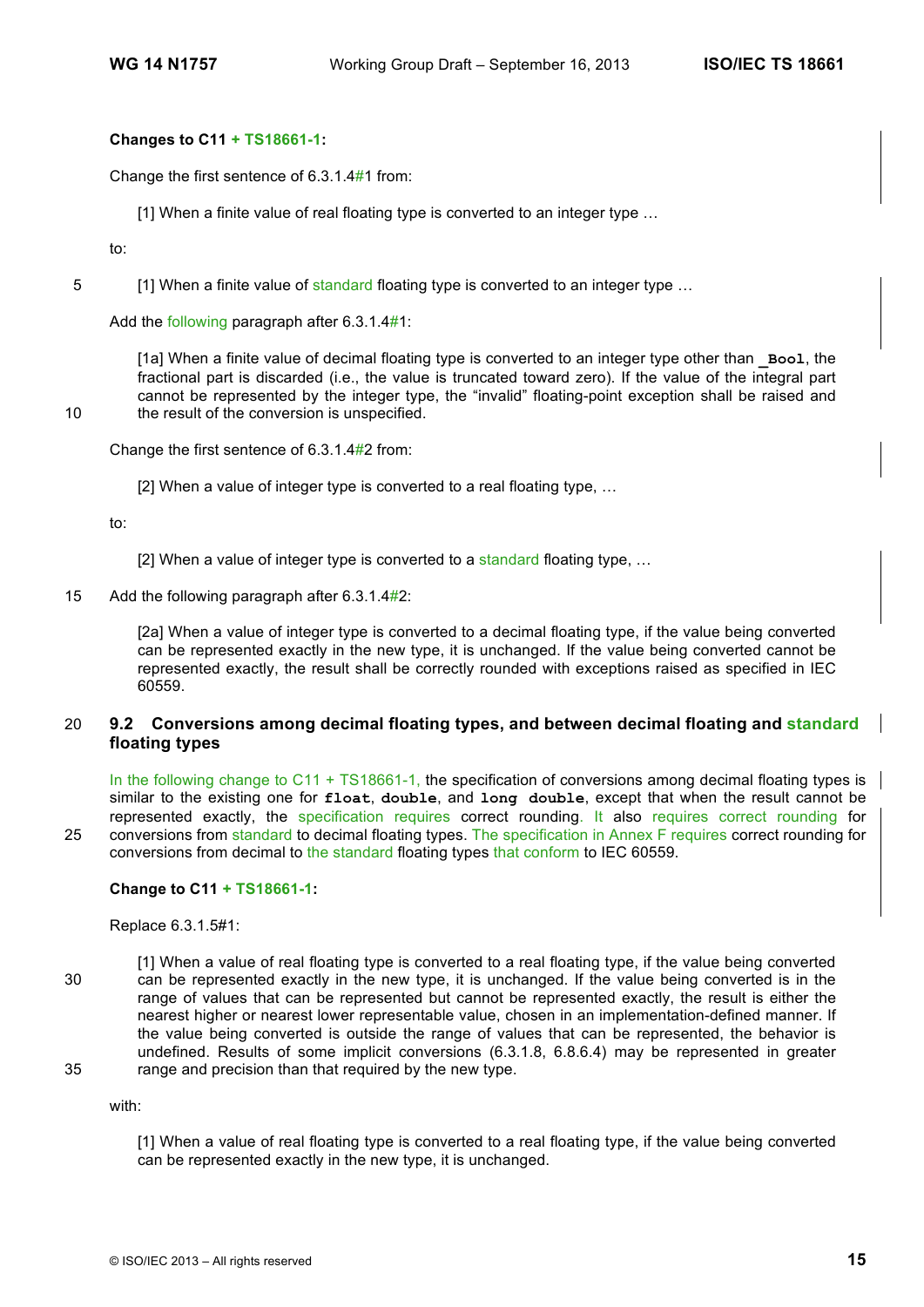### **Changes to C11 + TS18661-1:**

Change the first sentence of 6.3.1.4#1 from:

[1] When a finite value of real floating type is converted to an integer type ...

to:

5 [1] When a finite value of standard floating type is converted to an integer type ...

Add the following paragraph after 6.3.1.4#1:

[1a] When a finite value of decimal floating type is converted to an integer type other than **\_Bool**, the fractional part is discarded (i.e., the value is truncated toward zero). If the value of the integral part cannot be represented by the integer type, the "invalid" floating-point exception shall be raised and 10 the result of the conversion is unspecified.

Change the first sentence of 6.3.1.4#2 from:

[2] When a value of integer type is converted to a real floating type, …

to:

- [2] When a value of integer type is converted to a standard floating type, ...
- 15 Add the following paragraph after 6.3.1.4#2:

[2a] When a value of integer type is converted to a decimal floating type, if the value being converted can be represented exactly in the new type, it is unchanged. If the value being converted cannot be represented exactly, the result shall be correctly rounded with exceptions raised as specified in IEC 60559.

### 20 **9.2 Conversions among decimal floating types, and between decimal floating and standard floating types**

In the following change to C11 + TS18661-1, the specification of conversions among decimal floating types is similar to the existing one for **float**, **double**, and **long double**, except that when the result cannot be represented exactly, the specification requires correct rounding. It also requires correct rounding for 25 conversions from standard to decimal floating types. The specification in Annex F requires correct rounding for conversions from decimal to the standard floating types that conform to IEC 60559.

### **Change to C11 + TS18661-1:**

Replace 6.3.1.5#1:

[1] When a value of real floating type is converted to a real floating type, if the value being converted 30 can be represented exactly in the new type, it is unchanged. If the value being converted is in the range of values that can be represented but cannot be represented exactly, the result is either the nearest higher or nearest lower representable value, chosen in an implementation-defined manner. If the value being converted is outside the range of values that can be represented, the behavior is undefined. Results of some implicit conversions (6.3.1.8, 6.8.6.4) may be represented in greater 35 range and precision than that required by the new type.

with:

[1] When a value of real floating type is converted to a real floating type, if the value being converted can be represented exactly in the new type, it is unchanged.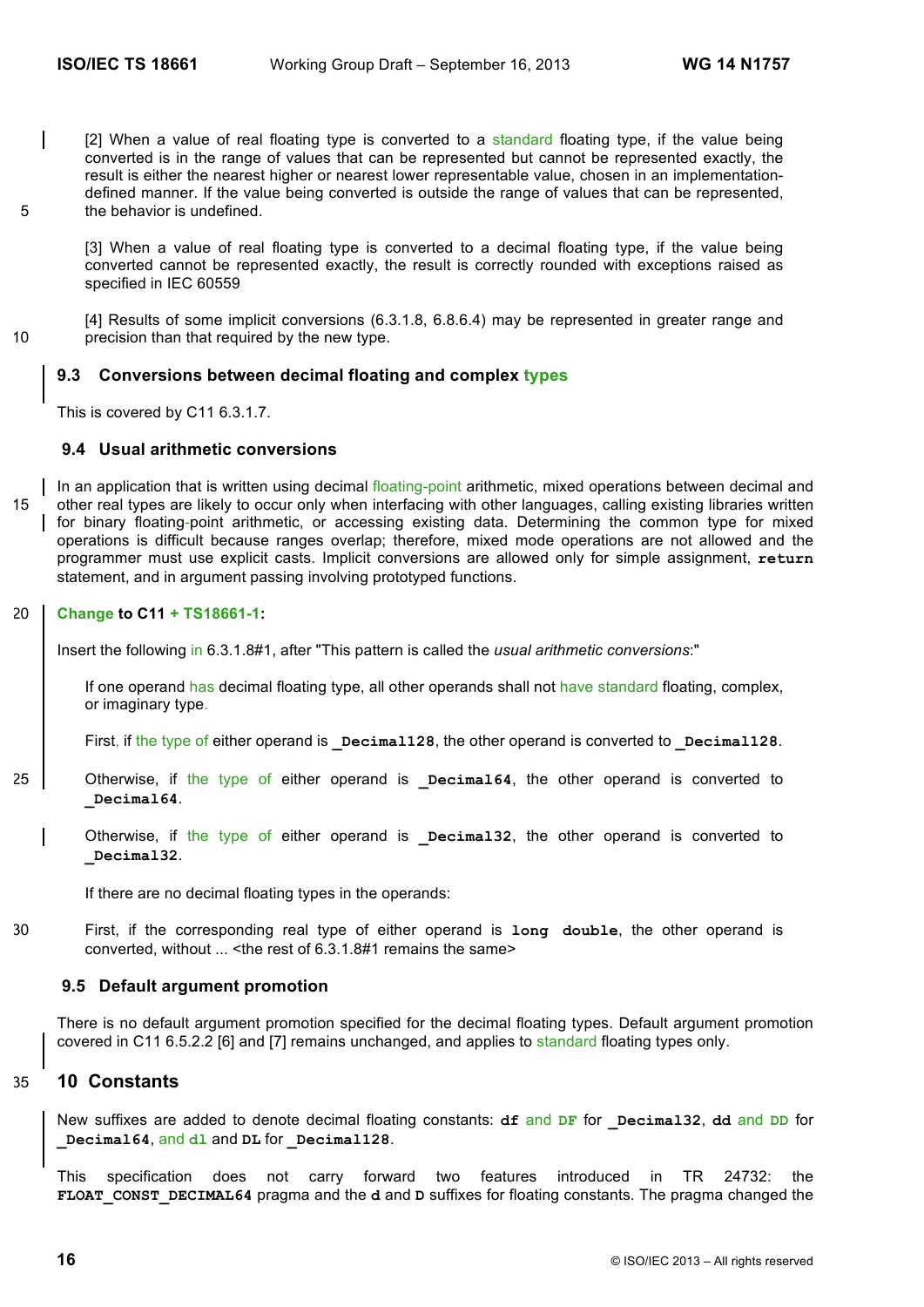[2] When a value of real floating type is converted to a standard floating type, if the value being converted is in the range of values that can be represented but cannot be represented exactly, the result is either the nearest higher or nearest lower representable value, chosen in an implementationdefined manner. If the value being converted is outside the range of values that can be represented, 5 the behavior is undefined.

[3] When a value of real floating type is converted to a decimal floating type, if the value being converted cannot be represented exactly, the result is correctly rounded with exceptions raised as specified in IEC 60559

[4] Results of some implicit conversions (6.3.1.8, 6.8.6.4) may be represented in greater range and 10 precision than that required by the new type.

### **9.3 Conversions between decimal floating and complex types**

This is covered by C11 6.3.1.7.

### **9.4 Usual arithmetic conversions**

In an application that is written using decimal floating-point arithmetic, mixed operations between decimal and 15 other real types are likely to occur only when interfacing with other languages, calling existing libraries written for binary floating-point arithmetic, or accessing existing data. Determining the common type for mixed operations is difficult because ranges overlap; therefore, mixed mode operations are not allowed and the programmer must use explicit casts. Implicit conversions are allowed only for simple assignment, **return** statement, and in argument passing involving prototyped functions.

### 20 **Change to C11 + TS18661-1:**

Insert the following in 6.3.1.8#1, after "This pattern is called the *usual arithmetic conversions*:"

If one operand has decimal floating type, all other operands shall not have standard floating, complex, or imaginary type.

First, if the type of either operand is **pecimal128**, the other operand is converted to **pecimal128**.

25 Otherwise, if the type of either operand is **Decimal64**, the other operand is converted to **\_Decimal64**.

Otherwise, if the type of either operand is **Decimal32**, the other operand is converted to **\_Decimal32**.

If there are no decimal floating types in the operands:

30 First, if the corresponding real type of either operand is **long double**, the other operand is converted, without ... < the rest of 6.3.1.8#1 remains the same>

### **9.5 Default argument promotion**

There is no default argument promotion specified for the decimal floating types. Default argument promotion covered in C11 6.5.2.2 [6] and [7] remains unchanged, and applies to standard floating types only.

### 35 **10 Constants**

New suffixes are added to denote decimal floating constants: **df** and **DF** for **\_Decimal32**, **dd** and **DD** for **\_Decimal64**, and **dl** and **DL** for **\_Decimal128**.

This specification does not carry forward two features introduced in TR 24732: the **FLOAT\_CONST\_DECIMAL64** pragma and the **d** and **D** suffixes for floating constants. The pragma changed the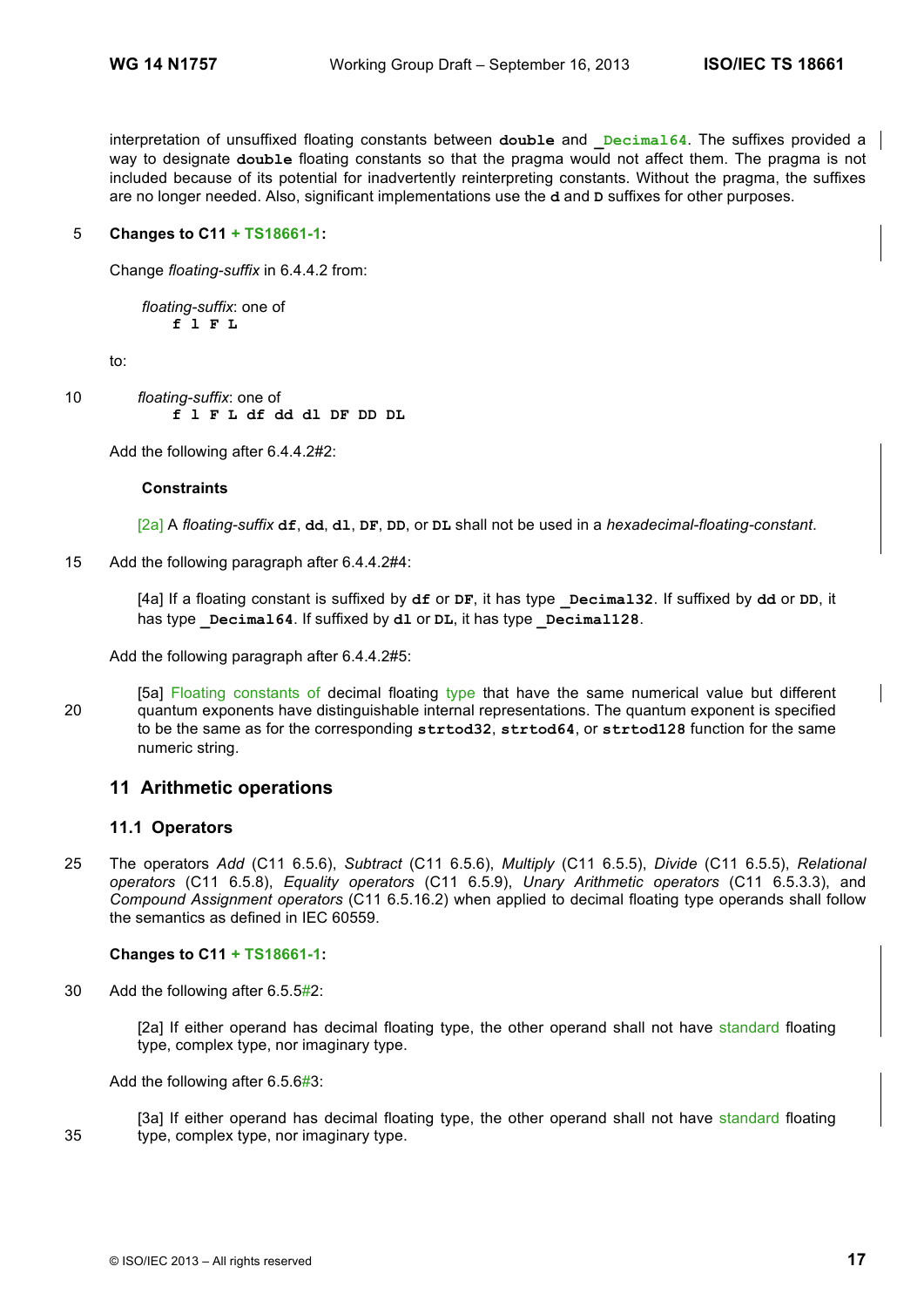interpretation of unsuffixed floating constants between double and **Decimal64**. The suffixes provided a way to designate **double** floating constants so that the pragma would not affect them. The pragma is not included because of its potential for inadvertently reinterpreting constants. Without the pragma, the suffixes are no longer needed. Also, significant implementations use the **d** and **D** suffixes for other purposes.

### 5 **Changes to C11 + TS18661-1:**

Change *floating-suffix* in 6.4.4.2 from:

*floating-suffix*: one of **f l F L**

to:

10 *floating-suffix*: one of **f l F L df dd dl DF DD DL**

Add the following after 6.4.4.2#2:

#### **Constraints**

[2a] A *floating-suffix* **df**, **dd**, **dl**, **DF**, **DD**, or **DL** shall not be used in a *hexadecimal-floating-constant*.

15 Add the following paragraph after 6.4.4.2#4:

[4a] If a floating constant is suffixed by **df** or **DF**, it has type **\_Decimal32**. If suffixed by **dd** or **DD**, it has type **Decimal64**. If suffixed by **dl** or **DL**, it has type **Decimal128**.

Add the following paragraph after 6.4.4.2#5:

[5a] Floating constants of decimal floating type that have the same numerical value but different 20 quantum exponents have distinguishable internal representations. The quantum exponent is specified to be the same as for the corresponding **strtod32**, **strtod64**, or **strtod128** function for the same numeric string.

### **11 Arithmetic operations**

### **11.1 Operators**

25 The operators *Add* (C11 6.5.6), *Subtract* (C11 6.5.6), *Multiply* (C11 6.5.5), *Divide* (C11 6.5.5), *Relational operators* (C11 6.5.8), *Equality operators* (C11 6.5.9), *Unary Arithmetic operators* (C11 6.5.3.3), and *Compound Assignment operators* (C11 6.5.16.2) when applied to decimal floating type operands shall follow the semantics as defined in IEC 60559.

### **Changes to C11 + TS18661-1:**

30 Add the following after 6.5.5#2:

[2a] If either operand has decimal floating type, the other operand shall not have standard floating type, complex type, nor imaginary type.

Add the following after 6.5.6#3:

[3a] If either operand has decimal floating type, the other operand shall not have standard floating 35 type, complex type, nor imaginary type.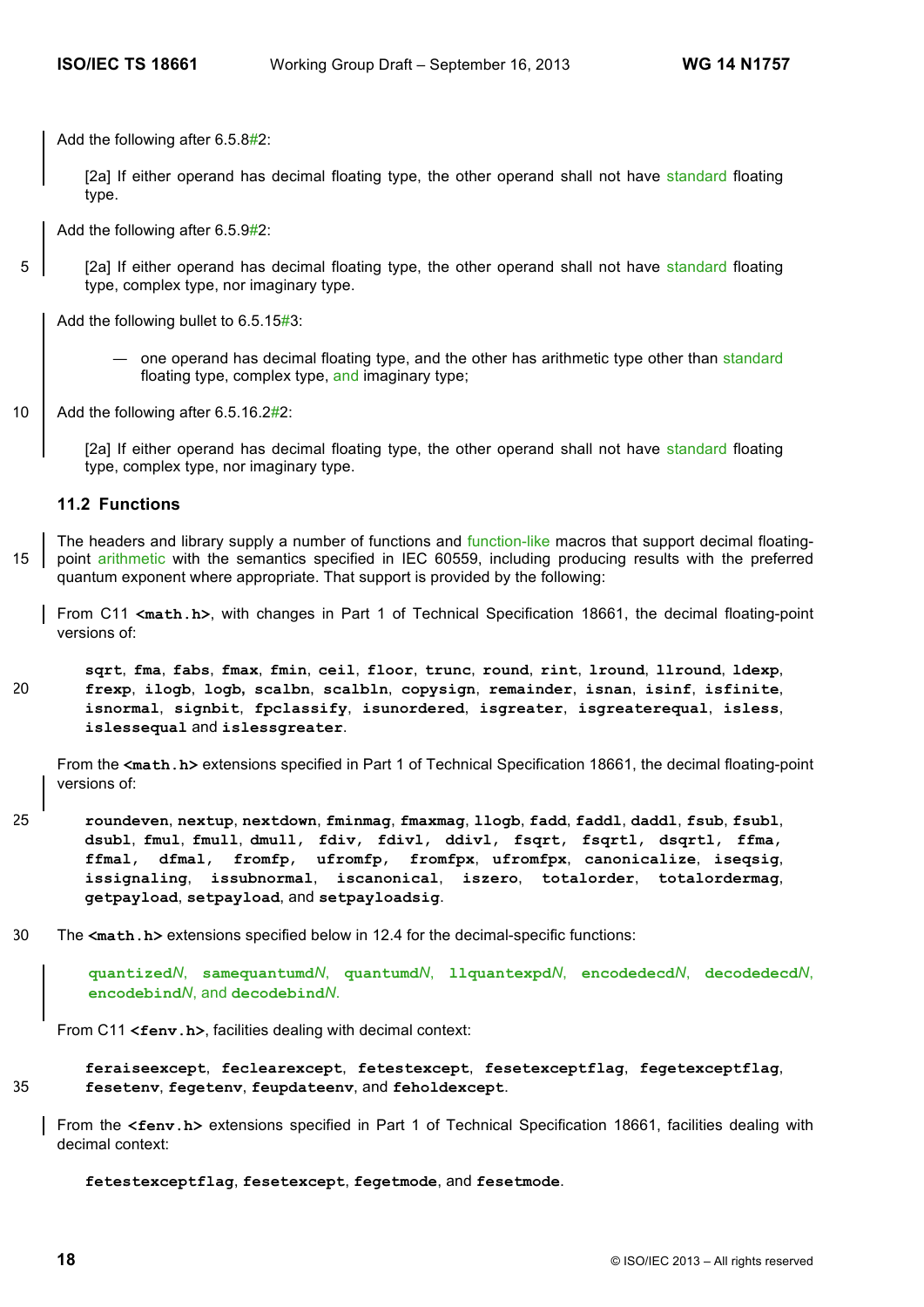Add the following after 6.5.8#2:

[2a] If either operand has decimal floating type, the other operand shall not have standard floating type.

Add the following after 6.5.9#2:

5 [2a] If either operand has decimal floating type, the other operand shall not have standard floating type, complex type, nor imaginary type.

Add the following bullet to 6.5.15#3:

- one operand has decimal floating type, and the other has arithmetic type other than standard floating type, complex type, and imaginary type;
- 10 Add the following after 6.5.16.2#2:

[2a] If either operand has decimal floating type, the other operand shall not have standard floating type, complex type, nor imaginary type.

### **11.2 Functions**

The headers and library supply a number of functions and function-like macros that support decimal floating-15 point arithmetic with the semantics specified in IEC 60559, including producing results with the preferred quantum exponent where appropriate. That support is provided by the following:

From C11 **<math.h>**, with changes in Part 1 of Technical Specification 18661, the decimal floating-point versions of:

**sqrt**, **fma**, **fabs**, **fmax**, **fmin**, **ceil**, **floor**, **trunc**, **round**, **rint**, **lround**, **llround**, **ldexp**, 20 **frexp**, **ilogb**, **logb, scalbn**, **scalbln**, **copysign**, **remainder**, **isnan**, **isinf**, **isfinite**, **isnormal**, **signbit**, **fpclassify**, **isunordered**, **isgreater**, **isgreaterequal**, **isless**, **islessequal** and **islessgreater**.

From the **<math.h>** extensions specified in Part 1 of Technical Specification 18661, the decimal floating-point versions of:

- 25 **roundeven**, **nextup**, **nextdown**, **fminmag**, **fmaxmag**, **llogb**, **fadd**, **faddl**, **daddl**, **fsub**, **fsubl**, **dsubl**, **fmul**, **fmull**, **dmull**, **fdiv**, **fdivl**, **ddivl**, **fsqrt**, **fsqrtl**, **dsqrtl**, **ffma**, **ffmal**, **dfmal**, **fromfp**, **ufromfp**, **fromfpx**, **ufromfpx**, **canonicalize**, **iseqsig**, **issignaling**, **issubnormal**, **iscanonical**, **iszero**, **totalorder**, **totalordermag**, **getpayload**, **setpayload**, and **setpayloadsig**.
- 30 The **<math.h>** extensions specified below in 12.4 for the decimal-specific functions:

**quantized***N*, **samequantumd***N*, **quantumd***N*, **llquantexpd***N*, **encodedecd***N*, **decodedecd***N*, **encodebind***N*, and **decodebind***N*.

From C11 <**fenv.h>**, facilities dealing with decimal context:

**feraiseexcept**, **feclearexcept**, **fetestexcept**, **fesetexceptflag**, **fegetexceptflag**, 35 **fesetenv**, **fegetenv**, **feupdateenv**, and **feholdexcept**.

From the **<fenv.h>** extensions specified in Part 1 of Technical Specification 18661, facilities dealing with decimal context:

**fetestexceptflag**, **fesetexcept**, **fegetmode**, and **fesetmode**.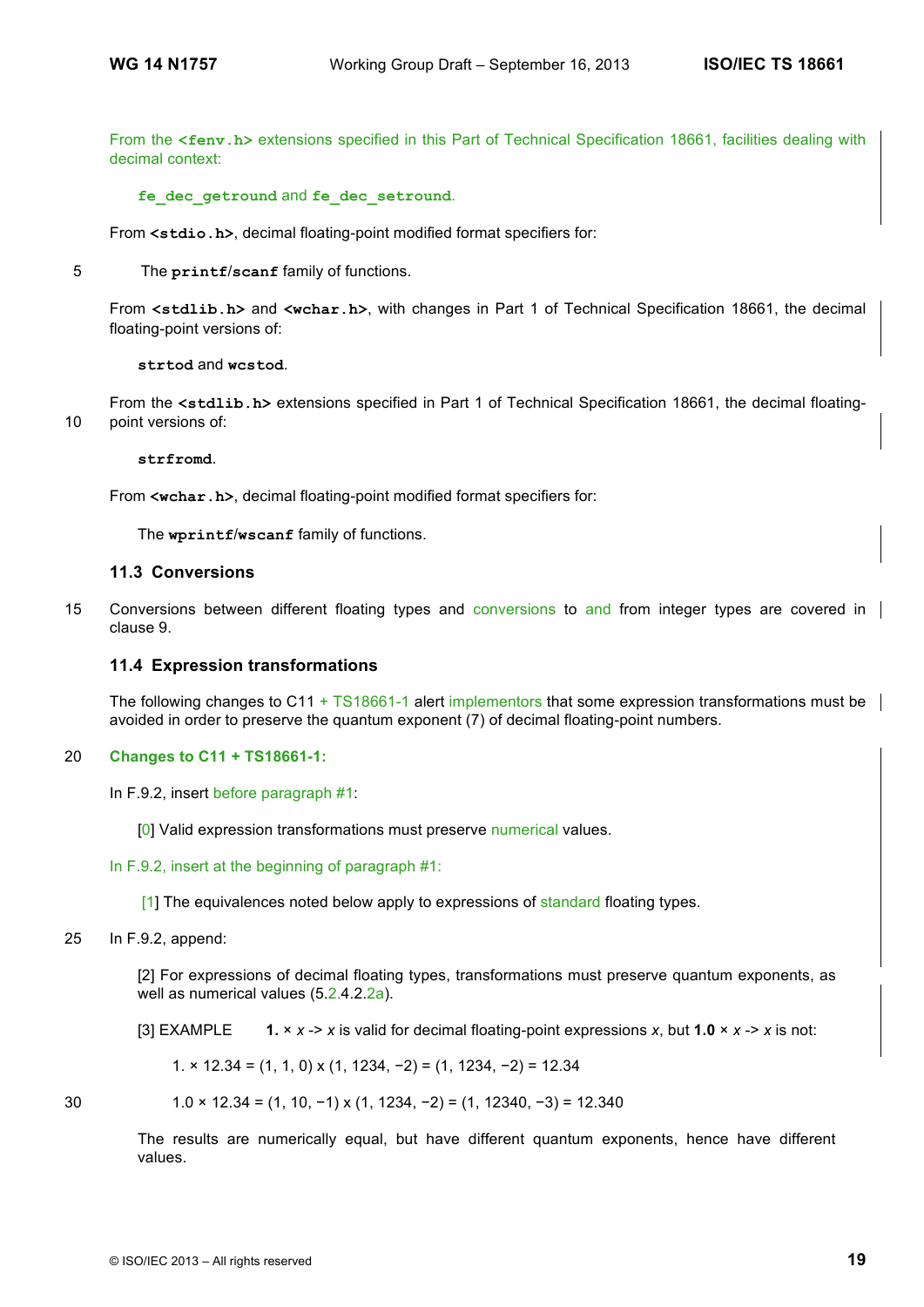From the **<fenv.h>** extensions specified in this Part of Technical Specification 18661, facilities dealing with decimal context:

### **fe\_dec\_getround** and **fe\_dec\_setround**.

From **<stdio.h>**, decimal floating-point modified format specifiers for:

5 The **printf**/**scanf** family of functions.

From **<stdlib.h>** and **<wchar.h>**, with changes in Part 1 of Technical Specification 18661, the decimal floating-point versions of:

**strtod** and **wcstod**.

From the **<stdlib.h>** extensions specified in Part 1 of Technical Specification 18661, the decimal floating-10 point versions of:

**strfromd**.

From **<wchar.h>**, decimal floating-point modified format specifiers for:

The **wprintf**/**wscanf** family of functions.

### **11.3 Conversions**

15 Conversions between different floating types and conversions to and from integer types are covered in clause 9.

### **11.4 Expression transformations**

The following changes to C11 + TS18661-1 alert implementors that some expression transformations must be avoided in order to preserve the quantum exponent (7) of decimal floating-point numbers.

### 20 **Changes to C11 + TS18661-1:**

```
In F.9.2, insert before paragraph #1:
```
[0] Valid expression transformations must preserve numerical values.

### In F.9.2, insert at the beginning of paragraph #1:

[1] The equivalences noted below apply to expressions of standard floating types.

25 In F.9.2, append:

[2] For expressions of decimal floating types, transformations must preserve quantum exponents, as well as numerical values (5.2.4.2.2a).

[3] EXAMPLE **1.** × *x* -> *x* is valid for decimal floating-point expressions *x*, but **1.0** × *x* -> *x* is not:

1. × 12.34 = (1, 1, 0) x (1, 1234, −2) = (1, 1234, −2) = 12.34

30 1.0 × 12.34 = (1, 10, −1) x (1, 1234, −2) = (1, 12340, −3) = 12.340

The results are numerically equal, but have different quantum exponents, hence have different values.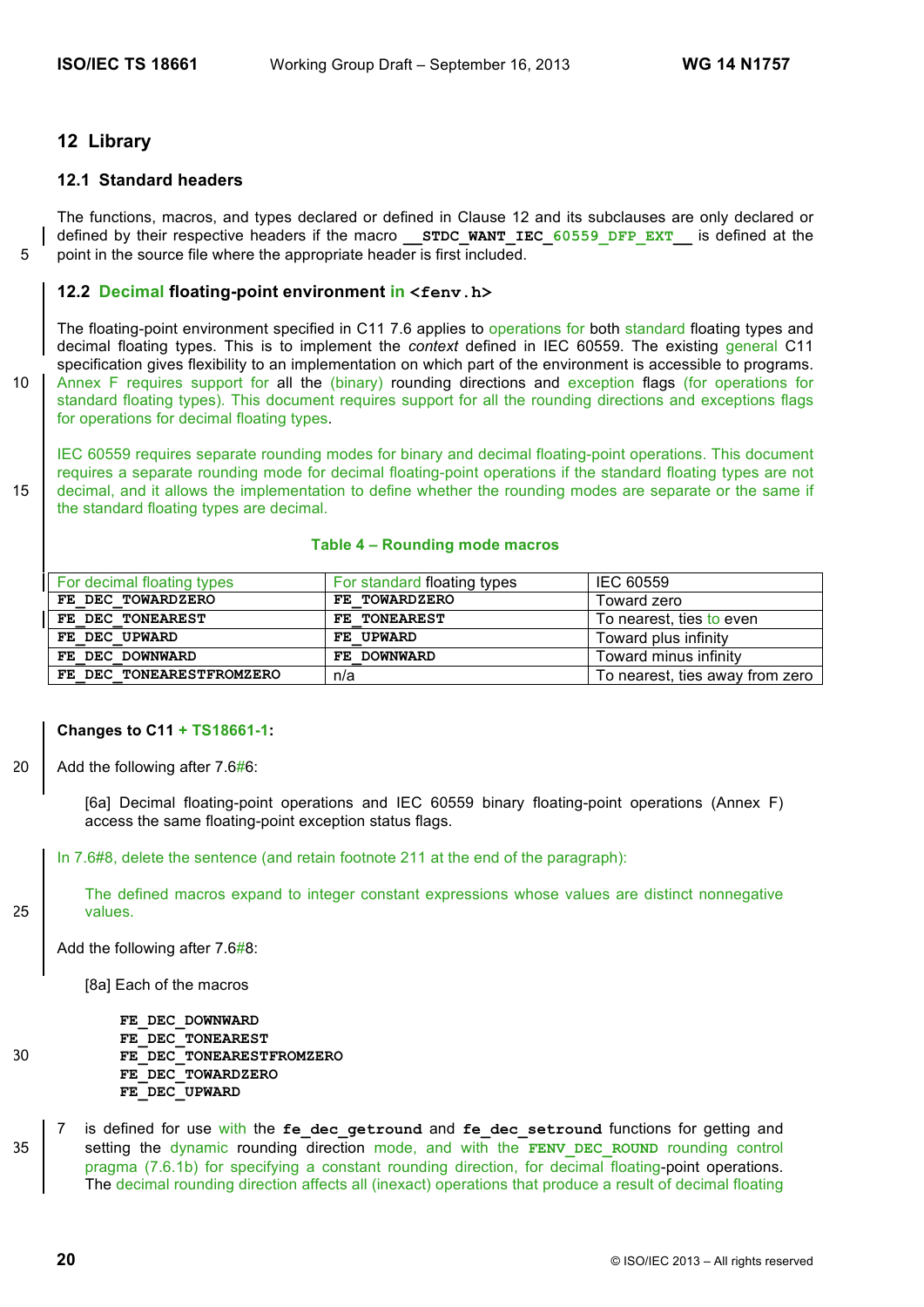### **12 Library**

### **12.1 Standard headers**

The functions, macros, and types declared or defined in Clause 12 and its subclauses are only declared or defined by their respective headers if the macro **STDC\_WANT\_IEC\_60559\_DFP\_EXT** is defined at the 5 point in the source file where the appropriate header is first included.

### **12.2 Decimal floating-point environment in <fenv.h>**

The floating-point environment specified in C11 7.6 applies to operations for both standard floating types and decimal floating types. This is to implement the *context* defined in IEC 60559. The existing general C11 specification gives flexibility to an implementation on which part of the environment is accessible to programs. 10 | Annex F requires support for all the (binary) rounding directions and exception flags (for operations for standard floating types). This document requires support for all the rounding directions and exceptions flags for operations for decimal floating types.

IEC 60559 requires separate rounding modes for binary and decimal floating-point operations. This document requires a separate rounding mode for decimal floating-point operations if the standard floating types are not 15 decimal, and it allows the implementation to define whether the rounding modes are separate or the same if the standard floating types are decimal.

#### **Table 4 – Rounding mode macros**

| For decimal floating types | For standard floating types | IEC 60559                       |
|----------------------------|-----------------------------|---------------------------------|
| FE DEC TOWARDZERO          | FE TOWARDZERO               | Toward zero                     |
| FE DEC TONEAREST           | FE TONEAREST                | To nearest, ties to even        |
| FE DEC UPWARD              | FE UPWARD                   | Toward plus infinity            |
| FE DEC DOWNWARD            | FE DOWNWARD                 | Toward minus infinity           |
| FE DEC TONEARESTFROMZERO   | n/a                         | To nearest, ties away from zero |

#### **Changes to C11 + TS18661-1:**

20  $\vert$  Add the following after 7.6#6:

[6a] Decimal floating-point operations and IEC 60559 binary floating-point operations (Annex F) access the same floating-point exception status flags.

In 7.6#8, delete the sentence (and retain footnote 211 at the end of the paragraph):

The defined macros expand to integer constant expressions whose values are distinct nonnegative 25 values.

Add the following after 7.6#8:

[8a] Each of the macros

**FE\_DEC\_DOWNWARD FE\_DEC\_TONEAREST** 30 **FE\_DEC\_TONEARESTFROMZERO FE\_DEC\_TOWARDZERO FE\_DEC\_UPWARD**

is defined for use with the fe dec getround and fe dec setround functions for getting and 35 setting the dynamic rounding direction mode, and with the **FENV DEC** ROUND rounding control pragma (7.6.1b) for specifying a constant rounding direction, for decimal floating-point operations. The decimal rounding direction affects all (inexact) operations that produce a result of decimal floating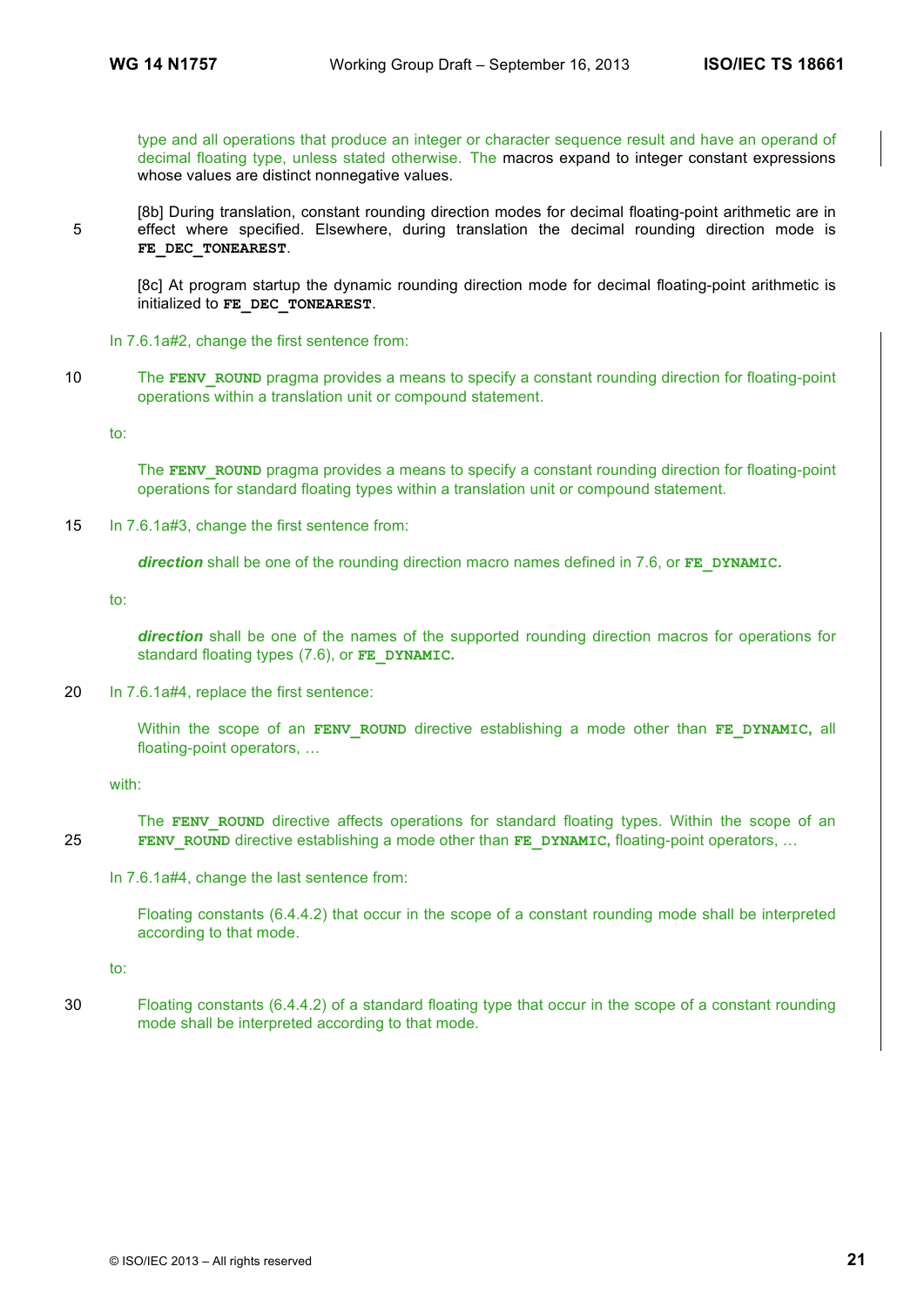type and all operations that produce an integer or character sequence result and have an operand of decimal floating type, unless stated otherwise. The macros expand to integer constant expressions whose values are distinct nonnegative values.

[8b] During translation, constant rounding direction modes for decimal floating-point arithmetic are in 5 effect where specified. Elsewhere, during translation the decimal rounding direction mode is **FE\_DEC\_TONEAREST**.

[8c] At program startup the dynamic rounding direction mode for decimal floating-point arithmetic is initialized to **FE\_DEC\_TONEAREST**.

In 7.6.1a#2, change the first sentence from:

10 The **FENV** ROUND pragma provides a means to specify a constant rounding direction for floating-point operations within a translation unit or compound statement.

to:

The **FENV** ROUND pragma provides a means to specify a constant rounding direction for floating-point operations for standard floating types within a translation unit or compound statement.

15 In 7.6.1a#3, change the first sentence from:

*direction* shall be one of the rounding direction macro names defined in 7.6, or **FE\_DYNAMIC.**

to:

direction shall be one of the names of the supported rounding direction macros for operations for standard floating types (7.6), or **FE\_DYNAMIC.**

20 In 7.6.1a#4, replace the first sentence:

Within the scope of an **FENV** ROUND directive establishing a mode other than **FE\_DYNAMIC**, all floating-point operators, …

with:

The **FENV** ROUND directive affects operations for standard floating types. Within the scope of an 25 **FENV\_ROUND** directive establishing a mode other than **FE\_DYNAMIC,** floating-point operators, …

In 7.6.1a#4, change the last sentence from:

Floating constants (6.4.4.2) that occur in the scope of a constant rounding mode shall be interpreted according to that mode.

to:

30 Floating constants (6.4.4.2) of a standard floating type that occur in the scope of a constant rounding mode shall be interpreted according to that mode.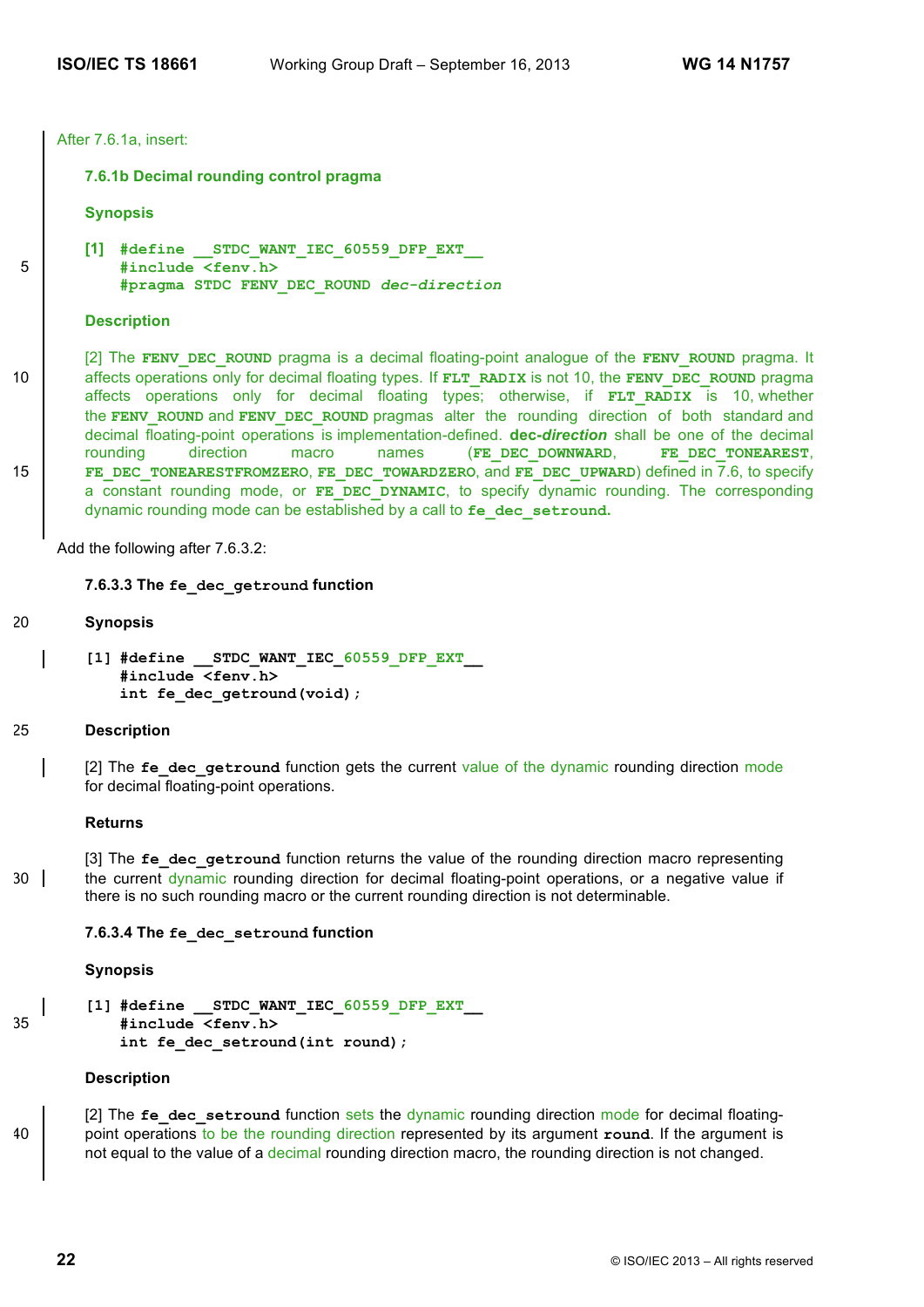After 7.6.1a, insert:

#### **7.6.1b Decimal rounding control pragma**

**Synopsis**

```
[1] #define __STDC_WANT_IEC_60559_DFP_EXT__
5 #include <fenv.h>
          #pragma STDC FENV_DEC_ROUND dec-direction
```
#### **Description**

[2] The **FENV\_DEC\_ROUND** pragma is a decimal floating-point analogue of the **FENV\_ROUND** pragma. It 10 **affects operations only for decimal floating types. If <b>FLT** RADIX is not 10, the **FENV** DEC ROUND pragma affects operations only for decimal floating types; otherwise, if **FLT RADIX** is 10, whether the FENV ROUND and FENV DEC ROUND pragmas alter the rounding direction of both standard and decimal floating-point operations is implementation-defined. **dec-***direction* shall be one of the decimal rounding direction macro names (**FE\_DEC\_DOWNWARD**, **FE\_DEC\_TONEAREST**, 15 **FE\_DEC\_TONEARESTFROMZERO**, **FE\_DEC\_TOWARDZERO**, and **FE\_DEC\_UPWARD**) defined in 7.6, to specify a constant rounding mode, or **FE DEC DYNAMIC**, to specify dynamic rounding. The corresponding dynamic rounding mode can be established by a call to **fe\_dec\_setround.**

Add the following after 7.6.3.2:

### **7.6.3.3 The fe\_dec\_getround function**

- 20 **Synopsis**
	- **[1] #define \_\_STDC\_WANT\_IEC\_60559\_DFP\_EXT\_\_ #include <fenv.h> int fe\_dec\_getround(void);**

#### 25 **Description**

[2] The *fe* dec getround function gets the current value of the dynamic rounding direction mode for decimal floating-point operations.

#### **Returns**

[3] The fe dec getround function returns the value of the rounding direction macro representing  $30$  the current dynamic rounding direction for decimal floating-point operations, or a negative value if there is no such rounding macro or the current rounding direction is not determinable.

#### **7.6.3.4 The fe\_dec\_setround function**

#### **Synopsis**

**[1] #define \_\_STDC\_WANT\_IEC\_60559\_DFP\_EXT\_\_** 35 **#include <fenv.h> int fe\_dec\_setround(int round);**

### **Description**

[2] The *fe* dec setround function sets the dynamic rounding direction mode for decimal floating-40 point operations to be the rounding direction represented by its argument **round**. If the argument is not equal to the value of a decimal rounding direction macro, the rounding direction is not changed.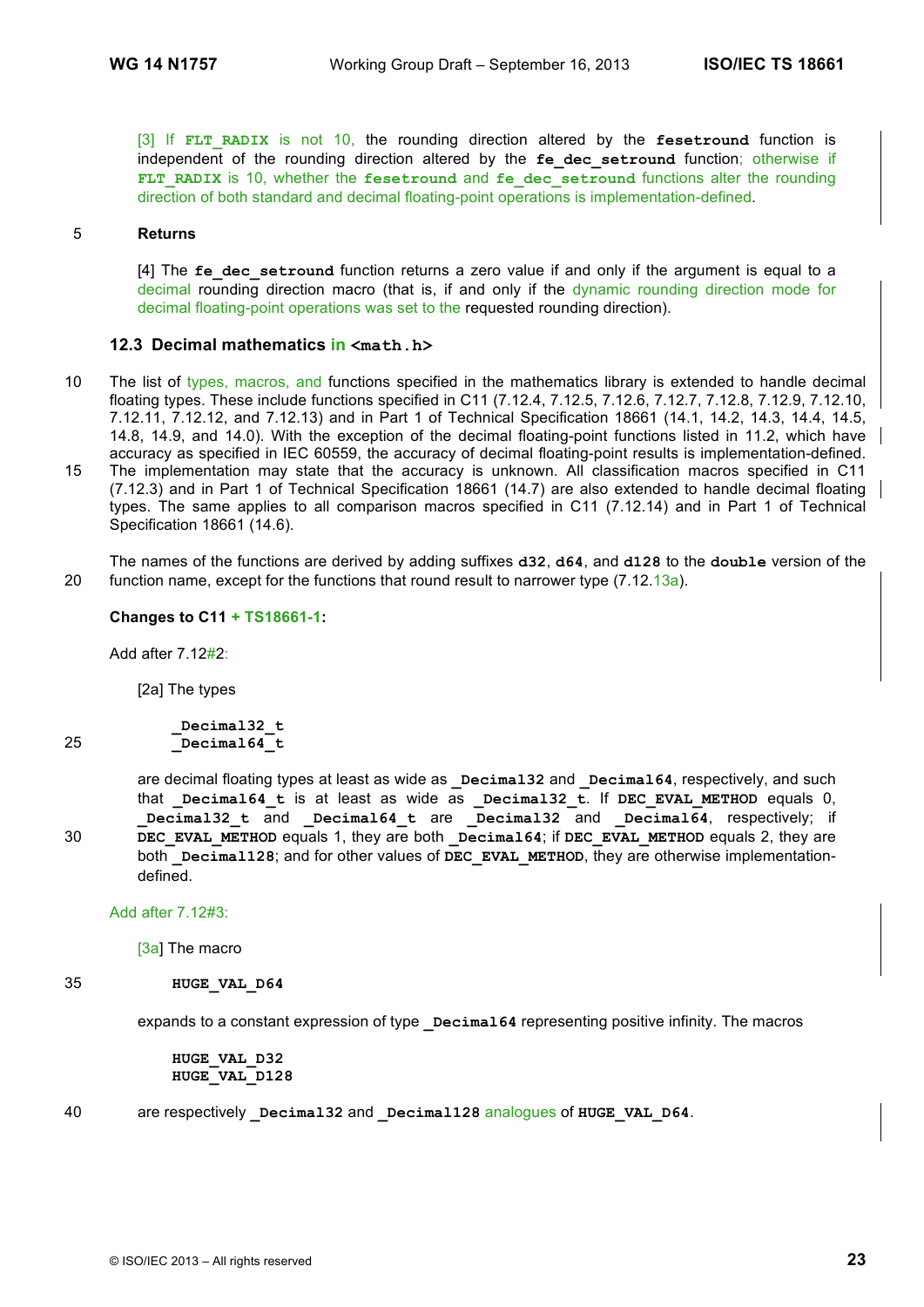[3] If **FLT\_RADIX** is not 10, the rounding direction altered by the **fesetround** function is independent of the rounding direction altered by the fe dec setround function; otherwise if FLT RADIX is 10, whether the fesetround and fe dec setround functions alter the rounding direction of both standard and decimal floating-point operations is implementation-defined.

### 5 **Returns**

[4] The fe dec setround function returns a zero value if and only if the argument is equal to a decimal rounding direction macro (that is, if and only if the dynamic rounding direction mode for decimal floating-point operations was set to the requested rounding direction).

### **12.3 Decimal mathematics in <math.h>**

- 10 The list of types, macros, and functions specified in the mathematics library is extended to handle decimal floating types. These include functions specified in C11 (7.12.4, 7.12.5, 7.12.6, 7.12.7, 7.12.8, 7.12.9, 7.12.10, 7.12.11, 7.12.12, and 7.12.13) and in Part 1 of Technical Specification 18661 (14.1, 14.2, 14.3, 14.4, 14.5, 14.8, 14.9, and 14.0). With the exception of the decimal floating-point functions listed in 11.2, which have accuracy as specified in IEC 60559, the accuracy of decimal floating-point results is implementation-defined.
- 15 The implementation may state that the accuracy is unknown. All classification macros specified in C11 (7.12.3) and in Part 1 of Technical Specification 18661 (14.7) are also extended to handle decimal floating types. The same applies to all comparison macros specified in C11 (7.12.14) and in Part 1 of Technical Specification 18661 (14.6).

The names of the functions are derived by adding suffixes **d32**, **d64**, and **d128** to the **double** version of the 20 function name, except for the functions that round result to narrower type (7.12.13a).

#### **Changes to C11 + TS18661-1:**

Add after 7.12#2:

[2a] The types

**\_Decimal32\_t** 25 **\_Decimal64\_t**

are decimal floating types at least as wide as **Decimal32** and **Decimal64**, respectively, and such that **\_Decimal64\_t** is at least as wide as **\_Decimal32\_t**. If **DEC\_EVAL\_METHOD** equals 0, **\_Decimal32\_t** and **\_Decimal64\_t** are **\_Decimal32** and **\_Decimal64**, respectively; if 30 **DEC\_EVAL\_METHOD** equals 1, they are both **\_Decimal64**; if **DEC\_EVAL\_METHOD** equals 2, they are both **Decimal128**; and for other values of **DEC** EVAL METHOD, they are otherwise implementationdefined.

Add after 7.12#3:

[3a] The macro

#### 35 **HUGE\_VAL\_D64**

expands to a constant expression of type **Decimal64** representing positive infinity. The macros

**HUGE\_VAL\_D32 HUGE\_VAL\_D128**

### 40 are respectively **\_Decimal32** and **\_Decimal128** analogues of **HUGE\_VAL\_D64**.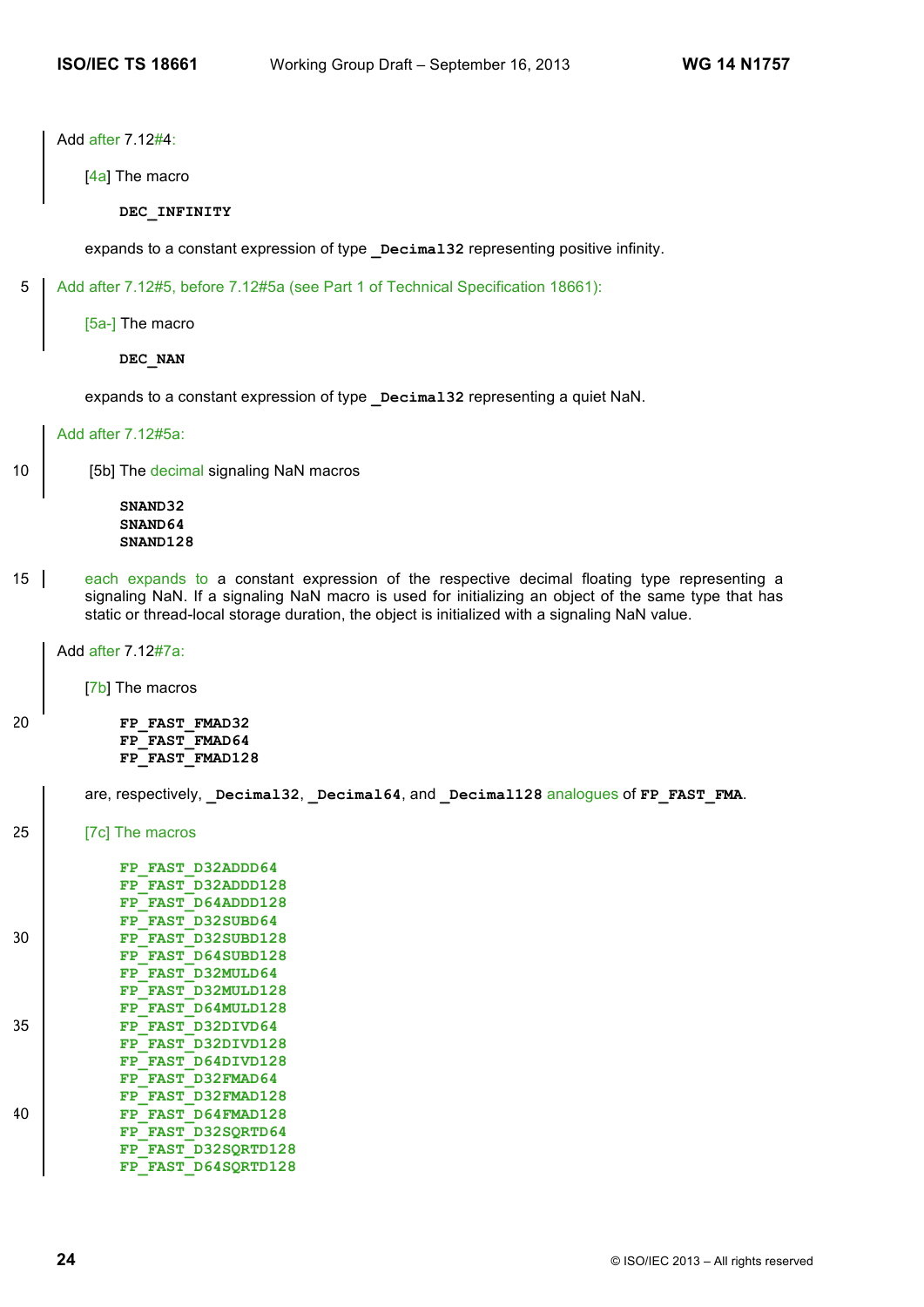Add after 7.12#4:

[4a] The macro

**DEC\_INFINITY**

expands to a constant expression of type **Decimal32** representing positive infinity.

5 Add after 7.12#5, before 7.12#5a (see Part 1 of Technical Specification 18661):

[5a-] The macro

**DEC\_NAN**

expands to a constant expression of type **Decimal32** representing a quiet NaN.

Add after 7.12#5a:

10 | [5b] The decimal signaling NaN macros

**SNAND32 SNAND64 SNAND128**

15 each expands to a constant expression of the respective decimal floating type representing a signaling NaN. If a signaling NaN macro is used for initializing an object of the same type that has static or thread-local storage duration, the object is initialized with a signaling NaN value.

Add after 7.12#7a:

[7b] The macros

20 **FP\_FAST\_FMAD32 FP\_FAST\_FMAD64 FP\_FAST\_FMAD128**

are, respectively, Decimal32, Decimal64, and Decimal128 analogues of FP\_FAST\_FMA.

25 [7c] The macros

|    | D32ADDD64<br><b>FAST</b><br>FP         |
|----|----------------------------------------|
|    | <b>D32ADDD128</b><br><b>FAST</b><br>FP |
|    | <b>D64ADDD128</b><br><b>FAST</b><br>FP |
|    | D32SUBD64<br><b>FAST</b><br>${\bf FP}$ |
| 30 | D32SUBD128<br>FP FAST                  |
|    | D64SUBD128<br><b>FAST</b><br>FP        |
|    | FP FAST D32MULD64                      |
|    | D32MULD128<br><b>FAST</b><br>FP        |
|    | D64MULD128<br><b>FP FAST</b>           |
| 35 | D32DIVD64<br><b>FAST</b><br>FP         |
|    | D32DIVD128<br><b>FAST</b><br>FP        |
|    | D64DIVD128<br><b>FAST</b><br>FP        |
|    | D32FMAD64<br><b>FAST</b><br>FP         |
|    | D32FMAD128<br><b>FAST</b><br>FP        |
| 40 | D64FMAD128<br><b>FAST</b><br>FP        |
|    | D32SORTD64<br><b>FAST</b><br>FP        |
|    | D32SORTD128<br><b>FP FAST</b>          |
|    | D64SORTD128<br>FP FAST                 |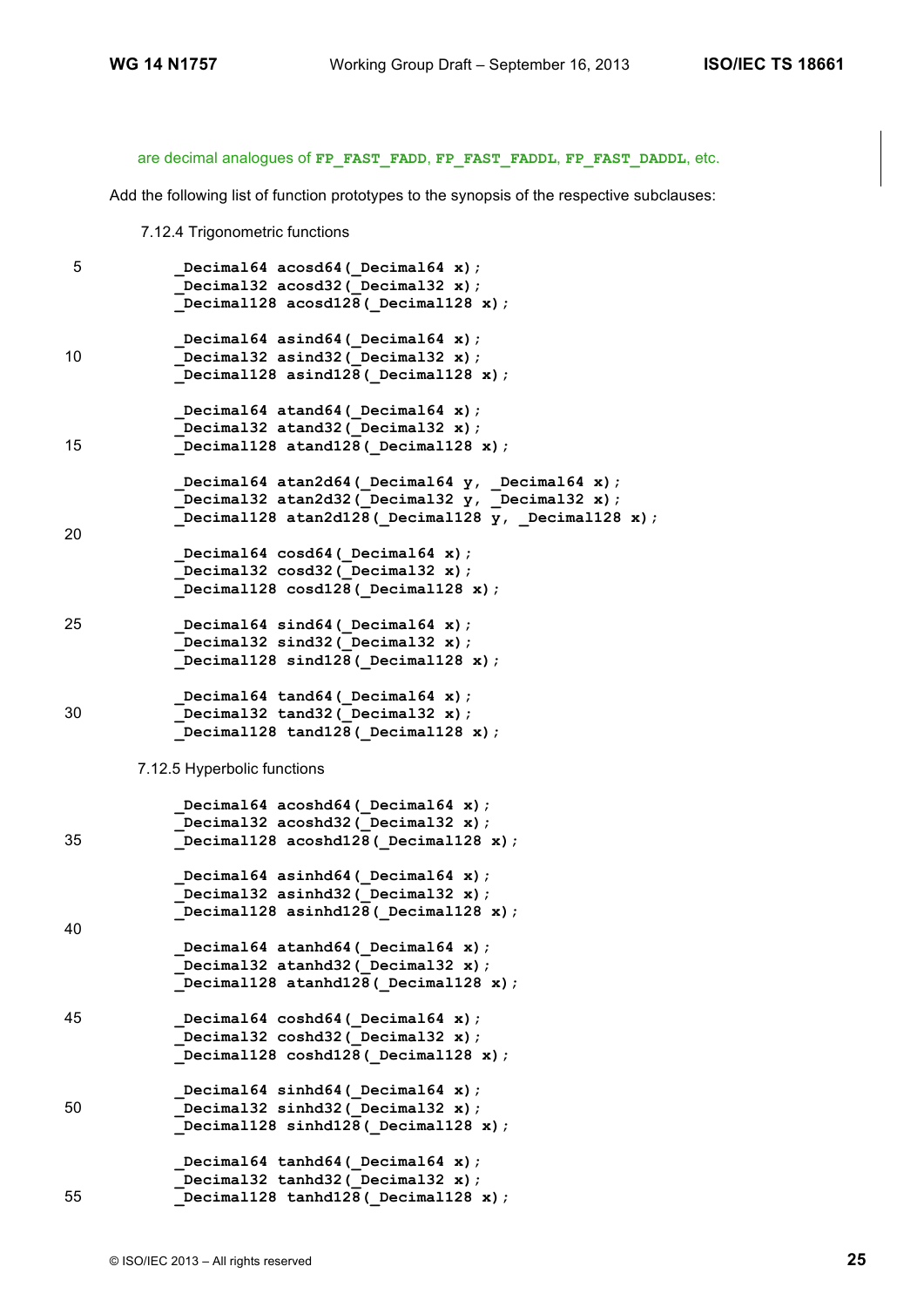are decimal analogues of **FP\_FAST\_FADD**, **FP\_FAST\_FADDL**, **FP\_FAST\_DADDL**, etc.

Add the following list of function prototypes to the synopsis of the respective subclauses:

7.12.4 Trigonometric functions

```
5 _Decimal64 acosd64(_Decimal64 x);
             _Decimal32 acosd32(_Decimal32 x);
            _Decimal128 acosd128(_Decimal128 x);
           Decimal64 asind64 (Decimal64 x);
10 _Decimal32 asind32(_Decimal32 x);
            _Decimal128 asind128(_Decimal128 x);
            _Decimal64 atand64(_Decimal64 x);
            _Decimal32 atand32(_Decimal32 x);
15 _Decimal128 atand128(_Decimal128 x);
           Decimal64 atan2d64 (Decimal64 y, Decimal64 x);
           Decimal32 atan2d32(Decimal32 y, Decimal32 x);
           Decimal128 atan2d128(Decimal128 y, Decimal128 x);
20
           Decimal64 cosd64( Decimal64 x);
           Decimal32 cosd32( Decimal32 x);
           Decimal128 cosd128 (Decimal128 x);
25 _Decimal64 sind64(_Decimal64 x);
            Decimal32 sind32 (Decimal32 x);
           Decimal128 sind128 (Decimal128 x);
            _Decimal64 tand64(_Decimal64 x);
30 _Decimal32 tand32(_Decimal32 x);
            _Decimal128 tand128(_Decimal128 x);
       7.12.5 Hyperbolic functions
           Decimal64 acoshd64 ( Decimal64 x);
           Decimal32 acoshd32 ( Decimal32 x);
35 _Decimal128 acoshd128(_Decimal128 x);
           Decimal64 asinhd64 (Decimal64 x);
           Decimal32 asinhd32( Decimal32 x);
           Decimal128 asinhd128(Decimal128 x);
40
           Decimal64 atanhd64 ( Decimal64 x);
            Decimal32 atanhd32(Decimal32 x);
           Decimal128 atanhd128(Decimal128 x);
45 _Decimal64 coshd64(_Decimal64 x);
            Decimal32 coshd32(Decimal32 x);
            _Decimal128 coshd128(_Decimal128 x);
            _Decimal64 sinhd64(_Decimal64 x);
50 _Decimal32 sinhd32(_Decimal32 x);
            _Decimal128 sinhd128(_Decimal128 x);
           Decimal64 tanhd64 ( Decimal64 x);
           Decimal32 tanhd32 ( Decimal32 x);
55 _Decimal128 tanhd128(_Decimal128 x);
```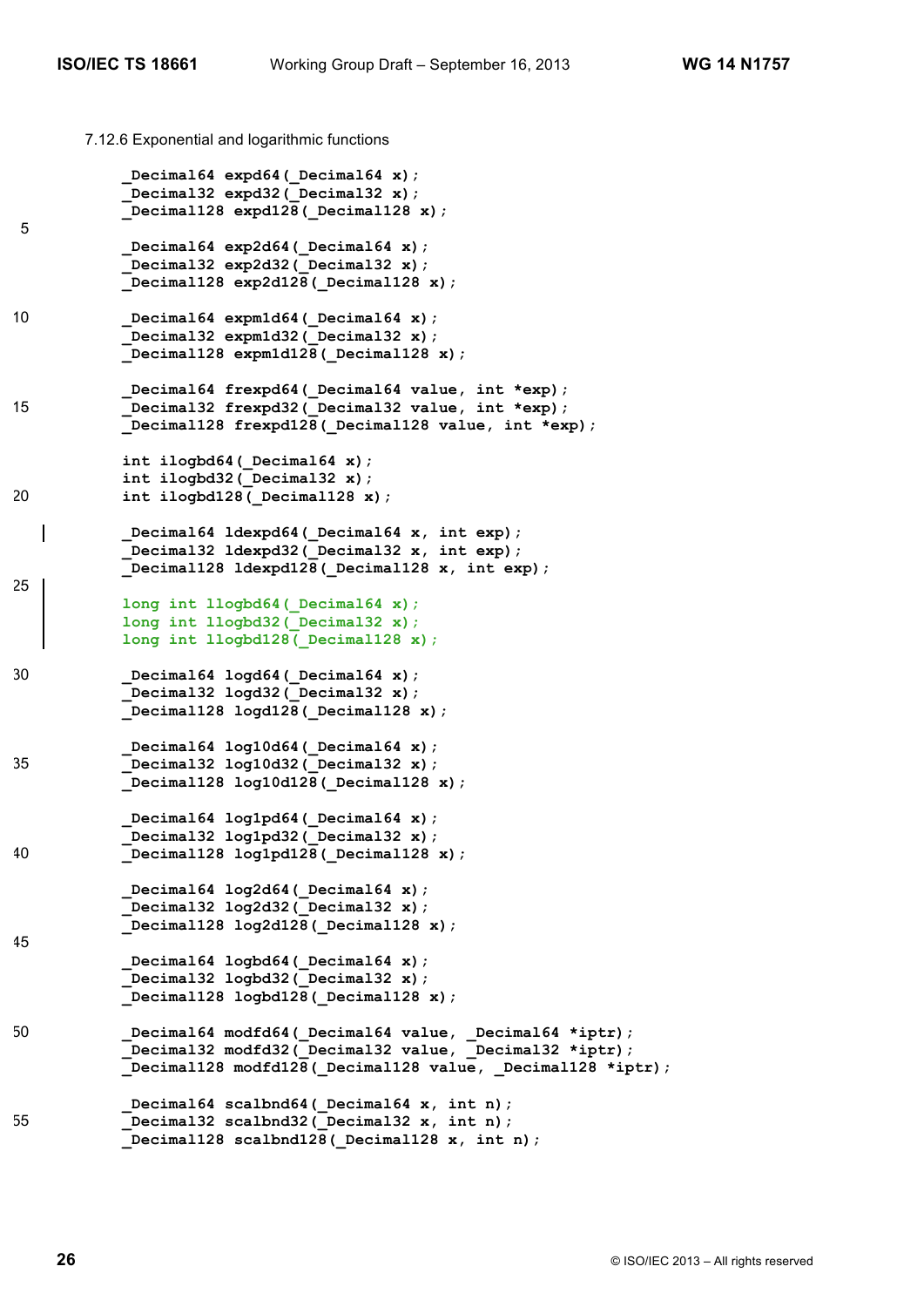7.12.6 Exponential and logarithmic functions

```
Decimal64 expd64( Decimal64 x);
            _Decimal32 expd32(_Decimal32 x);
            _Decimal128 expd128(_Decimal128 x);
5
           Decimal64 exp2d64( Decimal64 x);
           Decimal32 exp2d32( Decimal32 x);
            _Decimal128 exp2d128(_Decimal128 x);
10 _Decimal64 expm1d64(_Decimal64 x);
           Decimal32 expm1d32 (Decimal32 x);
            _Decimal128 expm1d128(_Decimal128 x);
            Decimal64 frexpd64( Decimal64 value, int *exp);
15 _Decimal32 frexpd32(_Decimal32 value, int *exp);
            _Decimal128 frexpd128(_Decimal128 value, int *exp);
           int ilogbd64( Decimal64 x);
           int ilogbd32(Decimal32 x);
20 int ilogbd128(_Decimal128 x);
            _Decimal64 ldexpd64(_Decimal64 x, int exp); 
            _Decimal32 ldexpd32(_Decimal32 x, int exp);
           Decimal128 ldexpd128 (Decimal128 x, int exp);
25
            long int llogbd64(_Decimal64 x);
            long int llogbd32(_Decimal32 x);
           long int llogbd128( Decimal128 x);
30 _Decimal64 logd64(_Decimal64 x);
           Decimal32 logd32( Decimal32 x);
            _Decimal128 logd128(_Decimal128 x);
             _Decimal64 log10d64(_Decimal64 x);
35 _Decimal32 log10d32(_Decimal32 x);
            _Decimal128 log10d128(_Decimal128 x);
            Decimal64 log1pd64( Decimal64 x);
            Decimal32 log1pd32( Decimal32 x);
40 _Decimal128 log1pd128(_Decimal128 x);
            _Decimal64 log2d64(_Decimal64 x);
            _Decimal32 log2d32(_Decimal32 x);
            _Decimal128 log2d128(_Decimal128 x);
45
            Decimal64 logbd64( Decimal64 x);
           Decimal32 logbd32( Decimal32 x);
            _Decimal128 logbd128(_Decimal128 x);
50 Decimal64 modfd64 (Decimal64 value, Decimal64 *iptr);
             _Decimal32 modfd32(_Decimal32 value, _Decimal32 *iptr);
            _Decimal128 modfd128(_Decimal128 value, _Decimal128 *iptr);
            Decimal64 scalbnd64( Decimal64 x, int n);
55 Decimal32 scalbnd32(Decimal32 x, int n);
            _Decimal128 scalbnd128(_Decimal128 x, int n);
```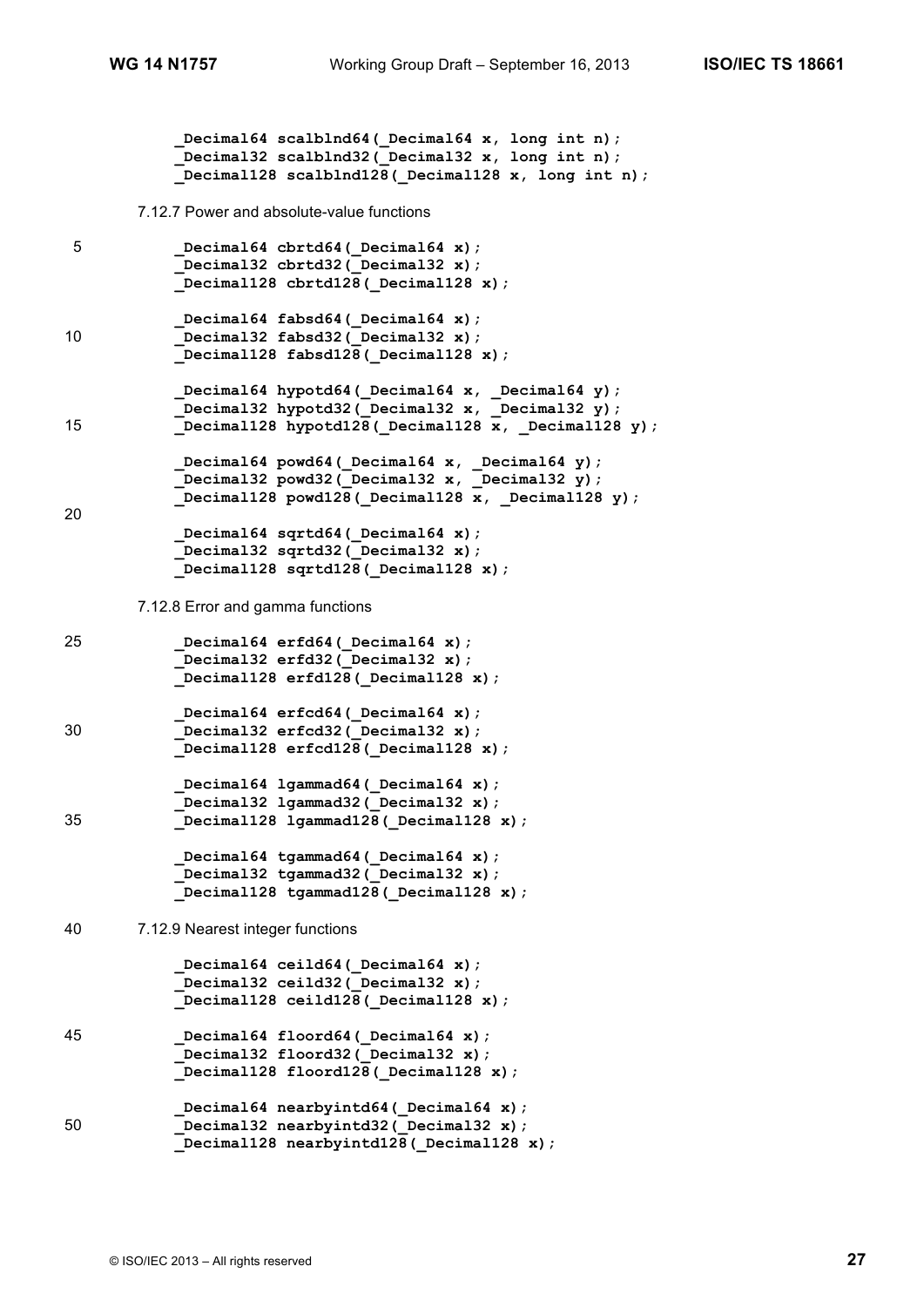```
 _Decimal64 scalblnd64(_Decimal64 x, long int n);
             _Decimal32 scalblnd32(_Decimal32 x, long int n);
            _Decimal128 scalblnd128(_Decimal128 x, long int n);
       7.12.7 Power and absolute-value functions
5 _Decimal64 cbrtd64(_Decimal64 x);
            Decimal32 cbrtd32( Decimal32 x);
            _Decimal128 cbrtd128(_Decimal128 x);
            Decimal64 fabsd64( Decimal64 x);
10 _Decimal32 fabsd32(_Decimal32 x);
            _Decimal128 fabsd128(_Decimal128 x);
            _Decimal64 hypotd64(_Decimal64 x, _Decimal64 y);
             _Decimal32 hypotd32(_Decimal32 x, _Decimal32 y);
15 Decimal128 hypotd128( Decimal128 x, Decimal128 y);
            _Decimal64 powd64(_Decimal64 x, _Decimal64 y);
            _Decimal32 powd32(_Decimal32 x, _Decimal32 y);
           \overline{\text{Decimal}128} powd128 (Decimal128 x, Decimal128 y);
20
            _Decimal64 sqrtd64(_Decimal64 x);
            _Decimal32 sqrtd32(_Decimal32 x);
            _Decimal128 sqrtd128(_Decimal128 x);
       7.12.8 Error and gamma functions
25 _Decimal64 erfd64(_Decimal64 x);
            Decimal32 erfd32(Decimal32 x);
            Decimal128 erfd128( Decimal128 x);
            Decimal64 erfcd64( Decimal64 x);
30 _Decimal32 erfcd32(_Decimal32 x);
            _Decimal128 erfcd128(_Decimal128 x);
            _Decimal64 lgammad64(_Decimal64 x);
            _Decimal32 lgammad32(_Decimal32 x);
35 _Decimal128 lgammad128(_Decimal128 x);
            Decimal64 tgammad64 ( Decimal64 x);
           Decimal32 tgammad32(Decimal32 x);
           Decimal128 tgammad128 (Decimal128 x);
40 7.12.9 Nearest integer functions
            Decimal64 ceild64(Decimal64 x);
             _Decimal32 ceild32(_Decimal32 x);
             _Decimal128 ceild128(_Decimal128 x);
45 _Decimal64 floord64(_Decimal64 x);
             _Decimal32 floord32(_Decimal32 x);
           Decimal128 floord128( Decimal128 x);
            _Decimal64 nearbyintd64(_Decimal64 x);
50 Decimal32 nearbyintd32 (Decimal32 x);
           Decimal128 nearbyintd128 ( Decimal128 x);
```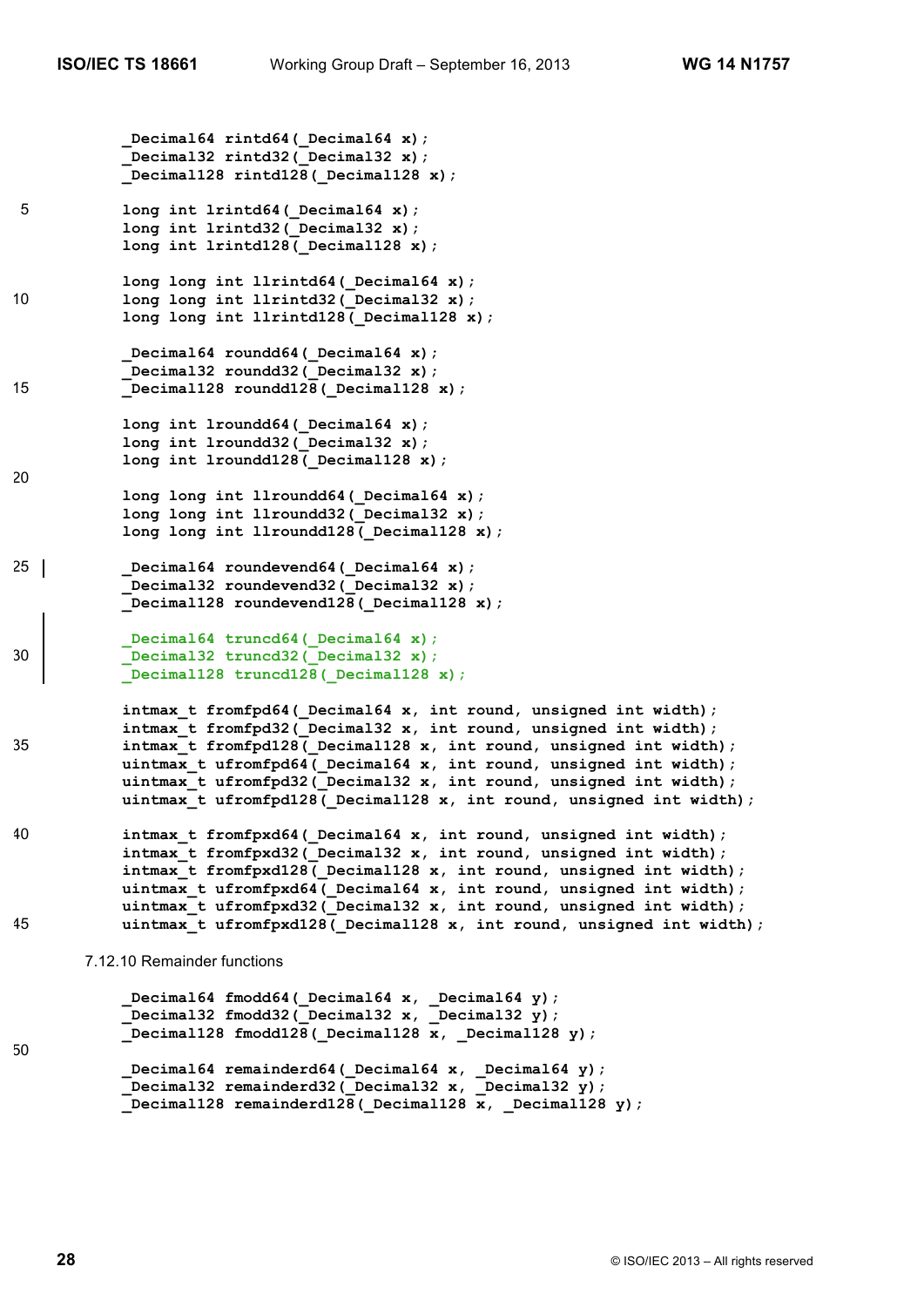```
Decimal64 rintd64( Decimal64 x);
            _Decimal32 rintd32(_Decimal32 x);
            _Decimal128 rintd128(_Decimal128 x);
5 long int lrintd64(_Decimal64 x);
            long int lrintd32(_Decimal32 x);
           long int lrintd128( Decimal128 x);
           long long int llrintd64( Decimal64 x);
10 long long int llrintd32 (Decimal32 x);
           long long int llrintd128( Decimal128 x);
            Decimal64 roundd64 ( Decimal64 x);
           Decimal32 roundd32(Decimal32 x);
15 _Decimal128 roundd128(_Decimal128 x);
            long int lroundd64(_Decimal64 x);
            long int lroundd32(_Decimal32 x);
           long int lroundd128( Decimal128 x);
20
            long long int llroundd64(_Decimal64 x);
            long long int llroundd32(_Decimal32 x);
            long long int llroundd128(_Decimal128 x);
25 Decimal64 roundevend64 (Decimal64 x);
           Decimal32 roundevend32 ( Decimal32 x);
           Decimal128 roundevend128 ( Decimal128 x);
            Decimal64 truncd64( Decimal64 x);
30 _Decimal32 truncd32(_Decimal32 x);
           Decimal128 truncd128(Decimal128 x);
            intmax_t fromfpd64(_Decimal64 x, int round, unsigned int width);
           intmax t fromfpd32( Decimal32 x, int round, unsigned int width);
35 intmax_t fromfpd128(_Decimal128 x, int round, unsigned int width);
           uintmax t ufromfpd64( Decimal64 x, int round, unsigned int width);
           uintmax t ufromfpd32( Decimal32 x, int round, unsigned int width);
           uintmax t ufromfpd128( Decimal128 x, int round, unsigned int width);
40 intmax_t fromfpxd64(_Decimal64 x, int round, unsigned int width);
           intmax t fromfpxd32( Decimal32 x, int round, unsigned int width);
            intmax_t fromfpxd128(_Decimal128 x, int round, unsigned int width);
            uintmax_t ufromfpxd64(_Decimal64 x, int round, unsigned int width);
            uintmax_t ufromfpxd32(_Decimal32 x, int round, unsigned int width);
45 uintmax_t ufromfpxd128(_Decimal128 x, int round, unsigned int width);
       7.12.10 Remainder functions
            Decimal64 fmodd64( Decimal64 x, Decimal64 y);
            Decimal32 fmodd32(Decimal32 x, Decimal32 y);
           Decimal128 fmodd128(Decimal128 x, Decimal128 y);
50
```

```
 _Decimal64 remainderd64(_Decimal64 x, _Decimal64 y);
 _Decimal32 remainderd32(_Decimal32 x, _Decimal32 y);
      Decimal128 remainderd128(Decimal128 x, Decimal128 y);
```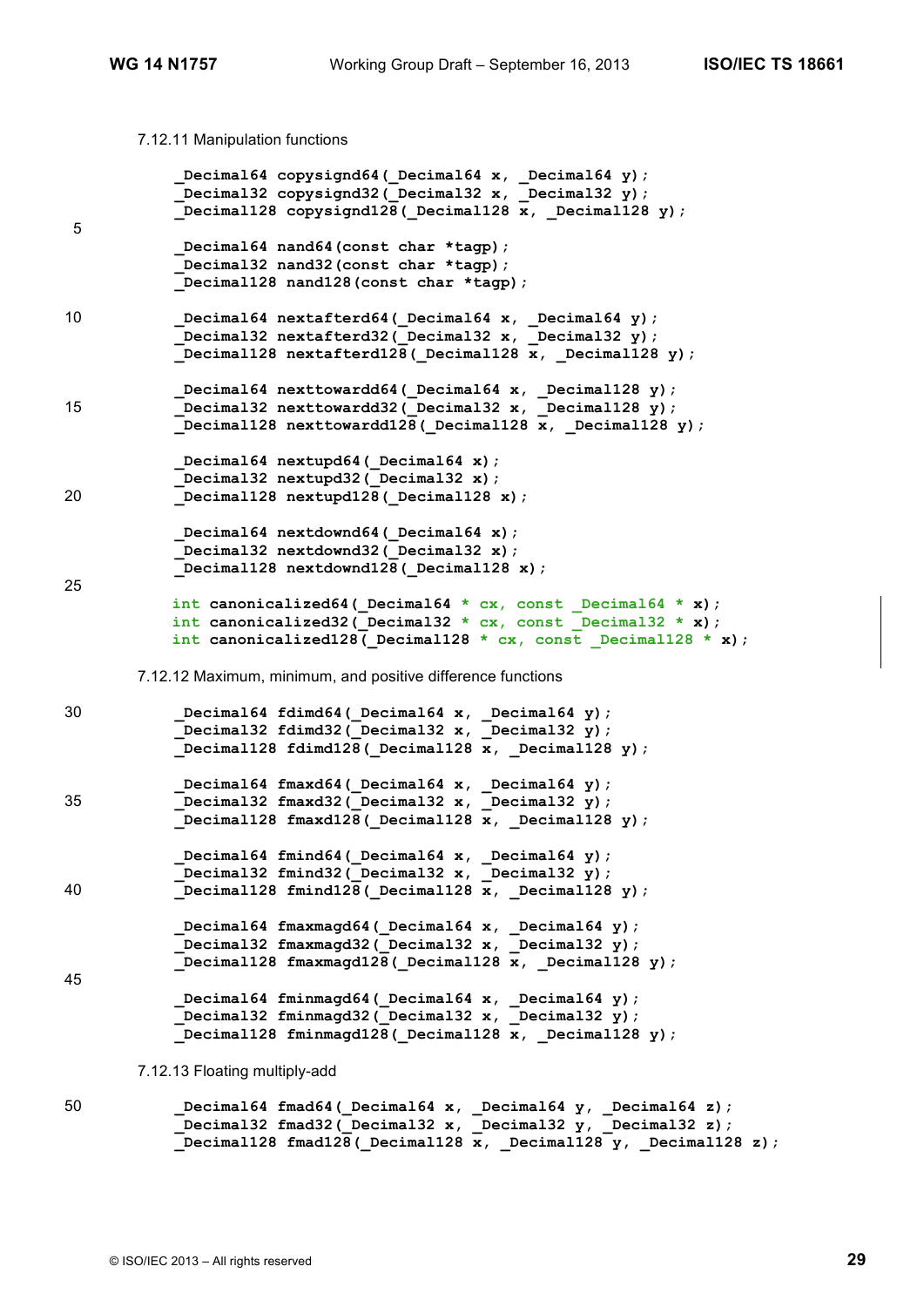7.12.11 Manipulation functions

```
 _Decimal64 copysignd64(_Decimal64 x, _Decimal64 y);
            _Decimal32 copysignd32(_Decimal32 x, _Decimal32 y);
           Decimal128 copysignd128(Decimal128 x, Decimal128 y);
5
            _Decimal64 nand64(const char *tagp);
            _Decimal32 nand32(const char *tagp);
            _Decimal128 nand128(const char *tagp);
10 Decimal64 nextafterd64(Decimal64 x, Decimal64 y);
           Thecimal32 nextafterd32(Decimal32 x, Decimal32 y);
            _Decimal128 nextafterd128(_Decimal128 x, _Decimal128 y);
     _Decimal64 nexttowardd64(_Decimal64 x, _Decimal128 y);
15 _Decimal32 nexttowardd32(_Decimal32 x, _Decimal128 y);
           Decimal128 nexttowardd128 (Decimal128 x, Decimal128 y);
            _Decimal64 nextupd64(_Decimal64 x);
            Decimal32 nextupd32( Decimal32 x);
20 _Decimal128 nextupd128(_Decimal128 x);
            _Decimal64 nextdownd64(_Decimal64 x);
            _Decimal32 nextdownd32(_Decimal32 x);
           Decimal128 nextdownd128 (Decimal128 x);
25
           int canonicalized64(_Decimal64 * cx, const _Decimal64 * x);
           int canonicalized32 (Decimal32 * cx, const Decimal32 * x);
           int canonicalized128( Decimal128 * cx, const Decimal128 * x);
       7.12.12 Maximum, minimum, and positive difference functions
30 _Decimal64 fdimd64(_Decimal64 x, _Decimal64 y);
             _Decimal32 fdimd32(_Decimal32 x, _Decimal32 y);
           Decimal128 fdimd128(Decimal128 x, Decimal128 y);
            _Decimal64 fmaxd64(_Decimal64 x, _Decimal64 y);
35 _Decimal32 fmaxd32(_Decimal32 x, _Decimal32 y);
           Decimal128 fmaxd128( Decimal128 x, Decimal128 y);
            _Decimal64 fmind64(_Decimal64 x, _Decimal64 y);
           Decimal32 fmind32( Decimal32 x, Decimal32 y);
40 _Decimal128 fmind128(_Decimal128 x, _Decimal128 y);
           Decimal64 fmaxmagd64( Decimal64 x, Decimal64 y);
           Decimal32 fmaxmagd32( Decimal32 x, Decimal32 y);
           Decimal128 fmaxmagd128(Decimal128 x, Decimal128 y);
45
             _Decimal64 fminmagd64(_Decimal64 x, _Decimal64 y);
             _Decimal32 fminmagd32(_Decimal32 x, _Decimal32 y);
           Decimal128 fminmagd128 (Decimal128 x, Decimal128 y);
       7.12.13 Floating multiply-add
50 _Decimal64 fmad64(_Decimal64 x, _Decimal64 y, _Decimal64 z);
            _Decimal32 fmad32(_Decimal32 x, _Decimal32 y, _Decimal32 z);
            _Decimal128 fmad128(_Decimal128 x, _Decimal128 y, _Decimal128 z);
```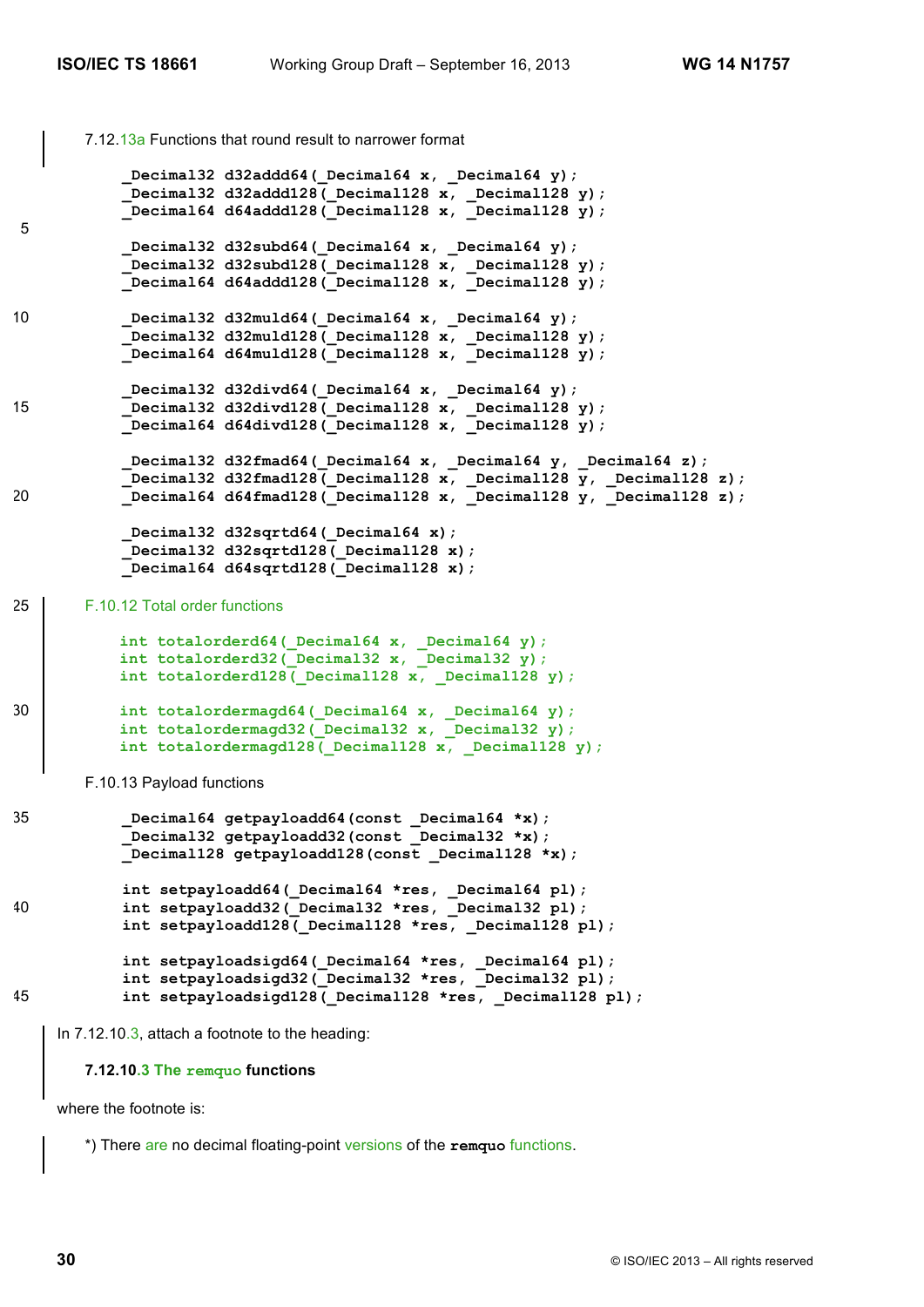```
7.12.13a Functions that round result to narrower format
           Decimal32 d32addd64(Decimal64 x, Decimal64 y);
            _Decimal32 d32addd128(_Decimal128 x, _Decimal128 y);
           Decimal64 d64addd128(Decimal128 x, Decimal128 y);
5
            Decimal32 d32subd64(_Decimal64 x, _Decimal64 y);
           Decimal32 d32subd128(Decimal128 x, Decimal128 y);
           Decimal64 d64addd128(Decimal128 x, Decimal128 y);
10 Decimal32 d32muld64( Decimal64 x, Decimal64 y);
             _Decimal32 d32muld128(_Decimal128 x, _Decimal128 y);
            _Decimal64 d64muld128(_Decimal128 x, _Decimal128 y);
             _Decimal32 d32divd64(_Decimal64 x, _Decimal64 y);
15 _Decimal32 d32divd128(_Decimal128 x, _Decimal128 y);
     _Decimal64 d64divd128(_Decimal128 x, _Decimal128 y);
             _Decimal32 d32fmad64(_Decimal64 x, _Decimal64 y, _Decimal64 z);
             _Decimal32 d32fmad128(_Decimal128 x, _Decimal128 y, _Decimal128 z);
20 _Decimal64 d64fmad128(_Decimal128 x, _Decimal128 y, _Decimal128 z);
            _Decimal32 d32sqrtd64(_Decimal64 x);
            _Decimal32 d32sqrtd128(_Decimal128 x);
            _Decimal64 d64sqrtd128(_Decimal128 x);
25 F.10.12 Total order functions
           int totalorderd64(_Decimal64 x, _Decimal64 y);
           int totalorderd32(_Decimal32 x, _Decimal32 y);
           int totalorderd128(_Decimal128 x, _Decimal128 y);
30 int totalordermagd64(_Decimal64 x, _Decimal64 y);
           int totalordermagd32(_Decimal32 x, _Decimal32 y);
           int totalordermagd128(_Decimal128 x, _Decimal128 y);
       F.10.13 Payload functions
35 _Decimal64 getpayloadd64(const _Decimal64 *x);
     _Decimal32 getpayloadd32(const _Decimal32 *x);
           Decimal128 getpayloadd128(const Decimal128 *x);
            int setpayloadd64(_Decimal64 *res, _Decimal64 pl);
40 int setpayloadd32(_Decimal32 *res, _Decimal32 pl);
            int setpayloadd128(_Decimal128 *res, _Decimal128 pl);
            int setpayloadsigd64(_Decimal64 *res, _Decimal64 pl);
           int setpayloadsigd32( Decimal32 *res, Decimal32 pl);
45 int setpayloadsigd128( Decimal128 *res, Decimal128 pl);
    In 7.12.10.3, attach a footnote to the heading:
```
**7.12.10.3 The remquo functions**

where the footnote is:

\*) There are no decimal floating-point versions of the **remquo** functions.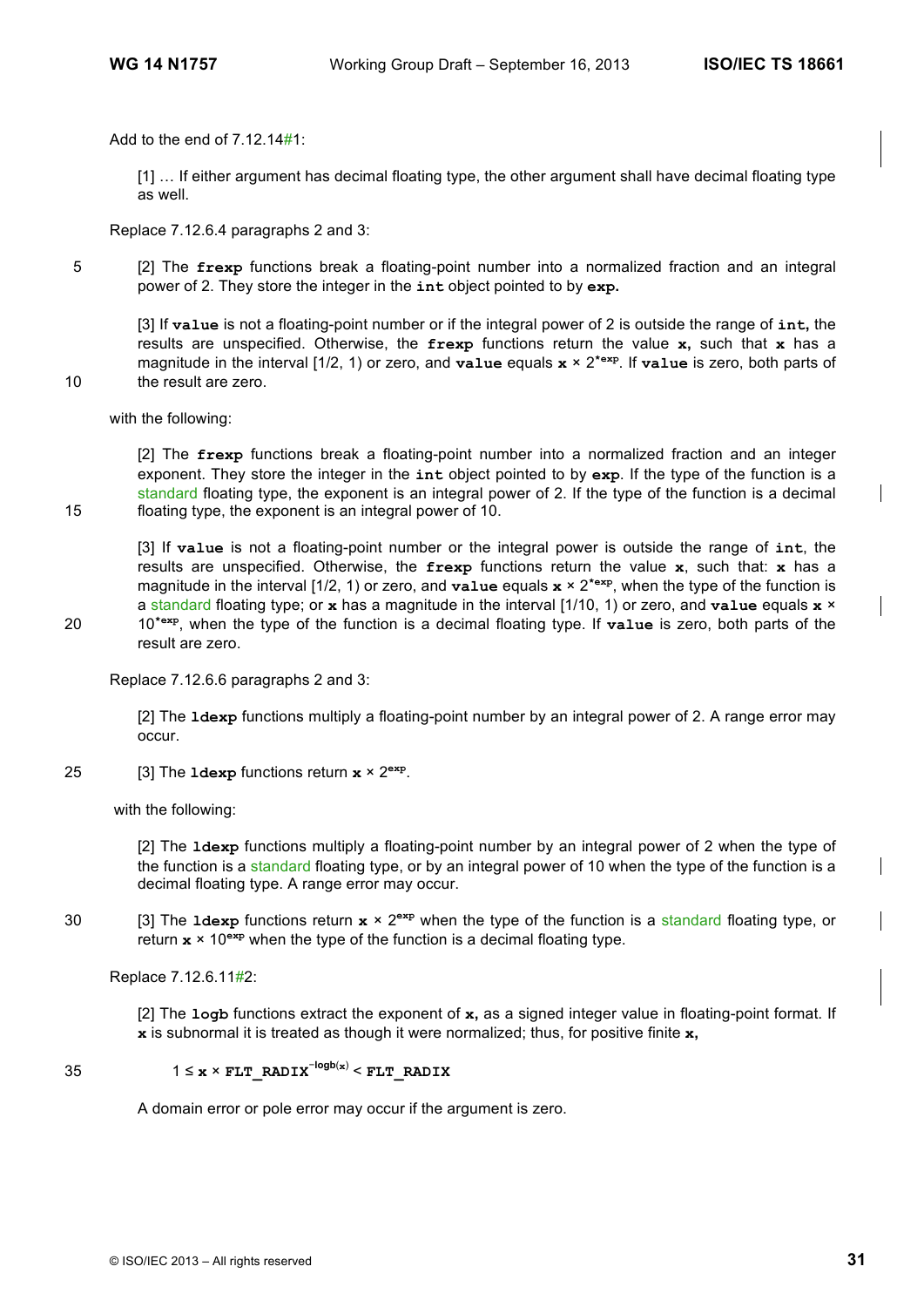Add to the end of 7.12.14#1:

[1] … If either argument has decimal floating type, the other argument shall have decimal floating type as well.

Replace 7.12.6.4 paragraphs 2 and 3:

5 [2] The **frexp** functions break a floating-point number into a normalized fraction and an integral power of 2. They store the integer in the **int** object pointed to by **exp.**

[3] If **value** is not a floating-point number or if the integral power of 2 is outside the range of **int,** the results are unspecified. Otherwise, the **frexp** functions return the value **x,** such that **x** has a magnitude in the interval [1/2, 1) or zero, and **value** equals **x** × 2**\*exp**. If **value** is zero, both parts of 10 the result are zero.

with the following:

[2] The **frexp** functions break a floating-point number into a normalized fraction and an integer exponent. They store the integer in the **int** object pointed to by **exp**. If the type of the function is a standard floating type, the exponent is an integral power of 2. If the type of the function is a decimal 15 floating type, the exponent is an integral power of 10.

[3] If **value** is not a floating-point number or the integral power is outside the range of **int**, the results are unspecified. Otherwise, the **frexp** functions return the value **x**, such that: **x** has a magnitude in the interval [1/2, 1) or zero, and **value** equals **x** × 2**\*exp**, when the type of the function is a standard floating type; or **x** has a magnitude in the interval [1/10, 1) or zero, and **value** equals **x** × 10**\*exp** 20 , when the type of the function is a decimal floating type. If **value** is zero, both parts of the result are zero.

Replace 7.12.6.6 paragraphs 2 and 3:

[2] The **ldexp** functions multiply a floating-point number by an integral power of 2. A range error may occur.

25 [3] The  $1$ dexp functions return  $x \times 2^{exp}$ .

with the following:

[2] The **ldexp** functions multiply a floating-point number by an integral power of 2 when the type of the function is a standard floating type, or by an integral power of 10 when the type of the function is a decimal floating type. A range error may occur.

[3] The **ldexp** functions return **x** × 2**exp** 30 when the type of the function is a standard floating type, or return **x** × 10**exp** when the type of the function is a decimal floating type.

Replace 7.12.6.11#2:

[2] The **logb** functions extract the exponent of **x,** as a signed integer value in floating-point format. If **x** is subnormal it is treated as though it were normalized; thus, for positive finite **x,**

## 1 ≤  $\mathbf{x} \times \mathbf{FLT}$  RADIX<sup> $-\text{logb}(\mathbf{x})$ </sup> < FLT RADIX

A domain error or pole error may occur if the argument is zero.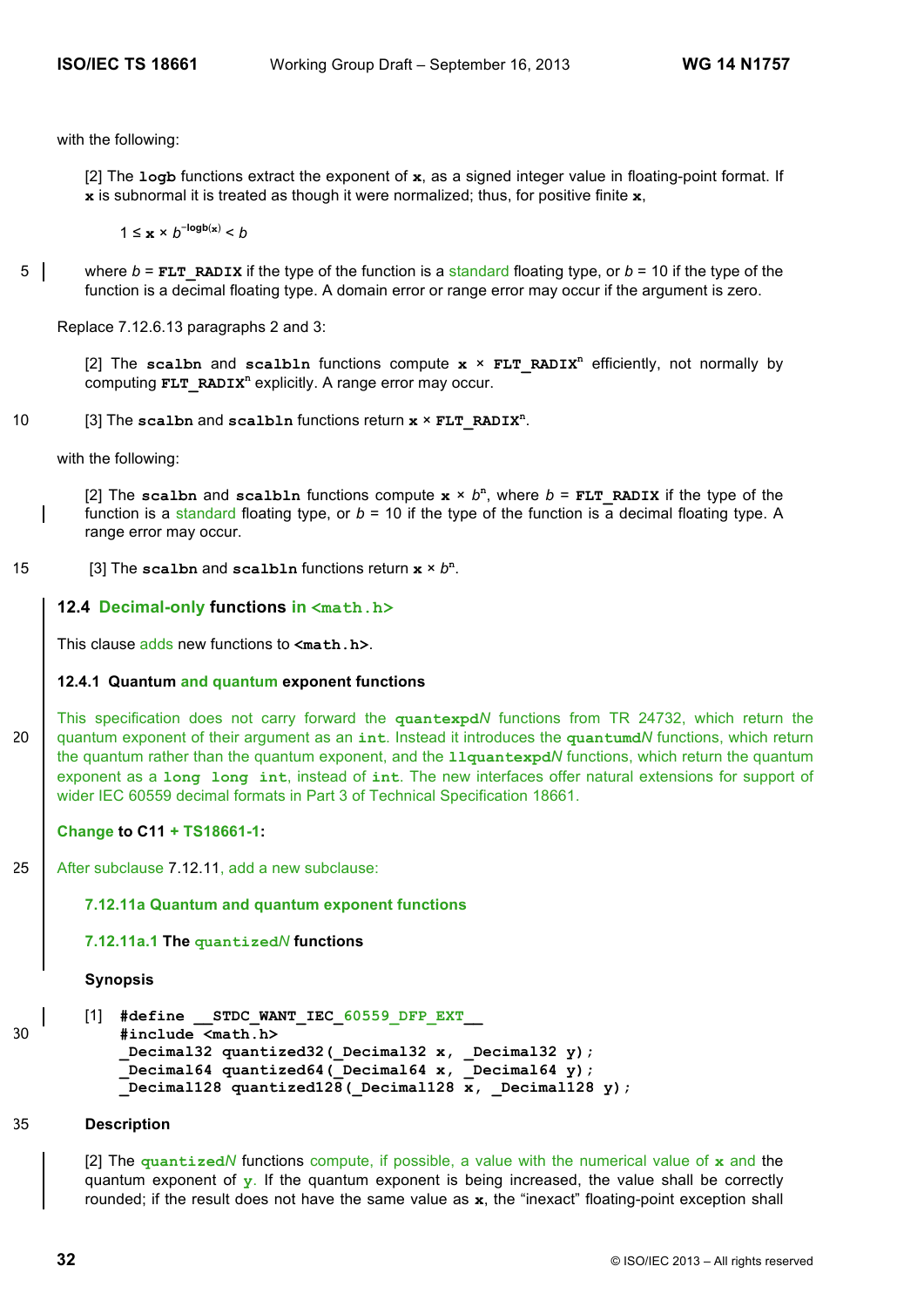with the following:

[2] The **logb** functions extract the exponent of **x**, as a signed integer value in floating-point format. If **x** is subnormal it is treated as though it were normalized; thus, for positive finite **x**,

1 ≤  $\mathbf{x} \times b^{-\log b(\mathbf{x})} < b$ 

5 where  $b =$  **FLT** RADIX if the type of the function is a standard floating type, or  $b = 10$  if the type of the function is a decimal floating type. A domain error or range error may occur if the argument is zero.

Replace 7.12.6.13 paragraphs 2 and 3:

[2] The scalbn and scalbln functions compute  $x \times FLT$  RADIX<sup>n</sup> efficiently, not normally by computing **FLT** RADIX<sup>n</sup> explicitly. A range error may occur.

[3] The **scalbn** and **scalbln** functions return **x** × **FLT\_RADIX<sup>n</sup>** 10 .

with the following:

[2] The scalbn and scalbln functions compute  $x \times b^n$ , where  $b = FLT$  RADIX if the type of the function is a standard floating type, or *b* = 10 if the type of the function is a decimal floating type. A range error may occur.

15 [3] The scalbn and scalbln functions return  $x \times b^n$ .

### **12.4 Decimal-only functions in <math.h>**

This clause adds new functions to **<math.h>**.

### **12.4.1 Quantum and quantum exponent functions**

This specification does not carry forward the **quantexpd***N* functions from TR 24732, which return the 20 quantum exponent of their argument as an **int**. Instead it introduces the **quantumd***N* functions, which return the quantum rather than the quantum exponent, and the **llquantexpd***N* functions, which return the quantum exponent as a **long long int**, instead of **int**. The new interfaces offer natural extensions for support of wider IEC 60559 decimal formats in Part 3 of Technical Specification 18661.

### **Change to C11 + TS18661-1:**

25 | After subclause 7.12.11, add a new subclause:

### **7.12.11a Quantum and quantum exponent functions**

### **7.12.11a.1 The quantized***N* **functions**

**Synopsis**

```
[1] #define STDC WANT IEC 60559 DFP EXT
30 #include <math.h>
           Decimal32 quantized32(Decimal32 x, Decimal32 y);
           _Decimal64 quantized64(_Decimal64 x, _Decimal64 y);
           _Decimal128 quantized128(_Decimal128 x, _Decimal128 y);
```
#### 35 **Description**

[2] The **quantized***N* functions compute, if possible, a value with the numerical value of **x** and the quantum exponent of **y**. If the quantum exponent is being increased, the value shall be correctly rounded; if the result does not have the same value as **x**, the "inexact" floating-point exception shall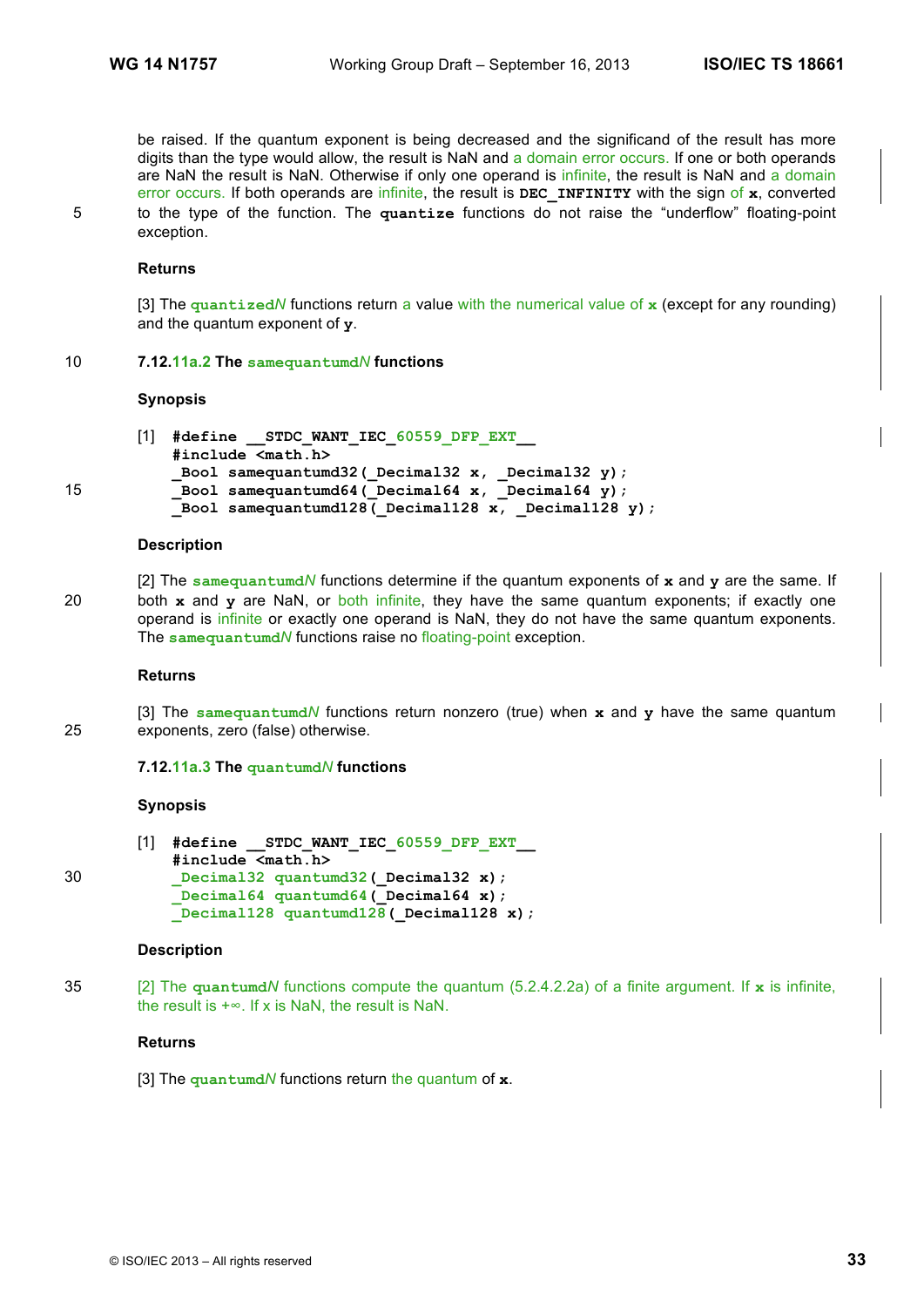be raised. If the quantum exponent is being decreased and the significand of the result has more digits than the type would allow, the result is NaN and a domain error occurs. If one or both operands are NaN the result is NaN. Otherwise if only one operand is infinite, the result is NaN and a domain error occurs. If both operands are infinite, the result is **DEC\_INFINITY** with the sign of **x**, converted 5 to the type of the function. The **quantize** functions do not raise the "underflow" floating-point exception.

### **Returns**

[3] The **quantized***N* functions return a value with the numerical value of **x** (except for any rounding) and the quantum exponent of **y**.

#### 10 **7.12.11a.2 The samequantumd***N* **functions**

#### **Synopsis**

```
[1] #define __STDC_WANT_IEC_60559_DFP_EXT__
           #include <math.h>
           _Bool samequantumd32(_Decimal32 x, _Decimal32 y);
15 bool samequantumd64 (Decimal64 x, Decimal64 y);
           Bool samequantumd128(Decimal128 x, Decimal128 y);
```
#### **Description**

[2] The **samequantumd***N* functions determine if the quantum exponents of **x** and **y** are the same. If 20 both **x** and **y** are NaN, or both infinite, they have the same quantum exponents; if exactly one operand is infinite or exactly one operand is NaN, they do not have the same quantum exponents. The **samequantumd***N* functions raise no floating-point exception.

#### **Returns**

[3] The **samequantumd***N* functions return nonzero (true) when **x** and **y** have the same quantum 25 exponents, zero (false) otherwise.

#### **7.12.11a.3 The quantumd***N* **functions**

### **Synopsis**

|    | [1] #define STDC WANT IEC 60559 DFP EXT |
|----|-----------------------------------------|
| 30 | #include <math.h></math.h>              |
|    | Decimal32 quantumd32 (Decimal32 x);     |
|    | Decimal64 quantumd64 ( $Decimal64 x$ ); |
|    | Decimal128 quantumd128 (Decimal128 x);  |

#### **Description**

35 [2] The **quantumd***N* functions compute the quantum (5.2.4.2.2a) of a finite argument. If **x** is infinite, the result is  $+\infty$ . If x is NaN, the result is NaN.

### **Returns**

[3] The **quantumd***N* functions return the quantum of **x**.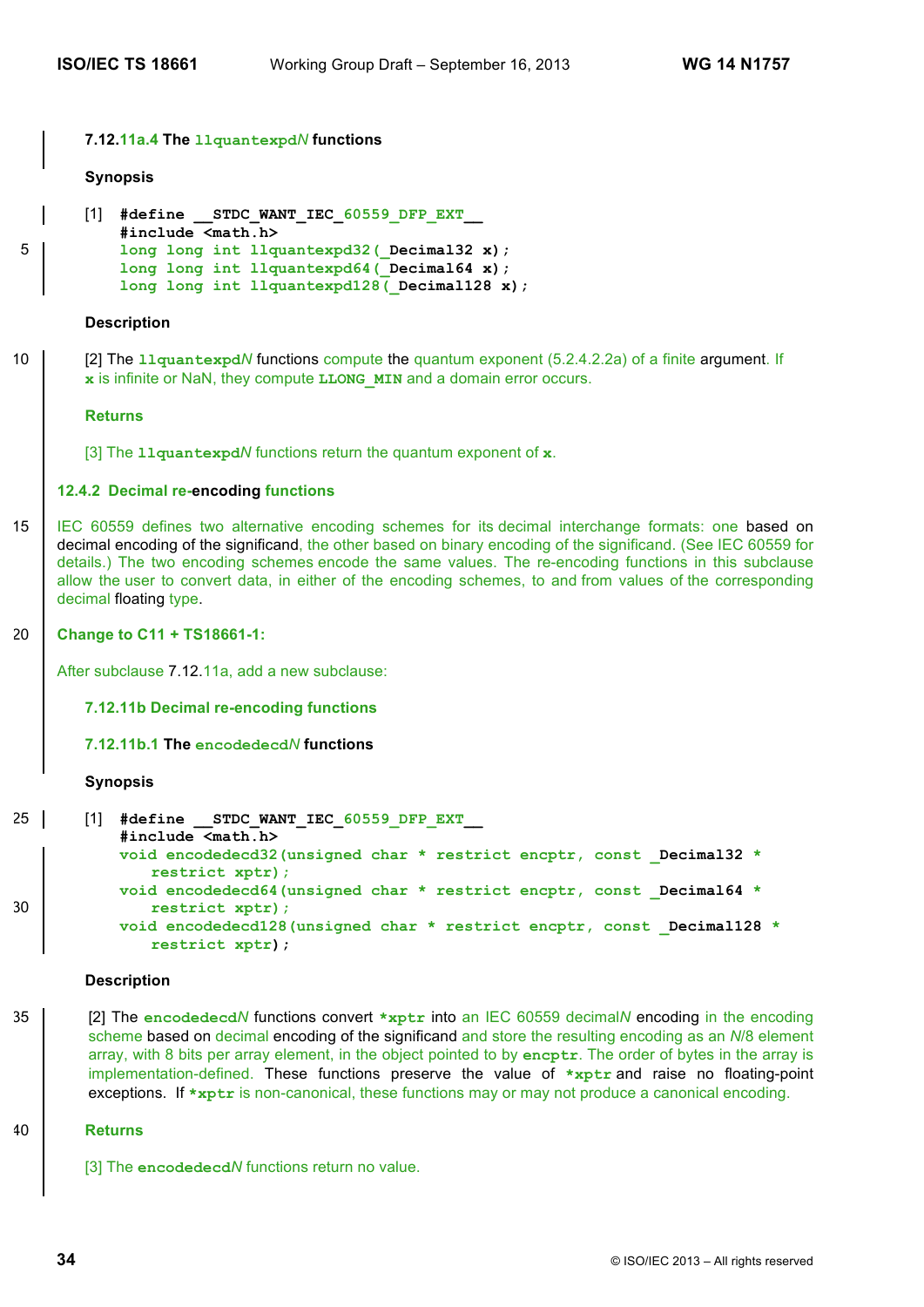#### **7.12.11a.4 The llquantexpd***N* **functions**

#### **Synopsis**

```
[1] #define __STDC_WANT_IEC_60559_DFP_EXT__
          #include <math.h>
5 long long int llquantexpd32(_Decimal32 x);
          long long int llquantexpd64(_Decimal64 x);
          long long int llquantexpd128(Decimal128 x);
```
### **Description**

10 [2] The **llquantexpd***N* functions compute the quantum exponent (5.2.4.2.2a) of a finite argument. If **x** is infinite or NaN, they compute **LLONG\_MIN** and a domain error occurs.

#### **Returns**

[3] The **llquantexpd***N* functions return the quantum exponent of **x**.

#### **12.4.2 Decimal re-encoding functions**

15 IEC 60559 defines two alternative encoding schemes for its decimal interchange formats: one based on decimal encoding of the significand, the other based on binary encoding of the significand. (See IEC 60559 for details.) The two encoding schemes encode the same values. The re-encoding functions in this subclause allow the user to convert data, in either of the encoding schemes, to and from values of the corresponding decimal floating type.

#### 20 **Change to C11 + TS18661-1:**

After subclause 7.12.11a, add a new subclause:

**7.12.11b Decimal re-encoding functions**

**7.12.11b.1 The encodedecd***N* **functions**

#### **Synopsis**

```
25 [1] #define __STDC_WANT_IEC_60559_DFP_EXT__
           #include <math.h>
          void encodedecd32(unsigned char * restrict encptr, const _Decimal32 *
              restrict xptr);
          void encodedecd64(unsigned char * restrict encptr, const _Decimal64 *
30 restrict xptr);
           void encodedecd128(unsigned char * restrict encptr, const _Decimal128 *
              restrict xptr);
```
#### **Description**

35 [2] The **encodedecd***N* functions convert **\*xptr** into an IEC 60559 decimal*N* encoding in the encoding scheme based on decimal encoding of the significand and store the resulting encoding as an *N*/8 element array, with 8 bits per array element, in the object pointed to by **encptr**. The order of bytes in the array is implementation-defined. These functions preserve the value of **\*xptr** and raise no floating-point exceptions. If \*xptr is non-canonical, these functions may or may not produce a canonical encoding.

#### 40 **Returns**

[3] The **encodedecd***N* functions return no value.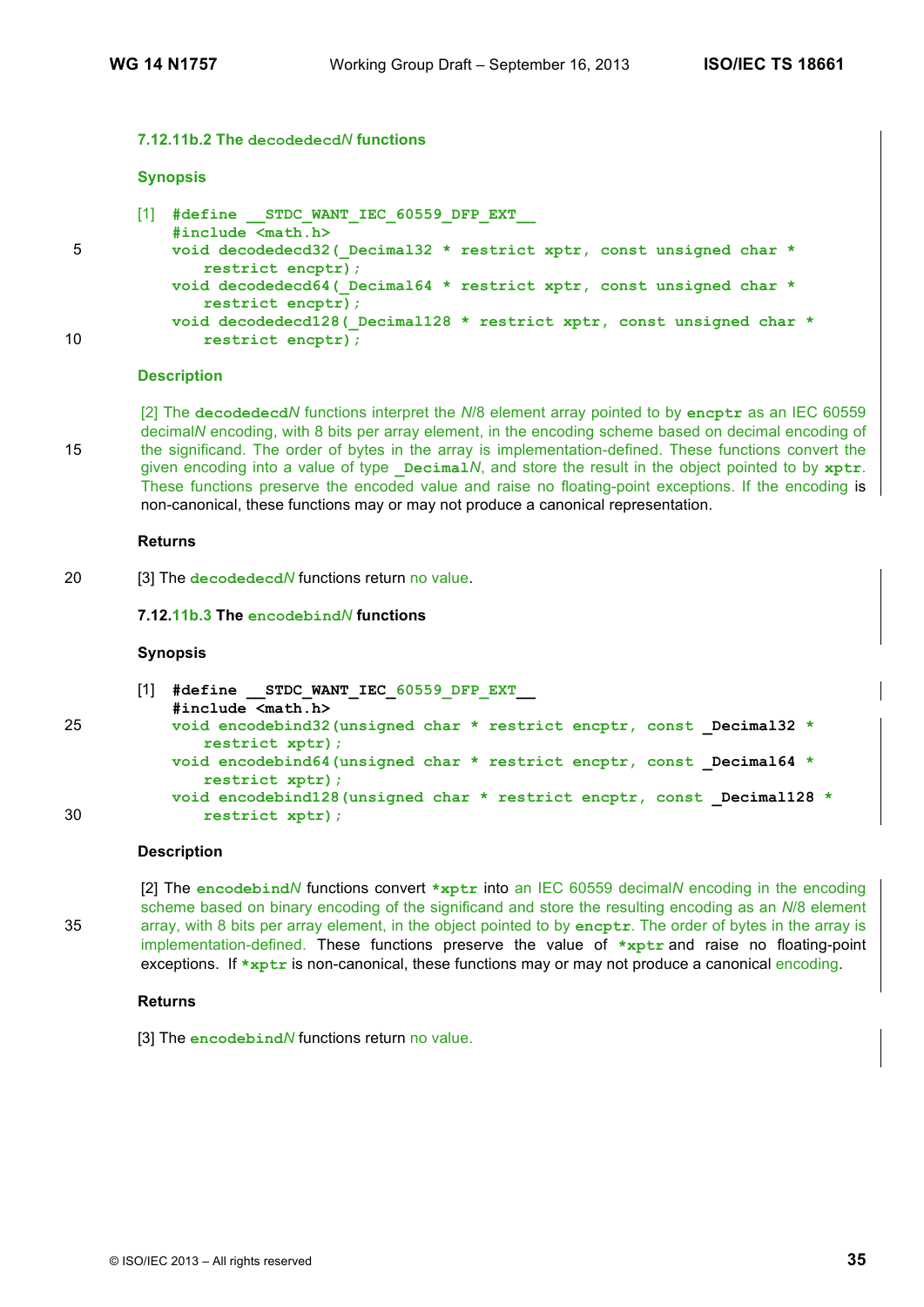### **7.12.11b.2 The decodedecd***N* **functions**

#### **Synopsis**

|    | #define STDC WANT IEC 60559 DFP EXT<br>$\#include \langle \text{match}, \text{h} \rangle$   |  |
|----|---------------------------------------------------------------------------------------------|--|
| 5  | void decodedecd32 ( Decimal32 * restrict xptr, const unsigned char *                        |  |
|    | restrict encptr);                                                                           |  |
|    | void decodedecd64 ( Decimal64 * restrict xptr, const unsigned char *<br>restrict encptr);   |  |
| 10 | void decodedecd128 ( Decimal128 * restrict xptr, const unsigned char *<br>restrict encptr); |  |

#### **Description**

[2] The **decodedecd***N* functions interpret the *N*/8 element array pointed to by **encptr** as an IEC 60559 decimal*N* encoding, with 8 bits per array element, in the encoding scheme based on decimal encoding of 15 the significand. The order of bytes in the array is implementation-defined. These functions convert the given encoding into a value of type **Decimal***N*, and store the result in the object pointed to by xptr. These functions preserve the encoded value and raise no floating-point exceptions. If the encoding is non-canonical, these functions may or may not produce a canonical representation.

#### **Returns**

20 [3] The **decodedecd***N* functions return no value.

#### **7.12.11b.3 The encodebind***N* **functions**

#### **Synopsis**

```
[1] #define __STDC_WANT_IEC_60559_DFP_EXT__
```

```
#include <math.h>
```

```
25 void encodebind32(unsigned char * restrict encptr, const _Decimal32 *
             restrict xptr);
          void encodebind64(unsigned char * restrict encptr, const _Decimal64 *
             restrict xptr);
          void encodebind128(unsigned char * restrict encptr, const _Decimal128 *
30 restrict xptr);
```
#### **Description**

[2] The **encodebind***N* functions convert **\*xptr** into an IEC 60559 decimal*N* encoding in the encoding scheme based on binary encoding of the significand and store the resulting encoding as an *N*/8 element 35 array, with 8 bits per array element, in the object pointed to by **encptr**. The order of bytes in the array is implementation-defined. These functions preserve the value of **\*xptr** and raise no floating-point exceptions. If \*xptr is non-canonical, these functions may or may not produce a canonical encoding.

#### **Returns**

[3] The **encodebind***N* functions return no value.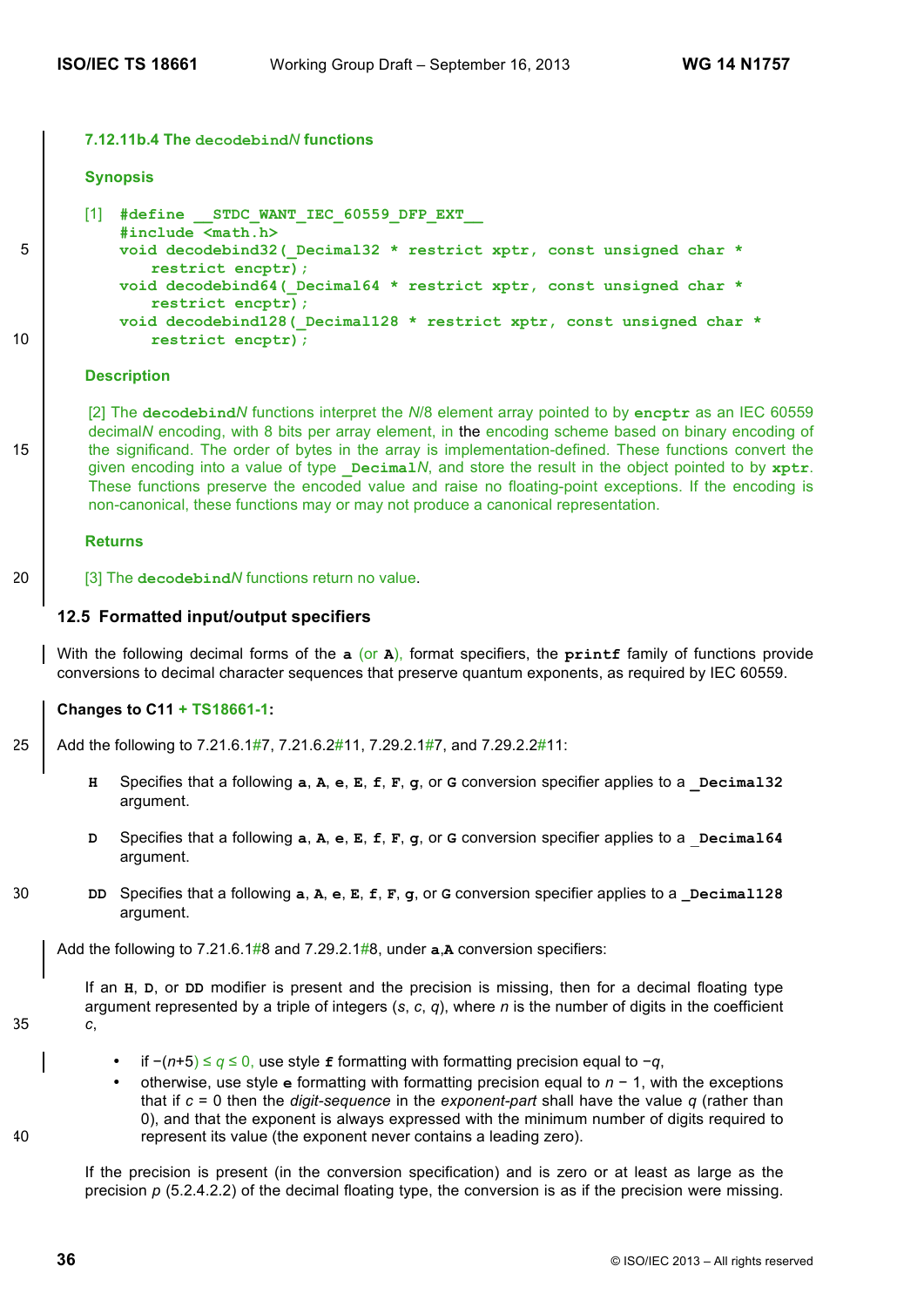#### **7.12.11b.4 The decodebind***N* **functions**

# **Synopsis**

```
[1] #define STDC WANT IEC 60559 DFP EXT
          #include <math.h>
5 void decodebind32(_Decimal32 * restrict xptr, const unsigned char *
              restrict encptr);
          void decodebind64(_Decimal64 * restrict xptr, const unsigned char *
              restrict encptr);
          void decodebind128(_Decimal128 * restrict xptr, const unsigned char *
10 restrict encptr);
```
#### **Description**

[2] The **decodebind***N* functions interpret the *N*/8 element array pointed to by **encptr** as an IEC 60559 decimal*N* encoding, with 8 bits per array element, in the encoding scheme based on binary encoding of 15 the significand. The order of bytes in the array is implementation-defined. These functions convert the given encoding into a value of type  $\Delta P$  **Decimal***N*, and store the result in the object pointed to by  $\mathbf{xptr}$ . These functions preserve the encoded value and raise no floating-point exceptions. If the encoding is non-canonical, these functions may or may not produce a canonical representation.

### **Returns**

20 **[3]** The **decodebind** *N* functions return no value.

### **12.5 Formatted input/output specifiers**

With the following decimal forms of the **a** (or **A**), format specifiers, the **printf** family of functions provide conversions to decimal character sequences that preserve quantum exponents, as required by IEC 60559.

### **Changes to C11 + TS18661-1:**

- 25 Add the following to 7.21.6.1#7, 7.21.6.2#11, 7.29.2.1#7, and 7.29.2.2#11;
	- **H** Specifies that a following **a**, **A**, **e**, **E**, **F**, **g**, or **G** conversion specifier applies to a **Decimal32** argument.
	- **D** Specifies that a following **a**, **A**, **e**, **E**, **f**, **F**, **g**, or **G** conversion specifier applies to a \_**Decimal64** argument.
- 30 **DD** Specifies that a following **a**, **A**, **e**, **E**, **f**, **F**, **g**, or **G** conversion specifier applies to a **\_Decimal128** argument.

Add the following to 7.21.6.1#8 and 7.29.2.1#8, under **a**,**A** conversion specifiers:

If an **H**, **D**, or **DD** modifier is present and the precision is missing, then for a decimal floating type argument represented by a triple of integers (*s*, *c*, *q*), where *n* is the number of digits in the coefficient 35 *c*,

- if −(*n*+5) ≤ *q* ≤ 0, use style **f** formatting with formatting precision equal to −*q*,
- otherwise, use style **e** formatting with formatting precision equal to *n* − 1, with the exceptions that if *c* = 0 then the *digit-sequence* in the *exponent-part* shall have the value *q* (rather than 0), and that the exponent is always expressed with the minimum number of digits required to 40 represent its value (the exponent never contains a leading zero).

If the precision is present (in the conversion specification) and is zero or at least as large as the precision  $p$  (5.2.4.2.2) of the decimal floating type, the conversion is as if the precision were missing.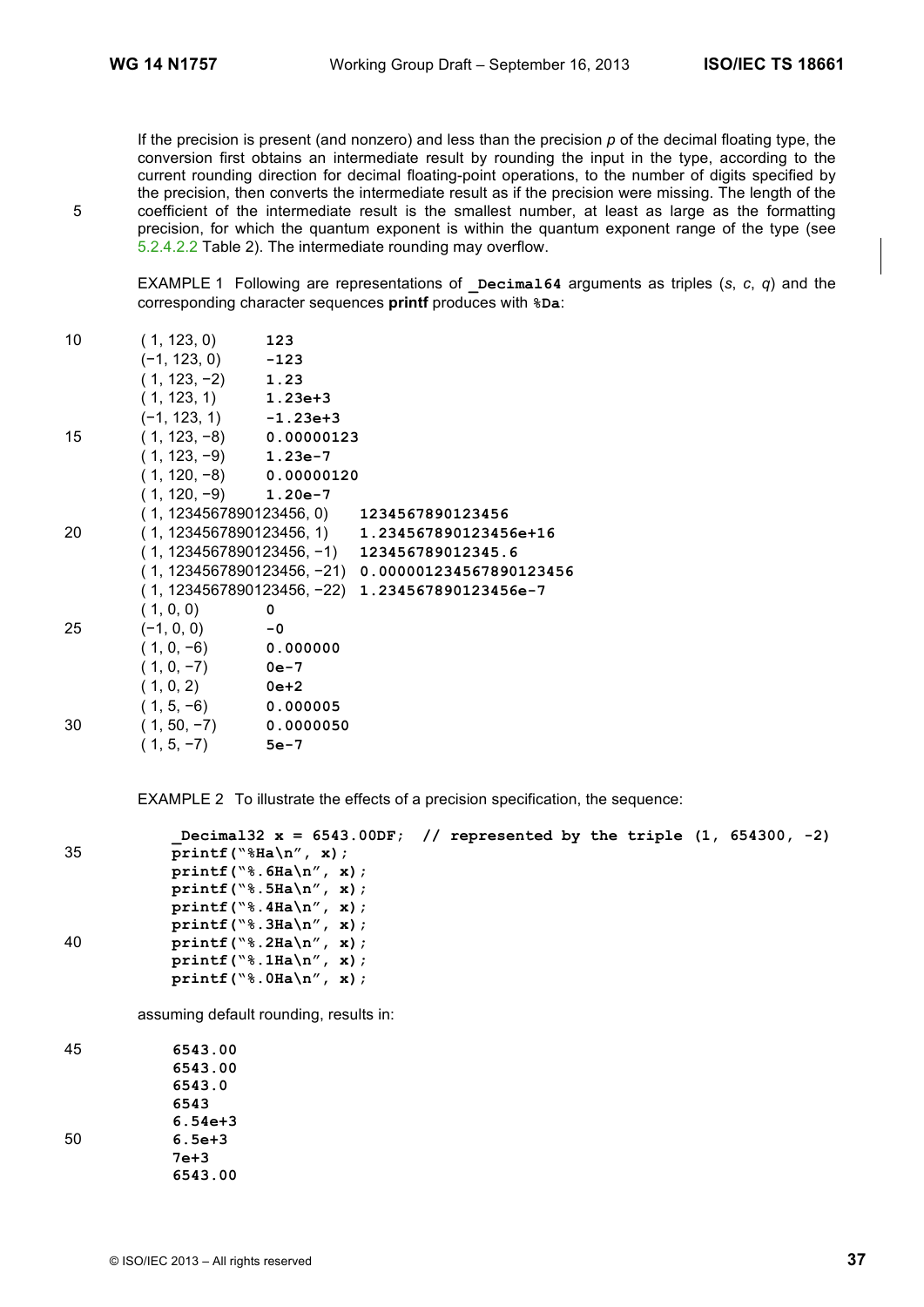If the precision is present (and nonzero) and less than the precision *p* of the decimal floating type, the conversion first obtains an intermediate result by rounding the input in the type, according to the current rounding direction for decimal floating-point operations, to the number of digits specified by the precision, then converts the intermediate result as if the precision were missing. The length of the 5 coefficient of the intermediate result is the smallest number, at least as large as the formatting precision, for which the quantum exponent is within the quantum exponent range of the type (see 5.2.4.2.2 Table 2). The intermediate rounding may overflow.

EXAMPLE 1 Following are representations of **\_Decimal64** arguments as triples (*s*, *c*, *q*) and the corresponding character sequences **printf** produces with **%Da**:

| 10 | (1, 123, 0)               | 123      |                                                    |
|----|---------------------------|----------|----------------------------------------------------|
|    | $(-1, 123, 0)$ $-123$     |          |                                                    |
|    | $(1, 123, -2)$ 1.23       |          |                                                    |
|    | $(1, 123, 1)$ 1.23e+3     |          |                                                    |
|    | $(-1, 123, 1)$ $-1.23e+3$ |          |                                                    |
| 15 | $(1, 123, -8)$ 0.00000123 |          |                                                    |
|    | $(1, 123, -9)$ 1.23e-7    |          |                                                    |
|    | $(1, 120, -8)$ 0.00000120 |          |                                                    |
|    | $(1, 120, -9)$ 1.20e-7    |          |                                                    |
|    |                           |          | $(1, 1234567890123456, 0)$ 1234567890123456        |
| 20 |                           |          | $(1, 1234567890123456, 1)$ 1.234567890123456e+16   |
|    |                           |          | $(1, 1234567890123456, -1)$ 123456789012345.6      |
|    |                           |          | (1,1234567890123456, -21)  0.000001234567890123456 |
|    |                           |          | (1, 1234567890123456, -22) 1.234567890123456e-7    |
|    | (1, 0, 0)                 | 0        |                                                    |
| 25 | $(-1, 0, 0)$              | $-0$     |                                                    |
|    | $(1, 0, -6)$              | 0.000000 |                                                    |
|    | $(1, 0, -7)$              | 0e-7     |                                                    |
|    | $(1, 0, 2)$ 0e+2          |          |                                                    |
|    | $(1, 5, -6)$ 0.000005     |          |                                                    |
| 30 | $(1, 50, -7)$ 0.0000050   |          |                                                    |
|    | $(1, 5, -7)$              | $5e-7$   |                                                    |

EXAMPLE 2 To illustrate the effects of a precision specification, the sequence:

|    | Decimal $32 \times = 6543.00$ DF; // represented by the triple $(1, 654300, -2)$ |  |  |  |  |
|----|----------------------------------------------------------------------------------|--|--|--|--|
| 35 | printf ( $\sqrt{8}$ Ha $\ln''$ , x);                                             |  |  |  |  |
|    | printf ( $\$ .6Ha\n'', x);                                                       |  |  |  |  |
|    | printf( $\$ \; .5Ha\n'', x);                                                     |  |  |  |  |
|    | printf( $\sqrt{8}$ . 4Ha $\sqrt{n}$ , x);                                        |  |  |  |  |
|    | $printf("8.3Ha\nu", x);$                                                         |  |  |  |  |
| 40 | printf( $\$ \\\hata\n'', x);                                                     |  |  |  |  |
|    | printf( $\$ \\intitation', x);                                                   |  |  |  |  |
|    | printf( $\$ \\\hata\n'', x);                                                     |  |  |  |  |
|    |                                                                                  |  |  |  |  |

assuming default rounding, results in:

45 **6543.00 6543.00 6543.0 6543 6.54e+3** 50 **6.5e+3 7e+3 6543.00**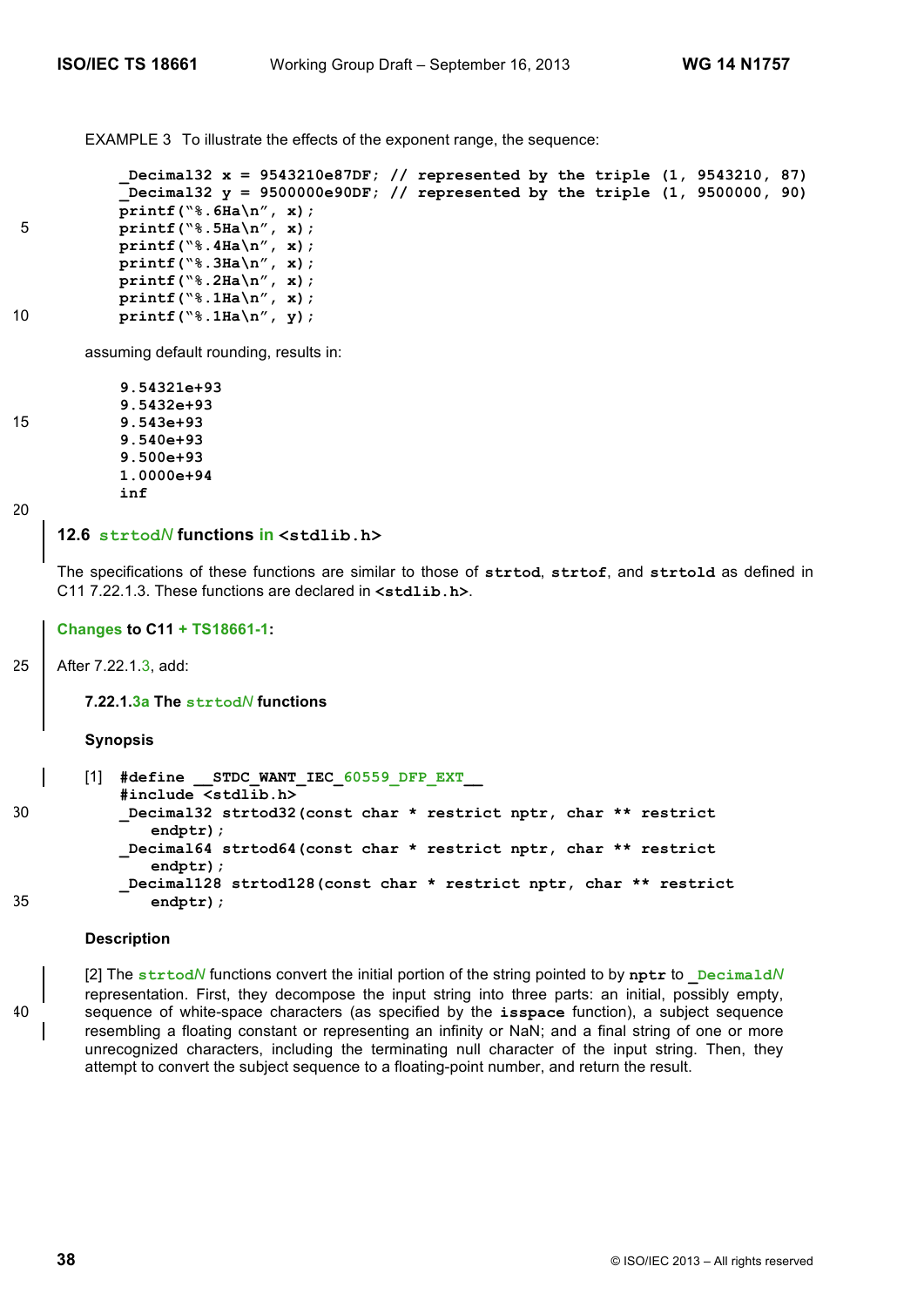EXAMPLE 3 To illustrate the effects of the exponent range, the sequence:

```
_Decimal32 x = 9543210e87DF; // represented by the triple (1, 9543210, 87)
          _Decimal32 y = 9500000e90DF; // represented by the triple (1, 9500000, 90)
          printf("%.6Ha\n", x);
5 printf("%.5Ha\n", x);
          printf("%.4Ha\n", x);
          printf("%.3Ha\n", x);
          printf("%.2Ha\n", x);
          printf("%.1Ha\n", x);
10 printf("%.1Ha\n", y);
```
assuming default rounding, results in:

```
9.54321e+93
          9.5432e+93
15 9.543e+93
          9.540e+93
          9.500e+93
          1.0000e+94
          inf
```
20

### **12.6 strtod***N* **functions in <stdlib.h>**

The specifications of these functions are similar to those of **strtod**, **strtof**, and **strtold** as defined in C11 7.22.1.3. These functions are declared in **<stdlib.h>**.

### **Changes to C11 + TS18661-1:**

25 After 7.22.1.3, add:

**7.22.1.3a The strtod***N* **functions**

**Synopsis**

```
[1] #define __STDC_WANT_IEC_60559_DFP_EXT__
          #include <stdlib.h>
30 _Decimal32 strtod32(const char * restrict nptr, char ** restrict
              endptr);
          _Decimal64 strtod64(const char * restrict nptr, char ** restrict
              endptr);
          _Decimal128 strtod128(const char * restrict nptr, char ** restrict
35 endptr);
```
### **Description**

[2] The **strtod***N* functions convert the initial portion of the string pointed to by **nptr** to **\_Decimald***N* representation. First, they decompose the input string into three parts: an initial, possibly empty, 40 sequence of white-space characters (as specified by the **isspace** function), a subject sequence resembling a floating constant or representing an infinity or NaN; and a final string of one or more unrecognized characters, including the terminating null character of the input string. Then, they attempt to convert the subject sequence to a floating-point number, and return the result.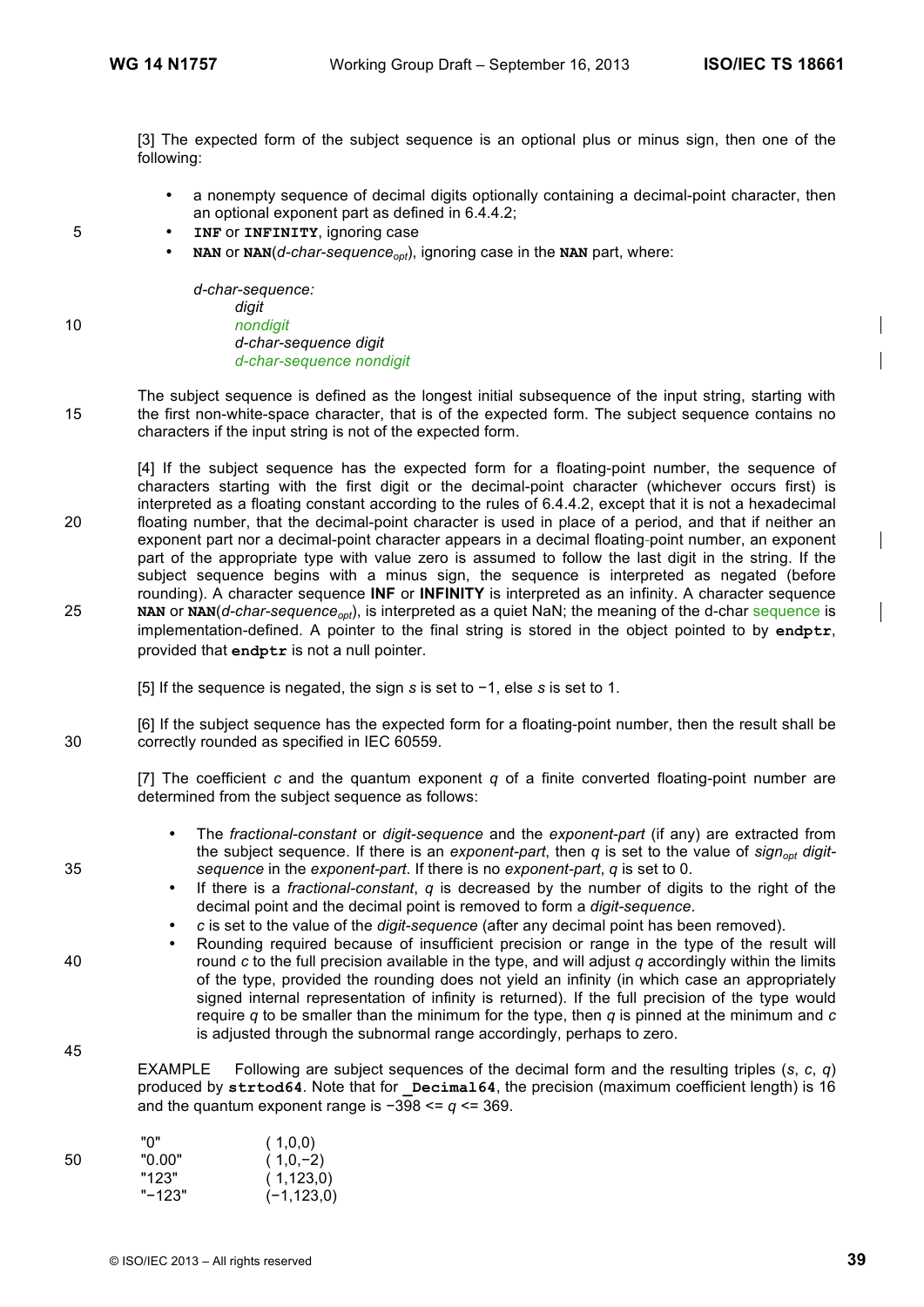[3] The expected form of the subject sequence is an optional plus or minus sign, then one of the following:

- a nonempty sequence of decimal digits optionally containing a decimal-point character, then an optional exponent part as defined in 6.4.4.2;
- 5 **INF** or **INFINITY**, ignoring case
	- **NAN** or **NAN** $(d$ -char-sequence<sub>cot</sub>), ignoring case in the **NAN** part, where:

*d-char-sequence: digit* 10 *nondigit d-char-sequence digit d-char-sequence nondigit*

The subject sequence is defined as the longest initial subsequence of the input string, starting with 15 the first non-white-space character, that is of the expected form. The subject sequence contains no characters if the input string is not of the expected form.

[4] If the subject sequence has the expected form for a floating-point number, the sequence of characters starting with the first digit or the decimal-point character (whichever occurs first) is interpreted as a floating constant according to the rules of 6.4.4.2, except that it is not a hexadecimal 20 floating number, that the decimal-point character is used in place of a period, and that if neither an exponent part nor a decimal-point character appears in a decimal floating-point number, an exponent part of the appropriate type with value zero is assumed to follow the last digit in the string. If the subject sequence begins with a minus sign, the sequence is interpreted as negated (before rounding). A character sequence **INF** or **INFINITY** is interpreted as an infinity. A character sequence 25 **NAN** or **NAN**(*d-char-sequence<sub>opt</sub>)*, is interpreted as a quiet NaN; the meaning of the d-char sequence is implementation-defined. A pointer to the final string is stored in the object pointed to by **endptr**, provided that **endptr** is not a null pointer.

[5] If the sequence is negated, the sign *s* is set to −1, else *s* is set to 1.

[6] If the subject sequence has the expected form for a floating-point number, then the result shall be 30 correctly rounded as specified in IEC 60559.

[7] The coefficient *c* and the quantum exponent *q* of a finite converted floating-point number are determined from the subject sequence as follows:

- The *fractional-constant* or *digit-sequence* and the *exponent-part* (if any) are extracted from the subject sequence. If there is an *exponent-part*, then *q* is set to the value of *sign<sub>opt</sub> digit-*35 *sequence* in the *exponent-part*. If there is no *exponent-part*, *q* is set to 0.
	- If there is a *fractional-constant*, *q* is decreased by the number of digits to the right of the decimal point and the decimal point is removed to form a *digit-sequence*.
	- *c* is set to the value of the *digit-sequence* (after any decimal point has been removed).
- Rounding required because of insufficient precision or range in the type of the result will 40 round *c* to the full precision available in the type, and will adjust *q* accordingly within the limits of the type, provided the rounding does not yield an infinity (in which case an appropriately signed internal representation of infinity is returned). If the full precision of the type would require *q* to be smaller than the minimum for the type, then *q* is pinned at the minimum and *c* is adjusted through the subnormal range accordingly, perhaps to zero.

EXAMPLE Following are subject sequences of the decimal form and the resulting triples (*s*, *c*, *q*) produced by strtod64. Note that for **Decimal64**, the precision (maximum coefficient length) is 16 and the quantum exponent range is −398 <= *q* <= 369.

|    | "ח"    | (1,0,0)        |
|----|--------|----------------|
| 50 | "0.00" | $(1,0,-2)$     |
|    | "123"  | (1,123,0)      |
|    | "-123" | $(-1, 123, 0)$ |

45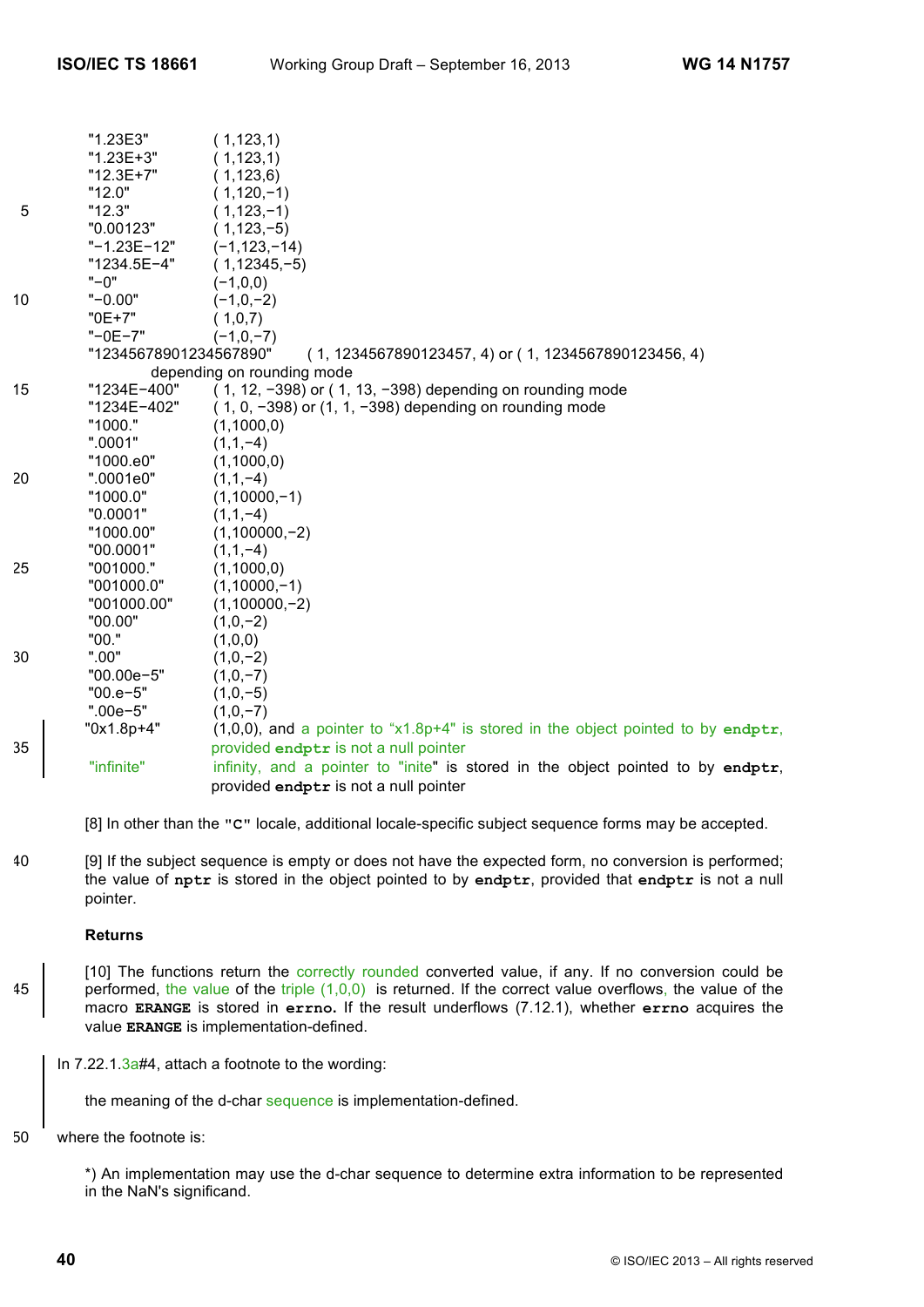|    | "1.23E3"               | (1, 123, 1)                                                                          |
|----|------------------------|--------------------------------------------------------------------------------------|
|    | "1.23E+3"              | (1, 123, 1)                                                                          |
|    | "12.3E+7"              | (1, 123, 6)                                                                          |
|    | "12.0"                 | $(1, 120, -1)$                                                                       |
| 5  | "12.3"                 | $(1, 123, -1)$                                                                       |
|    | "0.00123"              | $(1, 123, -5)$                                                                       |
|    | "-1.23E-12"            | $(-1, 123, -14)$                                                                     |
|    | "1234.5E-4"            | $(1, 12345, -5)$                                                                     |
|    | $" - 0"$               | $(-1,0,0)$                                                                           |
| 10 | $" -0.00"$             | $(-1,0,-2)$                                                                          |
|    | $"0E+7"$               | (1,0,7)                                                                              |
|    | $"$ -0E-7"             | $(-1,0,-7)$                                                                          |
|    | "12345678901234567890" | $(1, 1234567890123457, 4)$ or $(1, 1234567890123456, 4)$                             |
|    |                        | depending on rounding mode                                                           |
| 15 | "1234E-400"            | (1, 12, -398) or (1, 13, -398) depending on rounding mode                            |
|    | "1234E-402"            | $(1, 0, -398)$ or $(1, 1, -398)$ depending on rounding mode                          |
|    | "1000."                | (1,1000,0)                                                                           |
|    | ".0001"                | $(1,1,-4)$                                                                           |
|    | "1000.e0"              | (1,1000,0)                                                                           |
| 20 | ".0001e0"              | $(1,1,-4)$                                                                           |
|    | "1000.0"               | $(1,10000,-1)$                                                                       |
|    | "0.0001"               | $(1,1,-4)$                                                                           |
|    | "1000.00"              | $(1,100000,-2)$                                                                      |
|    | "00.0001"              | $(1,1,-4)$                                                                           |
| 25 | "001000."              | (1,1000,0)                                                                           |
|    | "001000.0"             | $(1,10000,-1)$                                                                       |
|    | "001000.00"            | $(1,100000,-2)$                                                                      |
|    | "00.00"                | $(1,0,-2)$                                                                           |
|    | "00."                  | (1,0,0)                                                                              |
| 30 | ".00"                  | $(1,0,-2)$                                                                           |
|    | "00.00e-5"             | $(1,0,-7)$                                                                           |
|    | $"00.e-5"$             | $(1,0,-5)$                                                                           |
|    | $".00e-5"$             | $(1,0,-7)$                                                                           |
|    | "0x1.8p+4"             | $(1,0,0)$ , and a pointer to "x1.8p+4" is stored in the object pointed to by endptr, |
| 35 |                        | provided endptr is not a null pointer                                                |
|    | "infinite"             | infinity, and a pointer to "inite" is stored in the object pointed to by endptr,     |
|    |                        | provided endptr is not a null pointer                                                |
|    |                        |                                                                                      |

[8] In other than the **"C"** locale, additional locale-specific subject sequence forms may be accepted.

40 [9] If the subject sequence is empty or does not have the expected form, no conversion is performed; the value of **nptr** is stored in the object pointed to by **endptr**, provided that **endptr** is not a null pointer.

### **Returns**

- [10] The functions return the correctly rounded converted value, if any. If no conversion could be 45 performed, the value of the triple  $(1,0,0)$  is returned. If the correct value overflows, the value of the macro **ERANGE** is stored in **errno.** If the result underflows (7.12.1), whether **errno** acquires the value **ERANGE** is implementation-defined.
	- In 7.22.1.3a#4, attach a footnote to the wording:

the meaning of the d-char sequence is implementation-defined.

50 where the footnote is:

\*) An implementation may use the d-char sequence to determine extra information to be represented in the NaN's significand.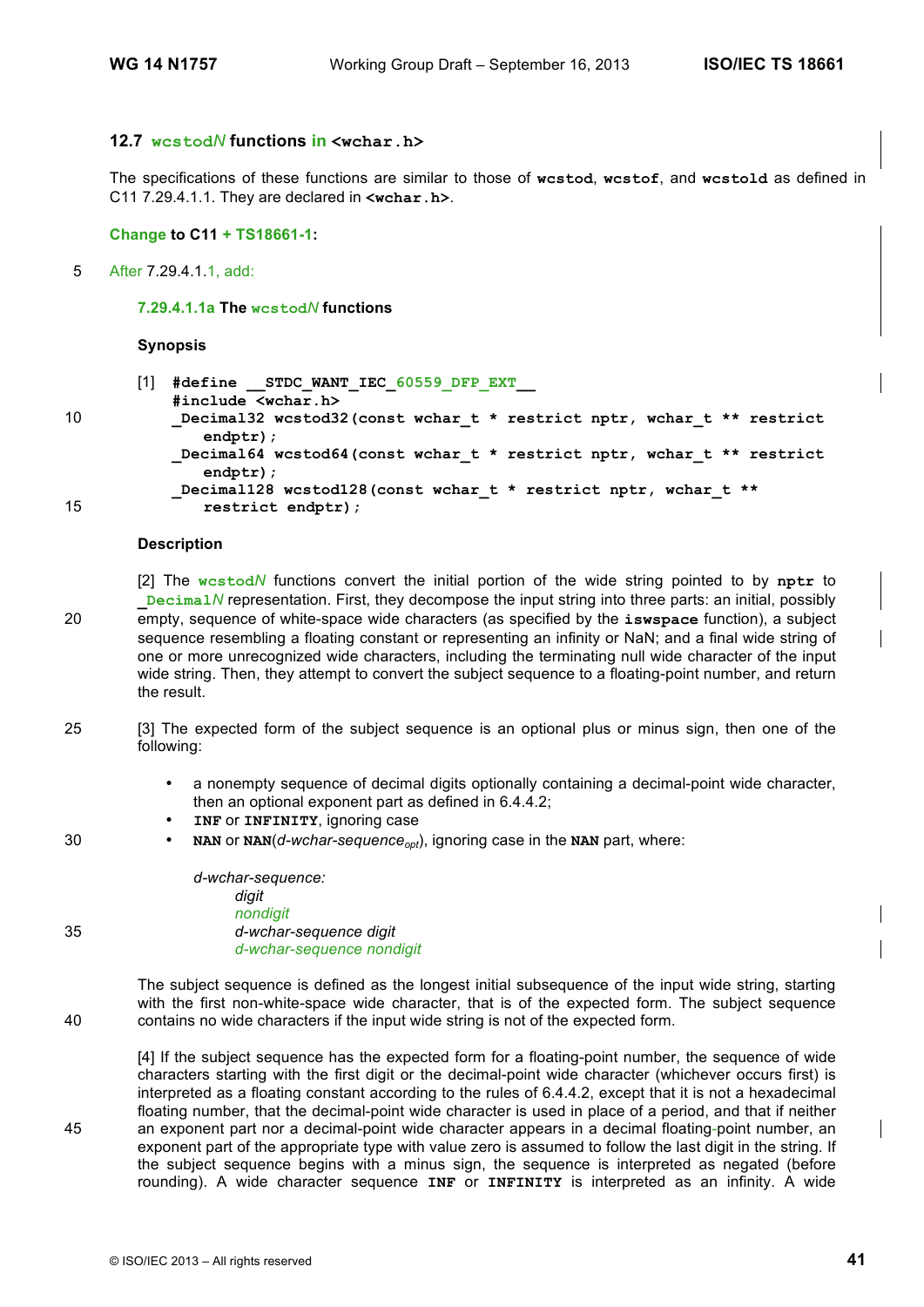### **12.7 wcstod***N* **functions in <wchar.h>**

The specifications of these functions are similar to those of **wcstod**, **wcstof**, and **wcstold** as defined in C11 7.29.4.1.1. They are declared in **<wchar.h>**.

### **Change to C11 + TS18661-1:**

5 After 7.29.4.1.1, add:

#### **7.29.4.1.1a The wcstod***N* **functions**

#### **Synopsis**

[1] **#define \_\_STDC\_WANT\_IEC\_60559\_DFP\_EXT\_\_ #include <wchar.h>** 10 **\_Decimal32 wcstod32(const wchar\_t \* restrict nptr, wchar\_t \*\* restrict endptr); \_Decimal64 wcstod64(const wchar\_t \* restrict nptr, wchar\_t \*\* restrict endptr); \_Decimal128 wcstod128(const wchar\_t \* restrict nptr, wchar\_t \*\*** 15 **restrict endptr);**

#### **Description**

[2] The **wcstod***N* functions convert the initial portion of the wide string pointed to by **nptr** to **\_Decimal***N* representation. First, they decompose the input string into three parts: an initial, possibly 20 empty, sequence of white-space wide characters (as specified by the **iswspace** function), a subject sequence resembling a floating constant or representing an infinity or NaN; and a final wide string of one or more unrecognized wide characters, including the terminating null wide character of the input wide string. Then, they attempt to convert the subject sequence to a floating-point number, and return the result.

- 25 [3] The expected form of the subject sequence is an optional plus or minus sign, then one of the following:
	- a nonempty sequence of decimal digits optionally containing a decimal-point wide character, then an optional exponent part as defined in 6.4.4.2;
	- **INF** or **INFINITY**, ignoring case
- 30 **NAN** or **NAN** $(d$ *-wchar-sequence<sub>opt</sub>), ignoring case in the NAN part, where:*

*d-wchar-sequence: digit nondigit* 35 *d-wchar-sequence digit d-wchar-sequence nondigit*

The subject sequence is defined as the longest initial subsequence of the input wide string, starting with the first non-white-space wide character, that is of the expected form. The subject sequence 40 contains no wide characters if the input wide string is not of the expected form.

[4] If the subject sequence has the expected form for a floating-point number, the sequence of wide characters starting with the first digit or the decimal-point wide character (whichever occurs first) is interpreted as a floating constant according to the rules of 6.4.4.2, except that it is not a hexadecimal floating number, that the decimal-point wide character is used in place of a period, and that if neither 45 an exponent part nor a decimal-point wide character appears in a decimal floating-point number, an exponent part of the appropriate type with value zero is assumed to follow the last digit in the string. If the subject sequence begins with a minus sign, the sequence is interpreted as negated (before rounding). A wide character sequence **INF** or **INFINITY** is interpreted as an infinity. A wide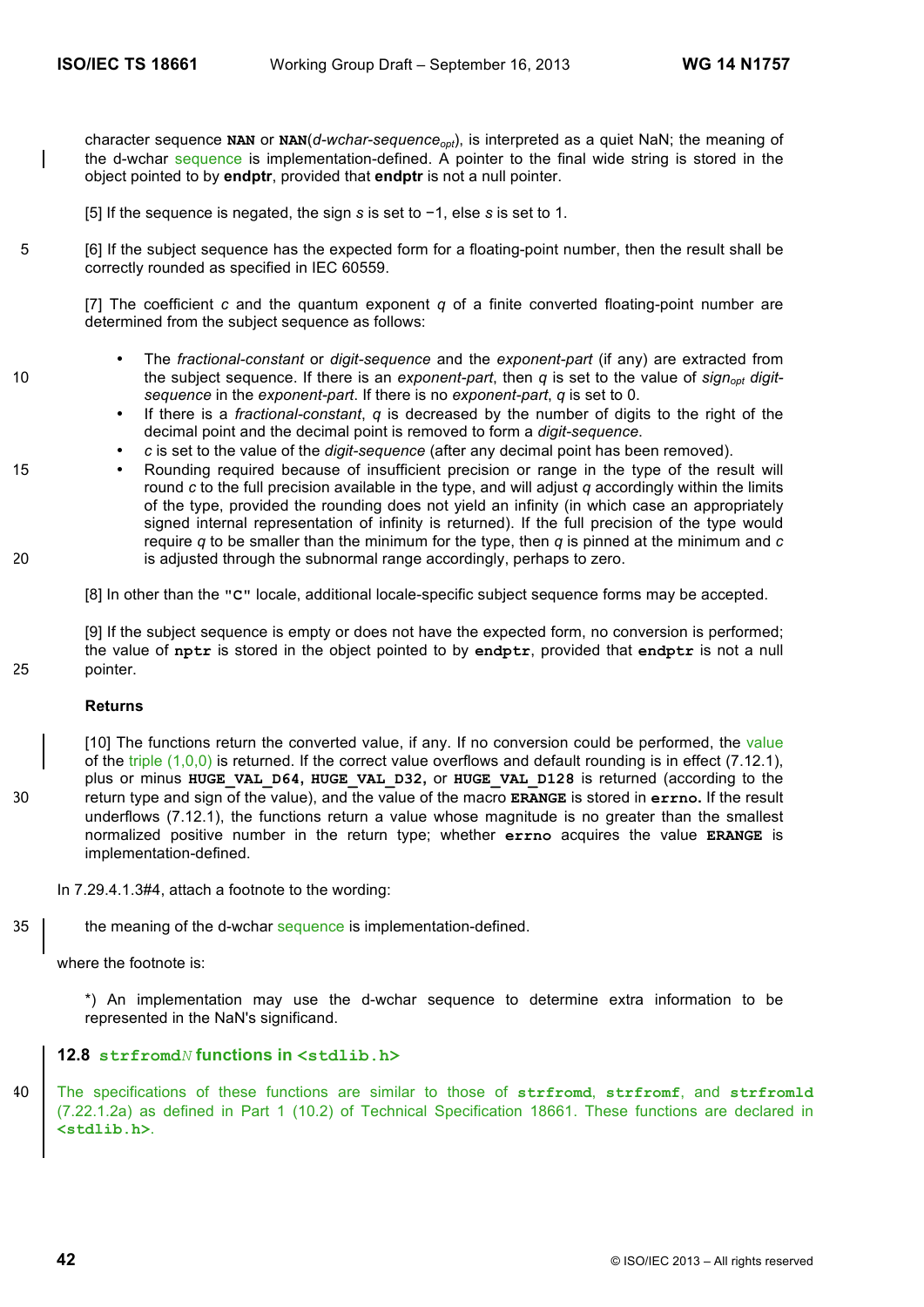character sequence NAN or  $NAN(d-wchar-sequence_{opt})$ , is interpreted as a quiet NaN; the meaning of the d-wchar sequence is implementation-defined. A pointer to the final wide string is stored in the object pointed to by **endptr**, provided that **endptr** is not a null pointer.

[5] If the sequence is negated, the sign *s* is set to −1, else *s* is set to 1.

5 [6] If the subject sequence has the expected form for a floating-point number, then the result shall be correctly rounded as specified in IEC 60559.

[7] The coefficient *c* and the quantum exponent *q* of a finite converted floating-point number are determined from the subject sequence as follows:

- The *fractional-constant* or *digit-sequence* and the *exponent-part* (if any) are extracted from 10 the subject sequence. If there is an *exponent-part*, then *q* is set to the value of *sign<sub>opt</sub> digitsequence* in the *exponent-part*. If there is no *exponent-part*, *q* is set to 0.
	- If there is a *fractional-constant*, *q* is decreased by the number of digits to the right of the decimal point and the decimal point is removed to form a *digit-sequence*.
	- *c* is set to the value of the *digit-sequence* (after any decimal point has been removed).
- 15 Rounding required because of insufficient precision or range in the type of the result will round *c* to the full precision available in the type, and will adjust *q* accordingly within the limits of the type, provided the rounding does not yield an infinity (in which case an appropriately signed internal representation of infinity is returned). If the full precision of the type would require *q* to be smaller than the minimum for the type, then *q* is pinned at the minimum and *c* 20 is adjusted through the subnormal range accordingly, perhaps to zero.

[8] In other than the **"C"** locale, additional locale-specific subject sequence forms may be accepted.

[9] If the subject sequence is empty or does not have the expected form, no conversion is performed; the value of **nptr** is stored in the object pointed to by **endptr**, provided that **endptr** is not a null 25 pointer.

#### **Returns**

[10] The functions return the converted value, if any. If no conversion could be performed, the value of the triple (1,0,0) is returned. If the correct value overflows and default rounding is in effect (7.12.1), plus or minus **HUGE\_VAL\_D64, HUGE\_VAL\_D32,** or **HUGE\_VAL\_D128** is returned (according to the 30 return type and sign of the value), and the value of the macro **ERANGE** is stored in **errno.** If the result underflows (7.12.1), the functions return a value whose magnitude is no greater than the smallest normalized positive number in the return type; whether **errno** acquires the value **ERANGE** is implementation-defined.

In 7.29.4.1.3#4, attach a footnote to the wording:

35 the meaning of the d-wchar sequence is implementation-defined.

where the footnote is:

\*) An implementation may use the d-wchar sequence to determine extra information to be represented in the NaN's significand.

### **12.8 strfromd***N* **functions in <stdlib.h>**

40 The specifications of these functions are similar to those of **strfromd**, **strfromf**, and **strfromld** (7.22.1.2a) as defined in Part 1 (10.2) of Technical Specification 18661. These functions are declared in **<stdlib.h>**.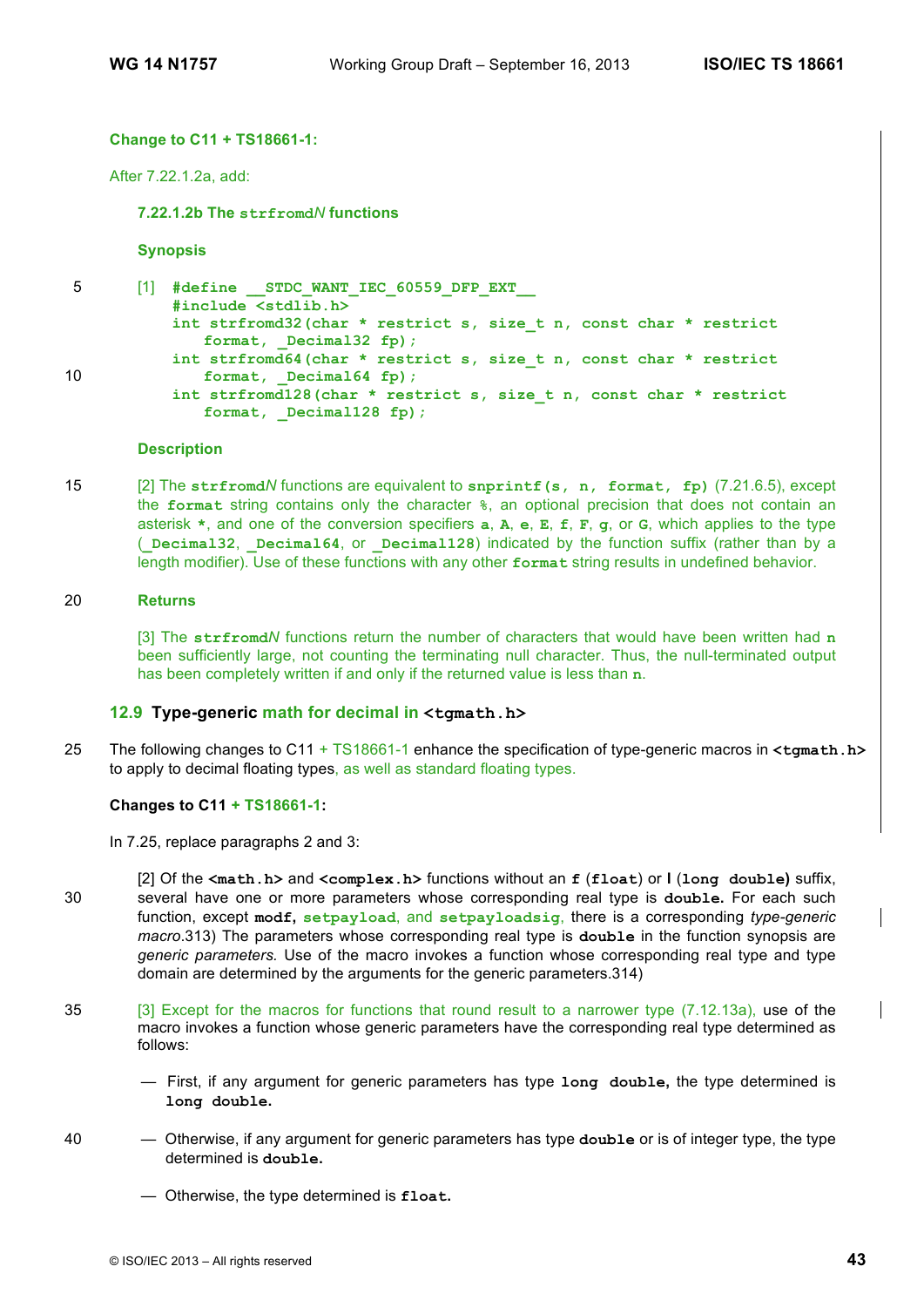### **Change to C11 + TS18661-1:**

After 7.22.1.2a, add:

**7.22.1.2b The strfromd***N* **functions**

**Synopsis**

5 [1] **#define \_\_STDC\_WANT\_IEC\_60559\_DFP\_EXT\_\_ #include <stdlib.h> int strfromd32(char \* restrict s, size\_t n, const char \* restrict format, \_Decimal32 fp); int strfromd64(char \* restrict s, size\_t n, const char \* restrict** 10 **format**, **Decimal64 fp**); **int strfromd128(char \* restrict s, size\_t n, const char \* restrict format, \_Decimal128 fp);** 

#### **Description**

15 [2] The **strfromd***N* functions are equivalent to **snprintf(s, n, format, fp)** (7.21.6.5), except the **format** string contains only the character **%**, an optional precision that does not contain an asterisk **\***, and one of the conversion specifiers **a**, **A**, **e**, **E**, **f**, **F**, **g**, or **G**, which applies to the type (**\_Decimal32**, **\_Decimal64**, or **\_Decimal128**) indicated by the function suffix (rather than by a length modifier). Use of these functions with any other **format** string results in undefined behavior.

#### 20 **Returns**

[3] The **strfromd***N* functions return the number of characters that would have been written had **n** been sufficiently large, not counting the terminating null character. Thus, the null-terminated output has been completely written if and only if the returned value is less than **n**.

### **12.9 Type-generic math for decimal in <tgmath.h>**

25 The following changes to C11 + TS18661-1 enhance the specification of type-generic macros in **<tgmath.h>** to apply to decimal floating types, as well as standard floating types.

### **Changes to C11 + TS18661-1:**

In 7.25, replace paragraphs 2 and 3:

- [2] Of the **<math.h>** and **<complex.h>** functions without an **f** (**float**) or **l** (**long double)** suffix, 30 several have one or more parameters whose corresponding real type is **double.** For each such function, except **modf, setpayload**, and **setpayloadsig**, there is a corresponding *type-generic macro*.313) The parameters whose corresponding real type is **double** in the function synopsis are *generic parameters.* Use of the macro invokes a function whose corresponding real type and type domain are determined by the arguments for the generic parameters.314)
- 35 [3] Except for the macros for functions that round result to a narrower type (7.12.13a), use of the macro invokes a function whose generic parameters have the corresponding real type determined as follows:
	- First, if any argument for generic parameters has type **long double,** the type determined is **long double.**
- 40 Otherwise, if any argument for generic parameters has type **double** or is of integer type, the type determined is **double.** 
	- Otherwise, the type determined is **float.**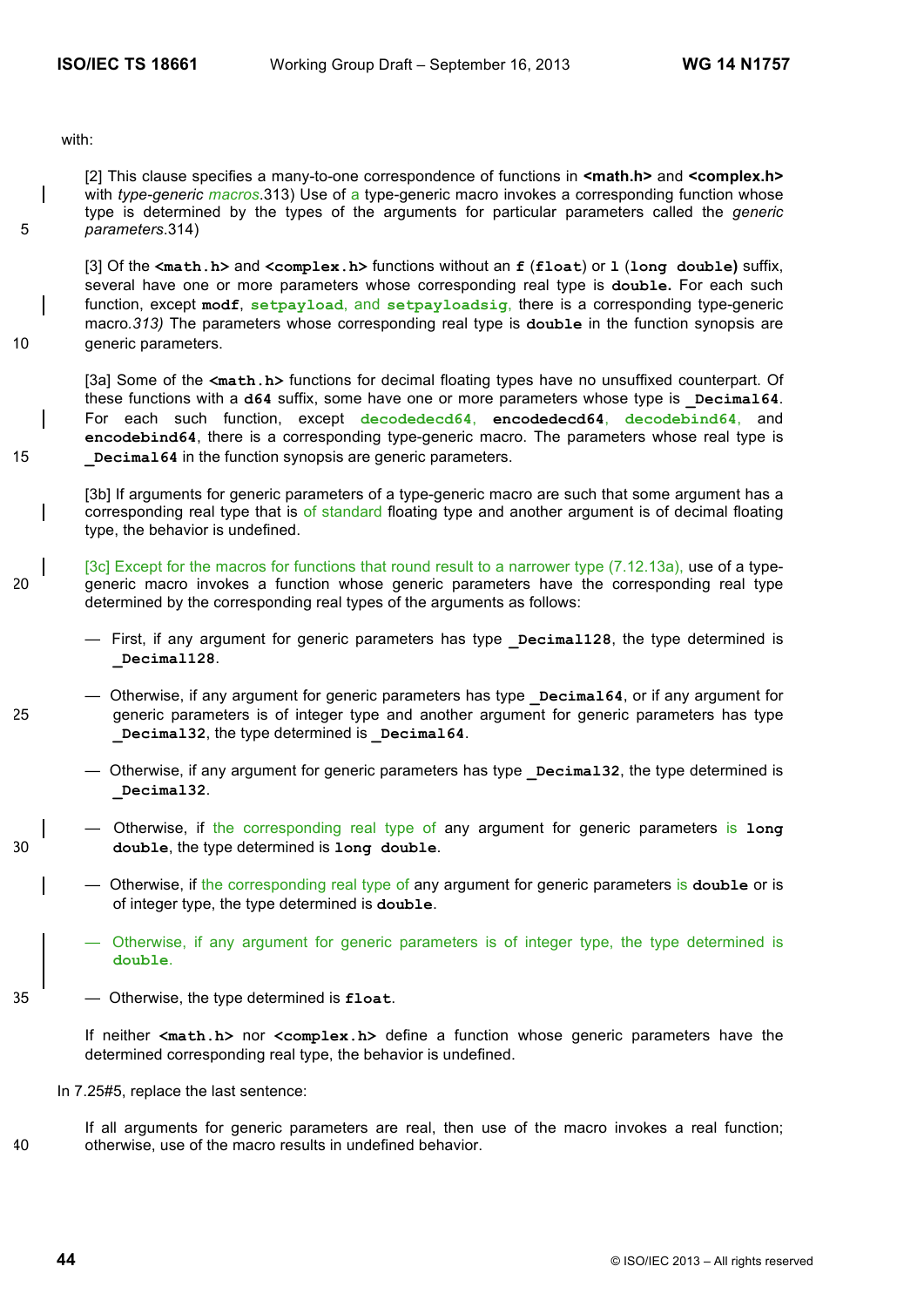with:

[2] This clause specifies a many-to-one correspondence of functions in **<math.h>** and **<complex.h>** with *type-generic macros*.313) Use of a type-generic macro invokes a corresponding function whose type is determined by the types of the arguments for particular parameters called the *generic*  5 *parameters*.314)

[3] Of the **<math.h>** and **<complex.h>** functions without an **f** (**float**) or **l** (**long double)** suffix, several have one or more parameters whose corresponding real type is **double.** For each such function, except **modf**, **setpayload**, and **setpayloadsig**, there is a corresponding type-generic macro*.313)* The parameters whose corresponding real type is **double** in the function synopsis are 10 generic parameters.

[3a] Some of the **<math.h>** functions for decimal floating types have no unsuffixed counterpart. Of these functions with a d64 suffix, some have one or more parameters whose type is **Decimal64**. For each such function, except **decodedecd64**, **encodedecd64**, **decodebind64**, and **encodebind64**, there is a corresponding type-generic macro. The parameters whose real type is 15 **\_Decimal64** in the function synopsis are generic parameters.

[3b] If arguments for generic parameters of a type-generic macro are such that some argument has a corresponding real type that is of standard floating type and another argument is of decimal floating type, the behavior is undefined.

- [3c] Except for the macros for functions that round result to a narrower type (7.12.13a), use of a type-20 generic macro invokes a function whose generic parameters have the corresponding real type determined by the corresponding real types of the arguments as follows:
	- $-$  First, if any argument for generic parameters has type **Decimal128**, the type determined is **\_Decimal128**.
- Otherwise, if any argument for generic parameters has type **\_Decimal64**, or if any argument for 25 generic parameters is of integer type and another argument for generic parameters has type **\_Decimal32**, the type determined is **\_Decimal64**.
	- Otherwise, if any argument for generic parameters has type **\_Decimal32**, the type determined is **\_Decimal32**.
- Otherwise, if the corresponding real type of any argument for generic parameters is **long**  30 **double**, the type determined is **long double**.
	- Otherwise, if the corresponding real type of any argument for generic parameters is **double** or is of integer type, the type determined is **double**.
	- Otherwise, if any argument for generic parameters is of integer type, the type determined is **double**.
- 35 Otherwise, the type determined is **float**.

If neither **<math.h>** nor **<complex.h>** define a function whose generic parameters have the determined corresponding real type, the behavior is undefined.

In 7.25#5, replace the last sentence:

If all arguments for generic parameters are real, then use of the macro invokes a real function; 40 otherwise, use of the macro results in undefined behavior.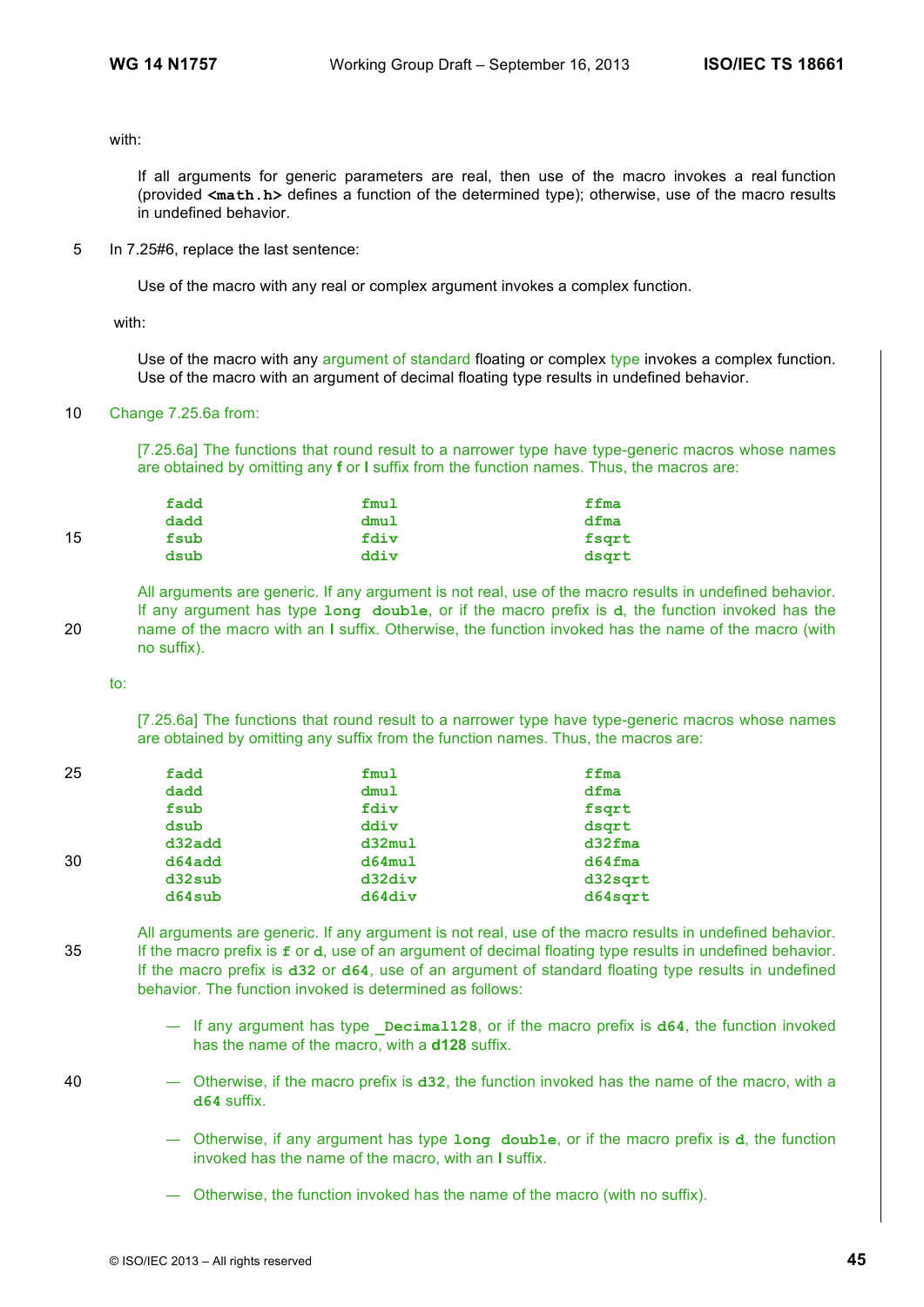with:

If all arguments for generic parameters are real, then use of the macro invokes a real function (provided **<math.h>** defines a function of the determined type); otherwise, use of the macro results in undefined behavior.

5 In 7.25#6, replace the last sentence:

Use of the macro with any real or complex argument invokes a complex function.

with:

Use of the macro with any argument of standard floating or complex type invokes a complex function. Use of the macro with an argument of decimal floating type results in undefined behavior.

10 Change 7.25.6a from:

[7.25.6a] The functions that round result to a narrower type have type-generic macros whose names are obtained by omitting any **f** or **l** suffix from the function names. Thus, the macros are:

|    | fadd | fmul | ffma  |
|----|------|------|-------|
|    | dadd | dmu1 | dfma  |
| 15 | fsub | fdiv | fsqrt |
|    | dsub | ddiv | dsgrt |

All arguments are generic. If any argument is not real, use of the macro results in undefined behavior. If any argument has type **long double**, or if the macro prefix is **d**, the function invoked has the 20 name of the macro with an **l** suffix. Otherwise, the function invoked has the name of the macro (with no suffix).

to:

[7.25.6a] The functions that round result to a narrower type have type-generic macros whose names are obtained by omitting any suffix from the function names. Thus, the macros are:

| fadd   | fmul   | ffma             |
|--------|--------|------------------|
| dadd   | dmu1   | dfma             |
| fsub   | fdiv   | fsqrt            |
| dsub   | ddiv   | dsgrt            |
| d32add | d32mu1 | $d32$ <i>fma</i> |
| d64add | d64mu1 | $d64$ fma        |
| d32sub | d32div | d32sqrt          |
| d64sub | d64div | d64sqrt          |
|        |        |                  |

All arguments are generic. If any argument is not real, use of the macro results in undefined behavior. 35 If the macro prefix is **f** or **d**, use of an argument of decimal floating type results in undefined behavior. If the macro prefix is **d32** or **d64**, use of an argument of standard floating type results in undefined behavior. The function invoked is determined as follows:

- If any argument has type **\_Decimal128**, or if the macro prefix is **d64**, the function invoked has the name of the macro, with a **d128** suffix.
- 40 Otherwise, if the macro prefix is **d32**, the function invoked has the name of the macro, with a **d64** suffix.
	- Otherwise, if any argument has type **long double**, or if the macro prefix is **d**, the function invoked has the name of the macro, with an **l** suffix.
	- Otherwise, the function invoked has the name of the macro (with no suffix).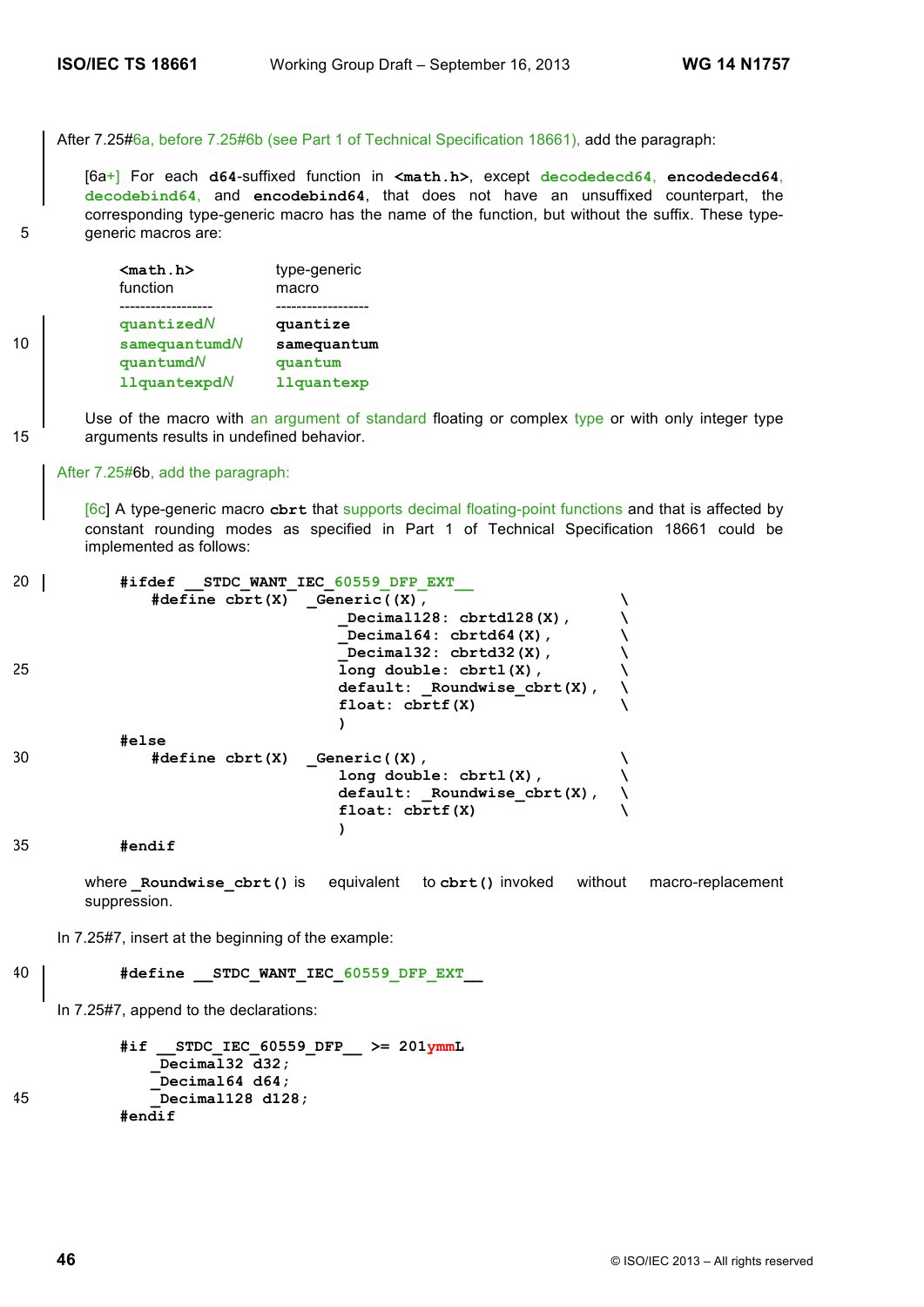After 7.25#6a, before 7.25#6b (see Part 1 of Technical Specification 18661), add the paragraph:

[6a+] For each **d64**-suffixed function in **<math.h>**, except **decodedecd64**, **encodedecd64**, **decodebind64**, and **encodebind64**, that does not have an unsuffixed counterpart, the corresponding type-generic macro has the name of the function, but without the suffix. These type-5 generic macros are:

**<math.h>** type-generic function macro ------------------ ----------------- **quantized***N* **quantize** 10 **samequantumd***N* **samequantum quantumd***N* **quantum llquantexpd***N* **llquantexp**

Use of the macro with an argument of standard floating or complex type or with only integer type 15 arguments results in undefined behavior.

### After 7.25#6b, add the paragraph:

[6c] A type-generic macro **cbrt** that supports decimal floating-point functions and that is affected by constant rounding modes as specified in Part 1 of Technical Specification 18661 could be implemented as follows:

| 20 | #ifdef                                                   | STDC WANT IEC 60559 DFP EXT      |  |
|----|----------------------------------------------------------|----------------------------------|--|
|    | $\#define \; \text{chrt}(X) \quad \text{Generic}((X))$ , |                                  |  |
|    |                                                          | Decimal128: $cbrtd128(X)$ ,      |  |
|    |                                                          | Decimal64: $cbrtd64(X)$ ,        |  |
|    |                                                          | Decimal32: $cbrtd32(X)$ ,        |  |
| 25 |                                                          | $long double: chrtl(X)$ ,        |  |
|    |                                                          | $default:$ Roundwise $cbrt(X)$ , |  |
|    |                                                          | float: $chrtf(X)$                |  |
|    |                                                          |                                  |  |
|    | #else                                                    |                                  |  |
| 30 | $\#define \; \text{chrt}(X) \quad \text{Generic}((X),$   |                                  |  |
|    |                                                          | $long double: chrtl(X)$ ,        |  |
|    |                                                          | $default:$ Roundwise $cbrt(X)$ , |  |
|    |                                                          | float: chrtf(X)                  |  |
|    |                                                          |                                  |  |
| っこ | . <i>. .</i>                                             |                                  |  |

35 **#endif**

where **Roundwise cbrt()** is equivalent to cbrt() invoked without macro-replacement suppression.

In 7.25#7, insert at the beginning of the example:

40 **#define** STDC WANT IEC 60559 DFP EXT

In 7.25#7, append to the declarations:

```
\#if STDC\_IEC_60559\_DFP >= 201ymmL
             _Decimal32 d32;
              _Decimal64 d64;
45 _Decimal128 d128;
          #endif
```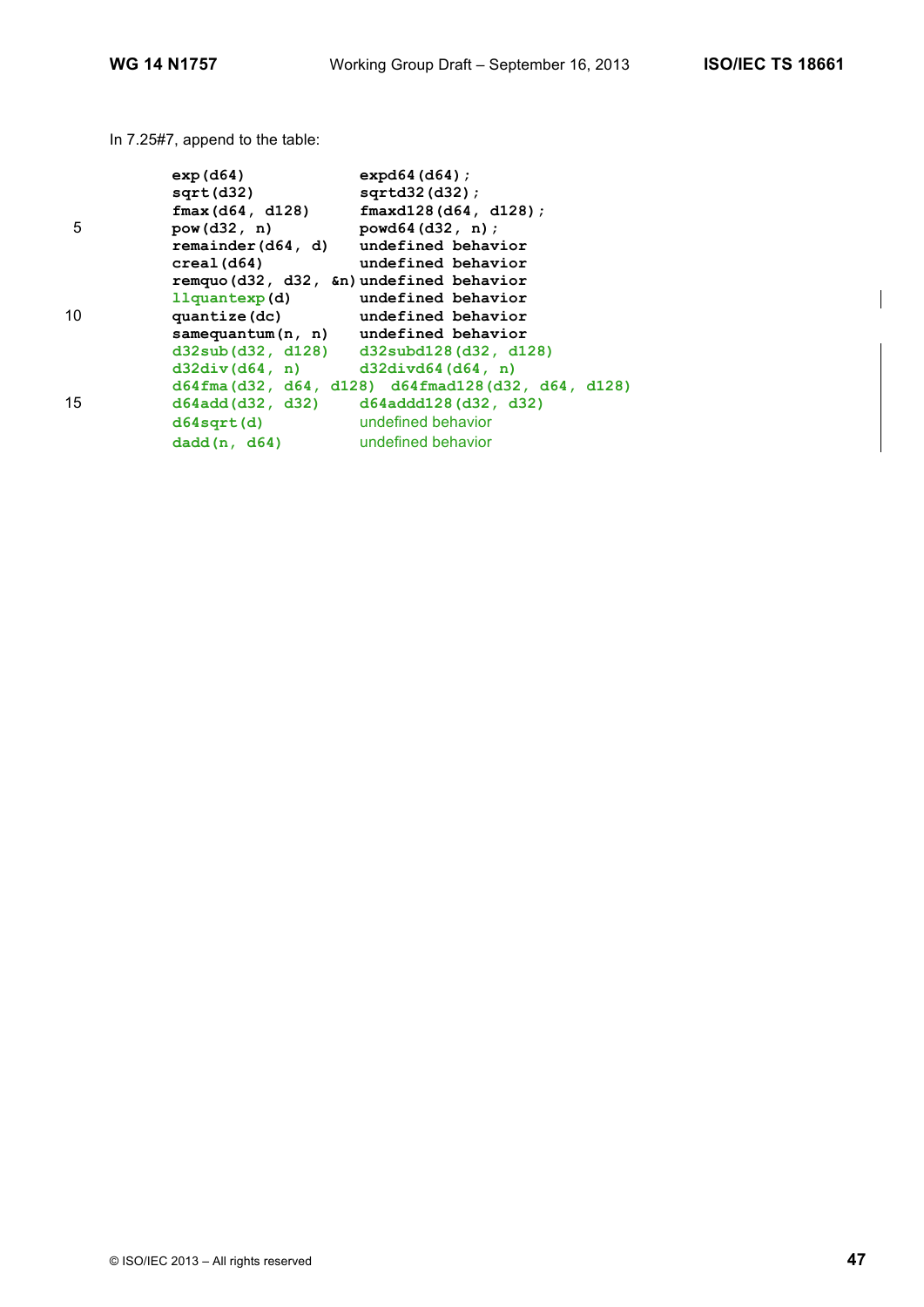In 7.25#7, append to the table:

|    | exp( d64)                                | $expd64$ (d64) ;                                     |
|----|------------------------------------------|------------------------------------------------------|
|    | sqrt(d32)                                | $sqrt(132)(d32)$ ;                                   |
|    | fmax(d64, d128)                          | $fmaxd128$ (d64, d128);                              |
| 5  | pow(d32, n)                              | powd64(d32, n);                                      |
|    | remainder(d64, d) undefined behavior     |                                                      |
|    | creal(d64)                               | undefined behavior                                   |
|    | remquo (d32, d32, &n) undefined behavior |                                                      |
|    | 11quantexp(d) undefined behavior         |                                                      |
| 10 | quantize (dc) undefined behavior         |                                                      |
|    | $samequantum(n, n)$ undefined behavior   |                                                      |
|    |                                          | $d32sub(d32, d128)$ $d32subd128(d32, d128)$          |
|    | $d32div(d64, n)$ $d32divd64(d64, n)$     |                                                      |
|    |                                          | $d64$ fma(d32, d64, d128) d64fmad128(d32, d64, d128) |
| 15 |                                          | $d64add(d32, d32)$ $d64addd128(d32, d32)$            |
|    | d64sqrt(d)                               | undefined behavior                                   |
|    | dadd(n, d64)                             | undefined behavior                                   |